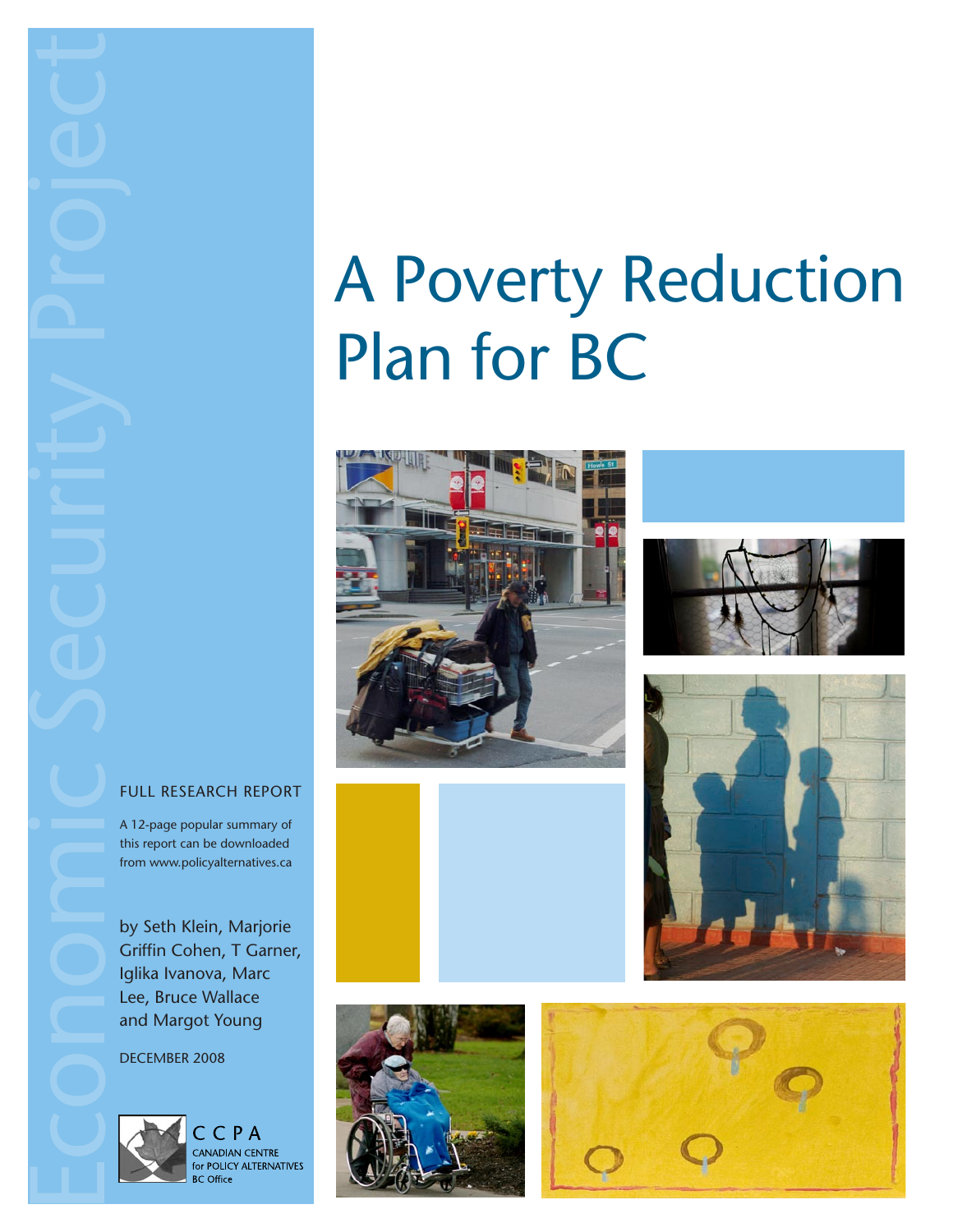Economic Security Project

# A Poverty Reduction Plan for BC







#### FULL RESEARCH REPORT

A 12-page popular summary of this report can be downloaded from www.policyalternatives.ca

by Seth Klein, Marjorie Griffin Cohen, T Garner, Iglika Ivanova, Marc Lee, Bruce Wallace and Margot Young

DECEMBER 2008



CCPA CANADIAN CENTRE for POLICY ALTERNATIVES **BC** Office



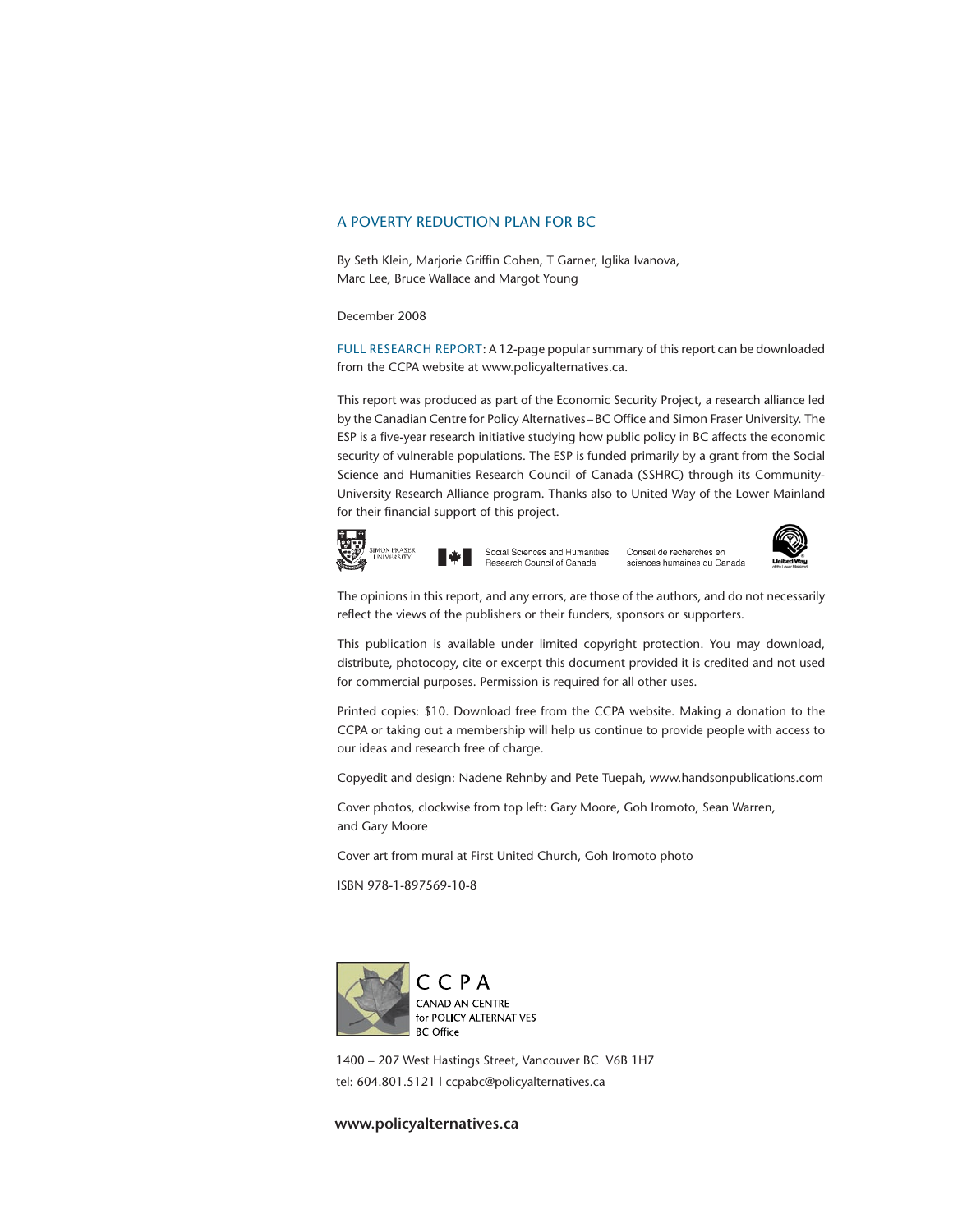#### A POVERTY REDUCTION PLAN FOR BC

By Seth Klein, Marjorie Griffin Cohen, T Garner, Iglika Ivanova, Marc Lee, Bruce Wallace and Margot Young

December 2008

FULL RESEARCH REPORT: A 12-page popular summary of this report can be downloaded from the CCPA website at www.policyalternatives.ca.

This report was produced as part of the Economic Security Project, a research alliance led by the Canadian Centre for Policy Alternatives –BC Office and Simon Fraser University. The ESP is a five-year research initiative studying how public policy in BC affects the economic security of vulnerable populations. The ESP is funded primarily by a grant from the Social Science and Humanities Research Council of Canada (SSHRC) through its Community-University Research Alliance program. Thanks also to United Way of the Lower Mainland for their financial support of this project.



Social Sciences and Humanities Research Council of Canada

Conseil de recherches en sciences humaines du Canada



The opinions in this report, and any errors, are those of the authors, and do not necessarily reflect the views of the publishers or their funders, sponsors or supporters.

This publication is available under limited copyright protection. You may download, distribute, photocopy, cite or excerpt this document provided it is credited and not used for commercial purposes. Permission is required for all other uses.

Printed copies: \$10. Download free from the CCPA website. Making a donation to the CCPA or taking out a membership will help us continue to provide people with access to our ideas and research free of charge.

Copyedit and design: Nadene Rehnby and Pete Tuepah, www.handsonpublications.com

Cover photos, clockwise from top left: Gary Moore, Goh Iromoto, Sean Warren, and Gary Moore

Cover art from mural at First United Church, Goh Iromoto photo

ISBN 978-1-897569-10-8



1400 – 207 West Hastings Street, Vancouver BC V6B 1H7 tel: 604.801.5121 | ccpabc@policyalternatives.ca

#### **www.policyalternatives.ca**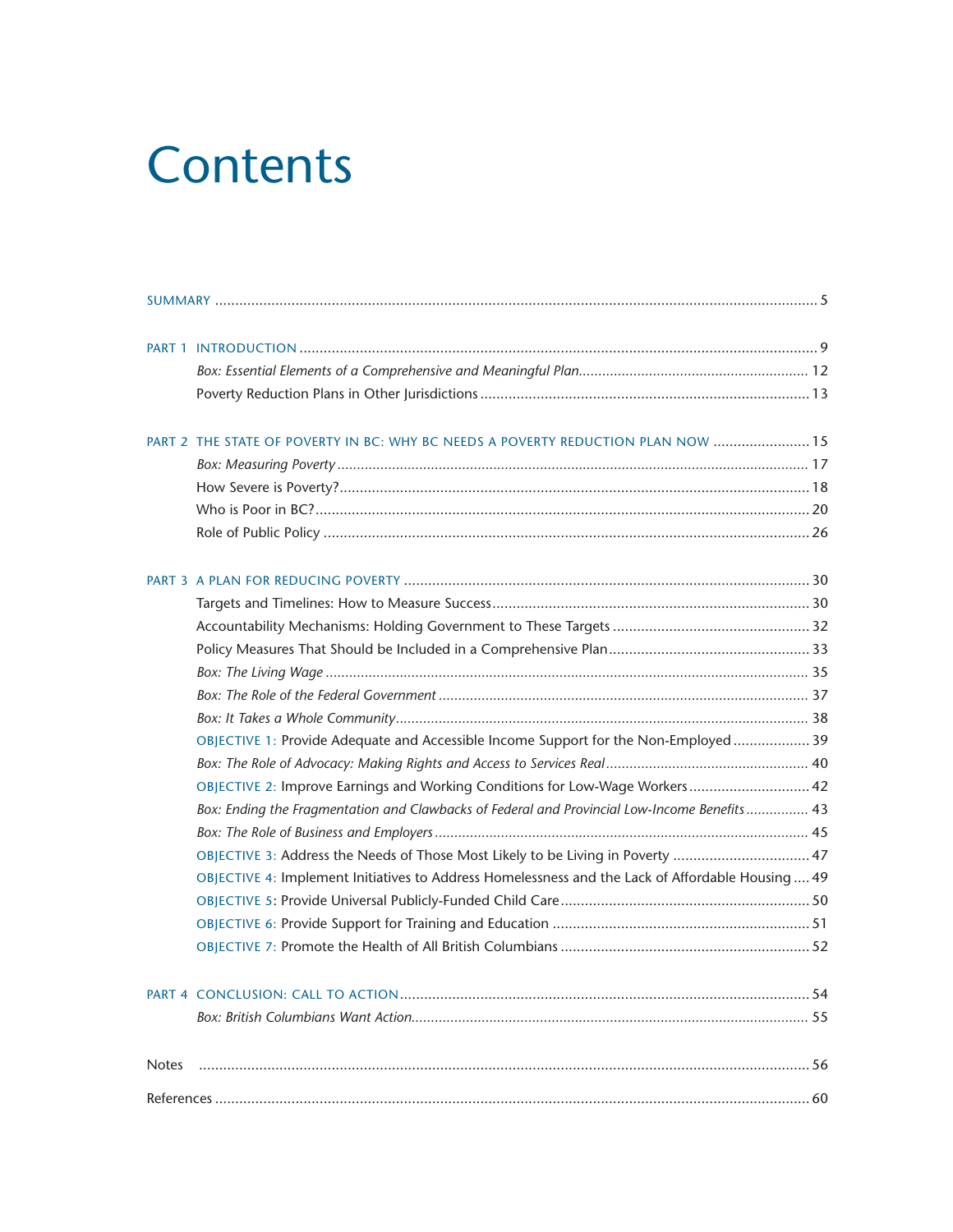## **Contents**

|              | PART 2 THE STATE OF POVERTY IN BC: WHY BC NEEDS A POVERTY REDUCTION PLAN NOW  15                  |  |  |  |  |  |
|--------------|---------------------------------------------------------------------------------------------------|--|--|--|--|--|
|              |                                                                                                   |  |  |  |  |  |
|              |                                                                                                   |  |  |  |  |  |
|              |                                                                                                   |  |  |  |  |  |
|              |                                                                                                   |  |  |  |  |  |
|              |                                                                                                   |  |  |  |  |  |
|              |                                                                                                   |  |  |  |  |  |
|              |                                                                                                   |  |  |  |  |  |
|              |                                                                                                   |  |  |  |  |  |
|              |                                                                                                   |  |  |  |  |  |
|              |                                                                                                   |  |  |  |  |  |
|              |                                                                                                   |  |  |  |  |  |
|              | OBJECTIVE 1: Provide Adequate and Accessible Income Support for the Non-Employed  39              |  |  |  |  |  |
|              |                                                                                                   |  |  |  |  |  |
|              | OBJECTIVE 2: Improve Earnings and Working Conditions for Low-Wage Workers 42                      |  |  |  |  |  |
|              | Box: Ending the Fragmentation and Clawbacks of Federal and Provincial Low-Income Benefits 43      |  |  |  |  |  |
|              |                                                                                                   |  |  |  |  |  |
|              | OBJECTIVE 3: Address the Needs of Those Most Likely to be Living in Poverty  47                   |  |  |  |  |  |
|              | OBJECTIVE 4: Implement Initiatives to Address Homelessness and the Lack of Affordable Housing  49 |  |  |  |  |  |
|              |                                                                                                   |  |  |  |  |  |
|              |                                                                                                   |  |  |  |  |  |
|              |                                                                                                   |  |  |  |  |  |
|              |                                                                                                   |  |  |  |  |  |
|              |                                                                                                   |  |  |  |  |  |
| <b>Notes</b> |                                                                                                   |  |  |  |  |  |
|              |                                                                                                   |  |  |  |  |  |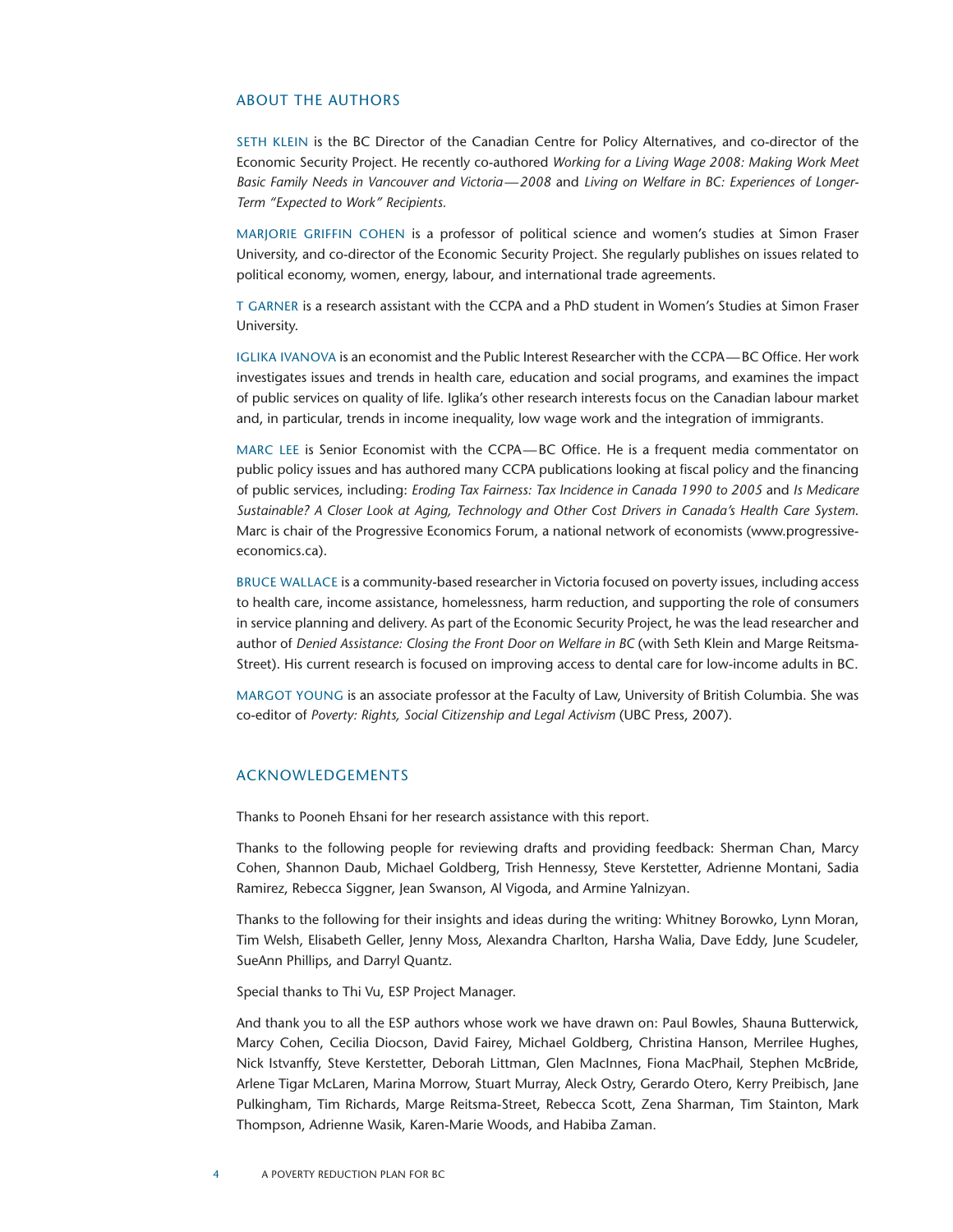#### About the Authors

Seth Klein is the BC Director of the Canadian Centre for Policy Alternatives, and co-director of the Economic Security Project. He recently co-authored *Working for a Living Wage 2008: Making Work Meet Basic Family Needs in Vancouver and Victoria—2008* and *Living on Welfare in BC: Experiences of Longer-Term "Expected to Work" Recipients.*

MARJORIE GRIFFIN COHEN is a professor of political science and women's studies at Simon Fraser University, and co-director of the Economic Security Project. She regularly publishes on issues related to political economy, women, energy, labour, and international trade agreements.

T Garner is a research assistant with the CCPA and a PhD student in Women's Studies at Simon Fraser University.

Iglika Ivanova is an economist and the Public Interest Researcher with the CCPA—BC Office. Her work investigates issues and trends in health care, education and social programs, and examines the impact of public services on quality of life. Iglika's other research interests focus on the Canadian labour market and, in particular, trends in income inequality, low wage work and the integration of immigrants.

MARC LEE is Senior Economist with the CCPA-BC Office. He is a frequent media commentator on public policy issues and has authored many CCPA publications looking at fiscal policy and the financing of public services, including: *Eroding Tax Fairness: Tax Incidence in Canada 1990 to 2005* and *Is Medicare Sustainable? A Closer Look at Aging, Technology and Other Cost Drivers in Canada's Health Care System*. Marc is chair of the Progressive Economics Forum, a national network of economists (www.progressiveeconomics.ca).

Bruce Wallace is a community-based researcher in Victoria focused on poverty issues, including access to health care, income assistance, homelessness, harm reduction, and supporting the role of consumers in service planning and delivery. As part of the Economic Security Project, he was the lead researcher and author of *Denied Assistance: Closing the Front Door on Welfare in BC* (with Seth Klein and Marge Reitsma-Street). His current research is focused on improving access to dental care for low-income adults in BC.

Margot Young is an associate professor at the Faculty of Law, University of British Columbia. She was co-editor of *Poverty: Rights, Social Citizenship and Legal Activism* (UBC Press, 2007).

#### Acknowledgements

Thanks to Pooneh Ehsani for her research assistance with this report.

Thanks to the following people for reviewing drafts and providing feedback: Sherman Chan, Marcy Cohen, Shannon Daub, Michael Goldberg, Trish Hennessy, Steve Kerstetter, Adrienne Montani, Sadia Ramirez, Rebecca Siggner, Jean Swanson, Al Vigoda, and Armine Yalnizyan.

Thanks to the following for their insights and ideas during the writing: Whitney Borowko, Lynn Moran, Tim Welsh, Elisabeth Geller, Jenny Moss, Alexandra Charlton, Harsha Walia, Dave Eddy, June Scudeler, SueAnn Phillips, and Darryl Quantz.

Special thanks to Thi Vu, ESP Project Manager.

And thank you to all the ESP authors whose work we have drawn on: Paul Bowles, Shauna Butterwick, Marcy Cohen, Cecilia Diocson, David Fairey, Michael Goldberg, Christina Hanson, Merrilee Hughes, Nick Istvanffy, Steve Kerstetter, Deborah Littman, Glen MacInnes, Fiona MacPhail, Stephen McBride, Arlene Tigar McLaren, Marina Morrow, Stuart Murray, Aleck Ostry, Gerardo Otero, Kerry Preibisch, Jane Pulkingham, Tim Richards, Marge Reitsma-Street, Rebecca Scott, Zena Sharman, Tim Stainton, Mark Thompson, Adrienne Wasik, Karen-Marie Woods, and Habiba Zaman.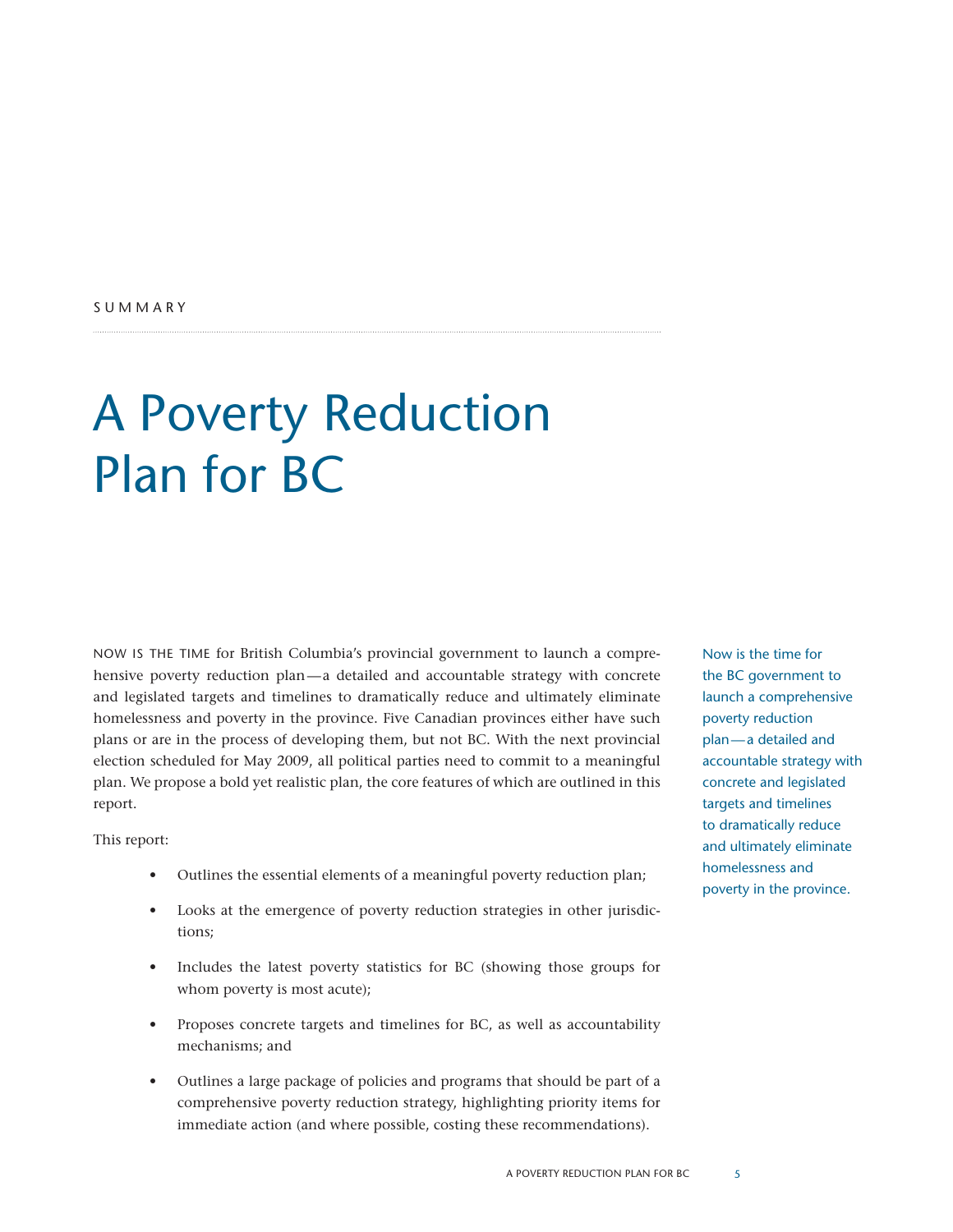## A Poverty Reduction Plan for BC

Now is the time for British Columbia's provincial government to launch a comprehensive poverty reduction plan—a detailed and accountable strategy with concrete and legislated targets and timelines to dramatically reduce and ultimately eliminate homelessness and poverty in the province. Five Canadian provinces either have such plans or are in the process of developing them, but not BC. With the next provincial election scheduled for May 2009, all political parties need to commit to a meaningful plan. We propose a bold yet realistic plan, the core features of which are outlined in this report.

This report:

- Outlines the essential elements of a meaningful poverty reduction plan;
- Looks at the emergence of poverty reduction strategies in other jurisdictions;
- Includes the latest poverty statistics for BC (showing those groups for whom poverty is most acute);
- Proposes concrete targets and timelines for BC, as well as accountability mechanisms; and
- • Outlines a large package of policies and programs that should be part of a comprehensive poverty reduction strategy, highlighting priority items for immediate action (and where possible, costing these recommendations).

Now is the time for the BC government to launch a comprehensive poverty reduction plan—a detailed and accountable strategy with concrete and legislated targets and timelines to dramatically reduce and ultimately eliminate homelessness and poverty in the province.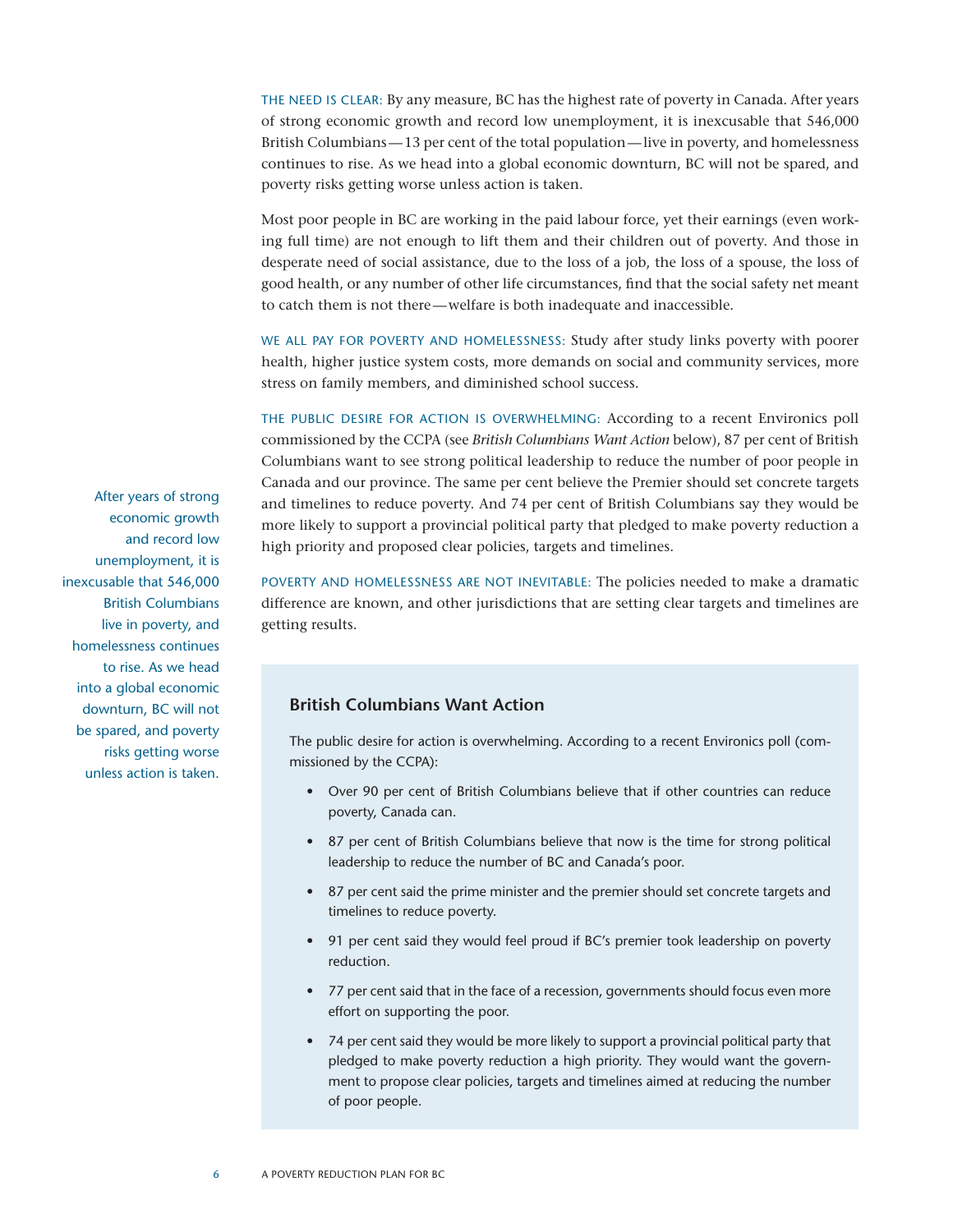THE NEED IS CLEAR: By any measure, BC has the highest rate of poverty in Canada. After years of strong economic growth and record low unemployment, it is inexcusable that 546,000 British Columbians—13 per cent of the total population—live in poverty, and homelessness continues to rise. As we head into a global economic downturn, BC will not be spared, and poverty risks getting worse unless action is taken.

Most poor people in BC are working in the paid labour force, yet their earnings (even working full time) are not enough to lift them and their children out of poverty. And those in desperate need of social assistance, due to the loss of a job, the loss of a spouse, the loss of good health, or any number of other life circumstances, find that the social safety net meant to catch them is not there—welfare is both inadequate and inaccessible.

We all pay for poverty and homelessness: Study after study links poverty with poorer health, higher justice system costs, more demands on social and community services, more stress on family members, and diminished school success.

The public desire for action is overwhelming: According to a recent Environics poll commissioned by the CCPA (see *British Columbians Want Action* below), 87 per cent of British Columbians want to see strong political leadership to reduce the number of poor people in Canada and our province. The same per cent believe the Premier should set concrete targets and timelines to reduce poverty. And 74 per cent of British Columbians say they would be more likely to support a provincial political party that pledged to make poverty reduction a high priority and proposed clear policies, targets and timelines.

POVERTY AND HOMELESSNESS ARE NOT INEVITABLE: The policies needed to make a dramatic difference are known, and other jurisdictions that are setting clear targets and timelines are getting results.

#### **British Columbians Want Action**

The public desire for action is overwhelming. According to a recent Environics poll (commissioned by the CCPA):

- Over 90 per cent of British Columbians believe that if other countries can reduce poverty, Canada can.
- 87 per cent of British Columbians believe that now is the time for strong political leadership to reduce the number of BC and Canada's poor.
- 87 per cent said the prime minister and the premier should set concrete targets and timelines to reduce poverty.
- 91 per cent said they would feel proud if BC's premier took leadership on poverty reduction.
- 77 per cent said that in the face of a recession, governments should focus even more effort on supporting the poor.
- 74 per cent said they would be more likely to support a provincial political party that pledged to make poverty reduction a high priority. They would want the government to propose clear policies, targets and timelines aimed at reducing the number of poor people.

After years of strong economic growth and record low unemployment, it is inexcusable that 546,000 British Columbians live in poverty, and homelessness continues to rise. As we head into a global economic downturn, BC will not be spared, and poverty risks getting worse unless action is taken.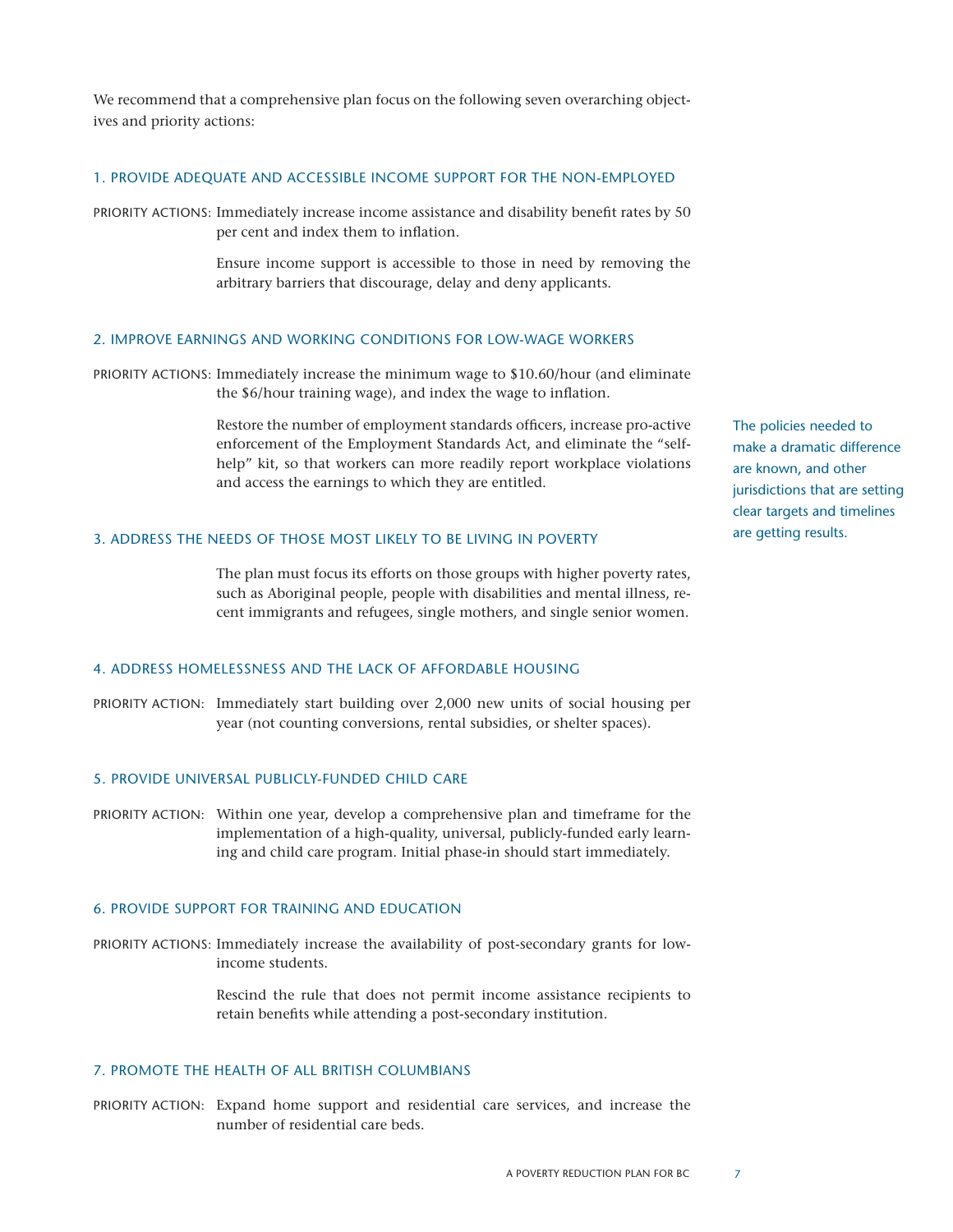We recommend that a comprehensive plan focus on the following seven overarching objectives and priority actions:

#### 1. Provide adequate and accessible income support for the non-employed

PRIORITY ACTIONS: Immediately increase income assistance and disability benefit rates by 50 per cent and index them to inflation.

> Ensure income support is accessible to those in need by removing the arbitrary barriers that discourage, delay and deny applicants.

#### 2. Improve earnings and working conditions for low-wage workers

PRIORITY ACTIONS: Immediately increase the minimum wage to \$10.60/hour (and eliminate the \$6/hour training wage), and index the wage to inflation.

> Restore the number of employment standards officers, increase pro-active enforcement of the Employment Standards Act, and eliminate the "selfhelp" kit, so that workers can more readily report workplace violations and access the earnings to which they are entitled.

#### 3. Address the needs of those most likely to be living in poverty

The plan must focus its efforts on those groups with higher poverty rates, such as Aboriginal people, people with disabilities and mental illness, recent immigrants and refugees, single mothers, and single senior women.

#### 4. Address homelessness and the lack of affordable housing

Priority Action: Immediately start building over 2,000 new units of social housing per year (not counting conversions, rental subsidies, or shelter spaces).

#### 5. Provide universal publicly-funded child care

PRIORITY ACTION: Within one year, develop a comprehensive plan and timeframe for the implementation of a high-quality, universal, publicly-funded early learning and child care program. Initial phase-in should start immediately.

#### 6. Provide support for training and education

PRIORITY ACTIONS: Immediately increase the availability of post-secondary grants for lowincome students.

> Rescind the rule that does not permit income assistance recipients to retain benefits while attending a post-secondary institution.

#### 7. Promote the health of all British Columbians

PRIORITY ACTION: Expand home support and residential care services, and increase the number of residential care beds.

The policies needed to make a dramatic difference are known, and other jurisdictions that are setting clear targets and timelines are getting results.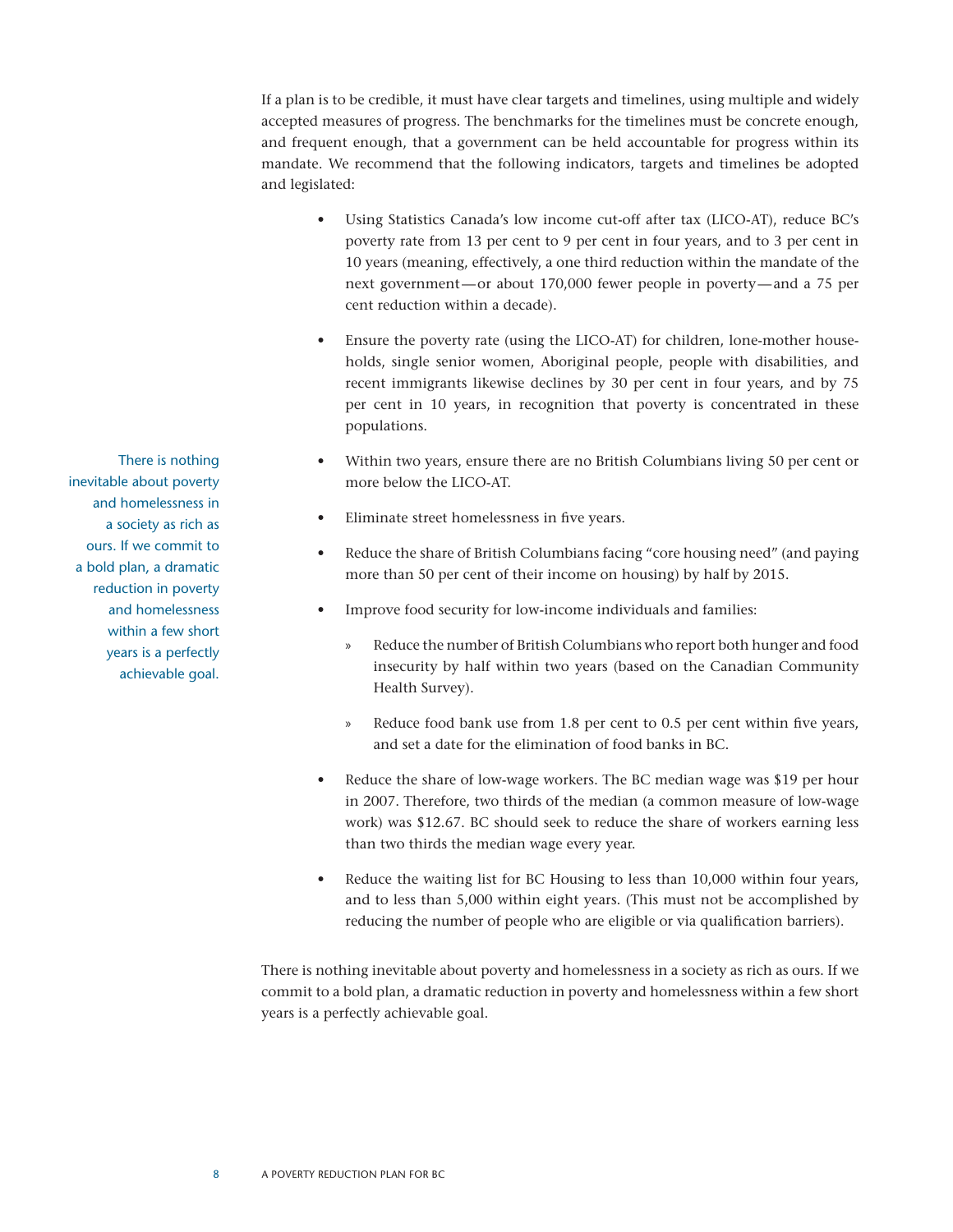If a plan is to be credible, it must have clear targets and timelines, using multiple and widely accepted measures of progress. The benchmarks for the timelines must be concrete enough, and frequent enough, that a government can be held accountable for progress within its mandate. We recommend that the following indicators, targets and timelines be adopted and legislated:

- Using Statistics Canada's low income cut-off after tax (LICO-AT), reduce BC's poverty rate from 13 per cent to 9 per cent in four years, and to 3 per cent in 10 years (meaning, effectively, a one third reduction within the mandate of the next government—or about 170,000 fewer people in poverty—and a 75 per cent reduction within a decade).
- Ensure the poverty rate (using the LICO-AT) for children, lone-mother households, single senior women, Aboriginal people, people with disabilities, and recent immigrants likewise declines by 30 per cent in four years, and by 75 per cent in 10 years, in recognition that poverty is concentrated in these populations.
- Within two years, ensure there are no British Columbians living 50 per cent or more below the LICO-AT.
- Eliminate street homelessness in five years.
- Reduce the share of British Columbians facing "core housing need" (and paying more than 50 per cent of their income on housing) by half by 2015.
- Improve food security for low-income individuals and families:
	- Reduce the number of British Columbians who report both hunger and food insecurity by half within two years (based on the Canadian Community Health Survey).
	- » Reduce food bank use from 1.8 per cent to 0.5 per cent within five years, and set a date for the elimination of food banks in BC.
- Reduce the share of low-wage workers. The BC median wage was \$19 per hour in 2007. Therefore, two thirds of the median (a common measure of low-wage work) was \$12.67. BC should seek to reduce the share of workers earning less than two thirds the median wage every year.
- Reduce the waiting list for BC Housing to less than 10,000 within four years, and to less than 5,000 within eight years. (This must not be accomplished by reducing the number of people who are eligible or via qualification barriers).

There is nothing inevitable about poverty and homelessness in a society as rich as ours. If we commit to a bold plan, a dramatic reduction in poverty and homelessness within a few short years is a perfectly achievable goal.

There is nothing inevitable about poverty and homelessness in a society as rich as ours. If we commit to a bold plan, a dramatic reduction in poverty and homelessness within a few short years is a perfectly achievable goal.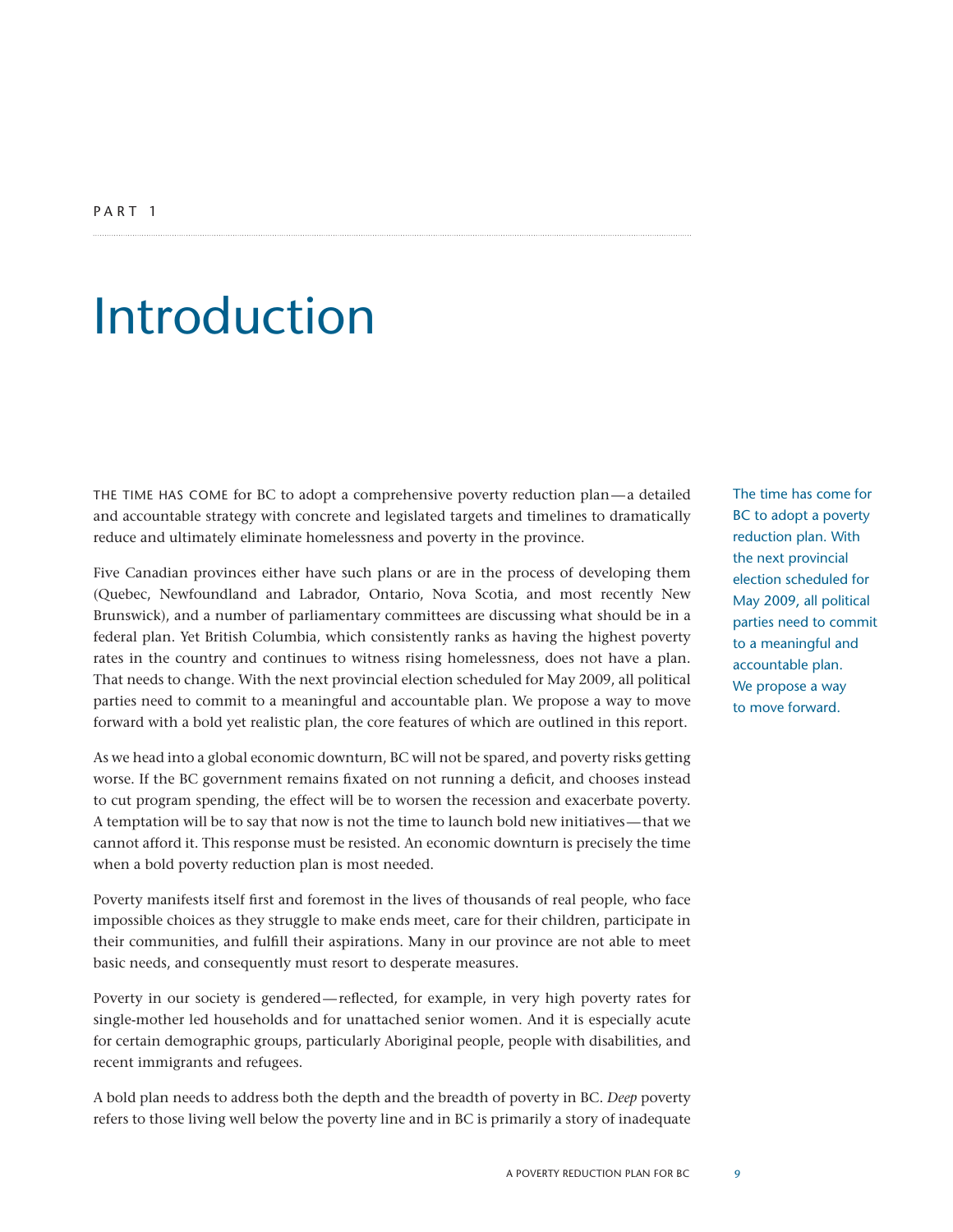## Introduction

THE TIME HAS COME for BC to adopt a comprehensive poverty reduction plan—a detailed and accountable strategy with concrete and legislated targets and timelines to dramatically reduce and ultimately eliminate homelessness and poverty in the province.

Five Canadian provinces either have such plans or are in the process of developing them (Quebec, Newfoundland and Labrador, Ontario, Nova Scotia, and most recently New Brunswick), and a number of parliamentary committees are discussing what should be in a federal plan. Yet British Columbia, which consistently ranks as having the highest poverty rates in the country and continues to witness rising homelessness, does not have a plan. That needs to change. With the next provincial election scheduled for May 2009, all political parties need to commit to a meaningful and accountable plan. We propose a way to move forward with a bold yet realistic plan, the core features of which are outlined in this report.

As we head into a global economic downturn, BC will not be spared, and poverty risks getting worse. If the BC government remains fixated on not running a deficit, and chooses instead to cut program spending, the effect will be to worsen the recession and exacerbate poverty. A temptation will be to say that now is not the time to launch bold new initiatives—that we cannot afford it. This response must be resisted. An economic downturn is precisely the time when a bold poverty reduction plan is most needed.

Poverty manifests itself first and foremost in the lives of thousands of real people, who face impossible choices as they struggle to make ends meet, care for their children, participate in their communities, and fulfill their aspirations. Many in our province are not able to meet basic needs, and consequently must resort to desperate measures.

Poverty in our society is gendered—reflected, for example, in very high poverty rates for single-mother led households and for unattached senior women. And it is especially acute for certain demographic groups, particularly Aboriginal people, people with disabilities, and recent immigrants and refugees.

A bold plan needs to address both the depth and the breadth of poverty in BC. *Deep* poverty refers to those living well below the poverty line and in BC is primarily a story of inadequate

The time has come for BC to adopt a poverty reduction plan. With the next provincial election scheduled for May 2009, all political parties need to commit to a meaningful and accountable plan. We propose a way to move forward.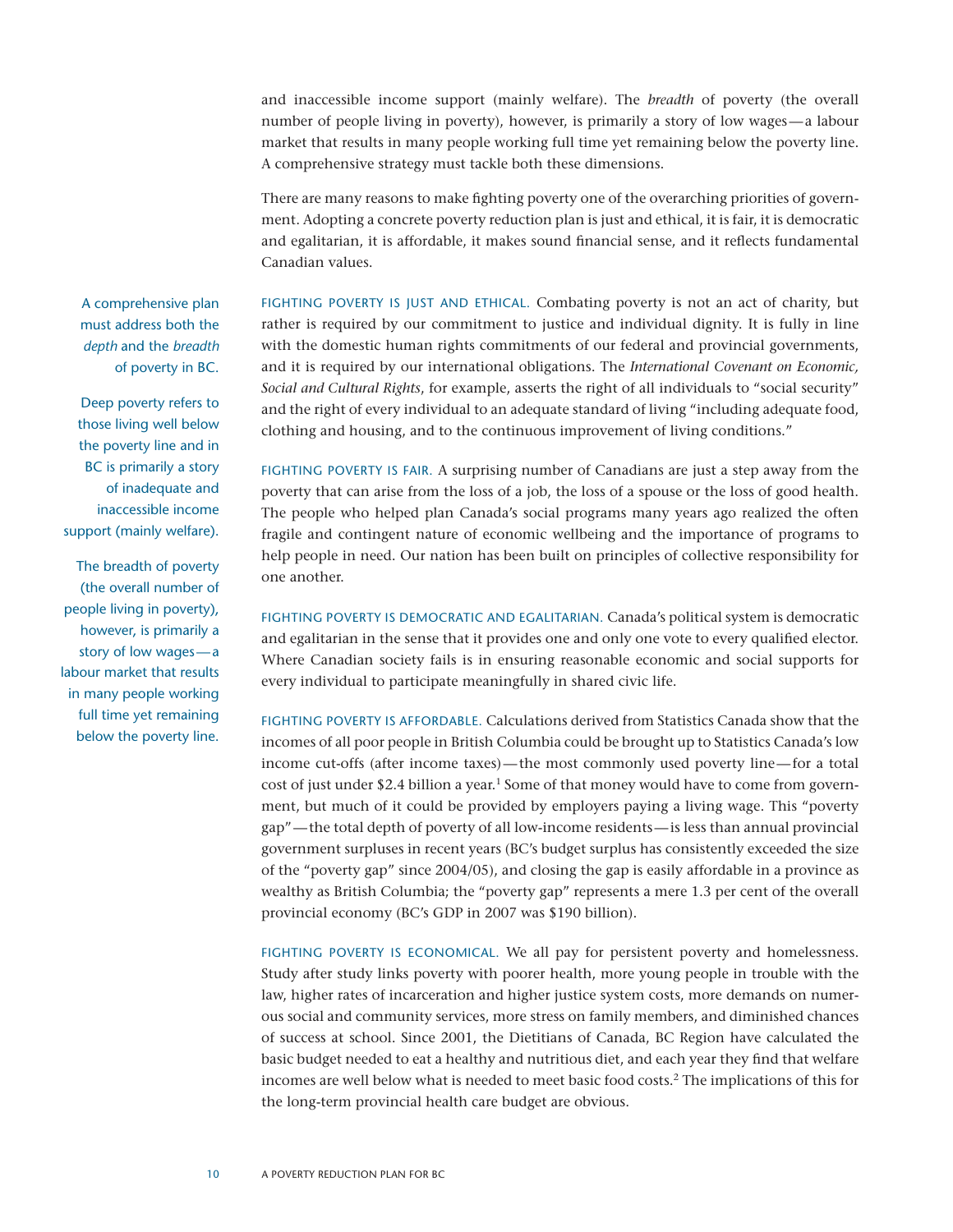and inaccessible income support (mainly welfare). The *breadth* of poverty (the overall number of people living in poverty), however, is primarily a story of low wages—a labour market that results in many people working full time yet remaining below the poverty line. A comprehensive strategy must tackle both these dimensions.

There are many reasons to make fighting poverty one of the overarching priorities of government. Adopting a concrete poverty reduction plan is just and ethical, it is fair, it is democratic and egalitarian, it is affordable, it makes sound financial sense, and it reflects fundamental Canadian values.

FIGHTING POVERTY IS JUST AND ETHICAL. Combating poverty is not an act of charity, but rather is required by our commitment to justice and individual dignity. It is fully in line with the domestic human rights commitments of our federal and provincial governments, and it is required by our international obligations. The *International Covenant on Economic, Social and Cultural Rights*, for example, asserts the right of all individuals to "social security" and the right of every individual to an adequate standard of living "including adequate food, clothing and housing, and to the continuous improvement of living conditions."

FIGHTING POVERTY IS FAIR. A surprising number of Canadians are just a step away from the poverty that can arise from the loss of a job, the loss of a spouse or the loss of good health. The people who helped plan Canada's social programs many years ago realized the often fragile and contingent nature of economic wellbeing and the importance of programs to help people in need. Our nation has been built on principles of collective responsibility for one another.

Fighting poverty is democratic and egalitarian. Canada's political system is democratic and egalitarian in the sense that it provides one and only one vote to every qualified elector. Where Canadian society fails is in ensuring reasonable economic and social supports for every individual to participate meaningfully in shared civic life.

FIGHTING POVERTY IS AFFORDABLE. Calculations derived from Statistics Canada show that the incomes of all poor people in British Columbia could be brought up to Statistics Canada's low income cut-offs (after income taxes)—the most commonly used poverty line—for a total cost of just under \$2.4 billion a year.<sup>1</sup> Some of that money would have to come from government, but much of it could be provided by employers paying a living wage. This "poverty gap"—the total depth of poverty of all low-income residents—is less than annual provincial government surpluses in recent years (BC's budget surplus has consistently exceeded the size of the "poverty gap" since 2004/05), and closing the gap is easily affordable in a province as wealthy as British Columbia; the "poverty gap" represents a mere 1.3 per cent of the overall provincial economy (BC's GDP in 2007 was \$190 billion).

Fighting poverty is economical. We all pay for persistent poverty and homelessness. Study after study links poverty with poorer health, more young people in trouble with the law, higher rates of incarceration and higher justice system costs, more demands on numerous social and community services, more stress on family members, and diminished chances of success at school. Since 2001, the Dietitians of Canada, BC Region have calculated the basic budget needed to eat a healthy and nutritious diet, and each year they find that welfare incomes are well below what is needed to meet basic food costs.2 The implications of this for the long-term provincial health care budget are obvious.

A comprehensive plan must address both the *depth* and the *breadth* of poverty in BC.

Deep poverty refers to those living well below the poverty line and in BC is primarily a story of inadequate and inaccessible income support (mainly welfare).

The breadth of poverty (the overall number of people living in poverty), however, is primarily a story of low wages—a labour market that results in many people working full time yet remaining below the poverty line.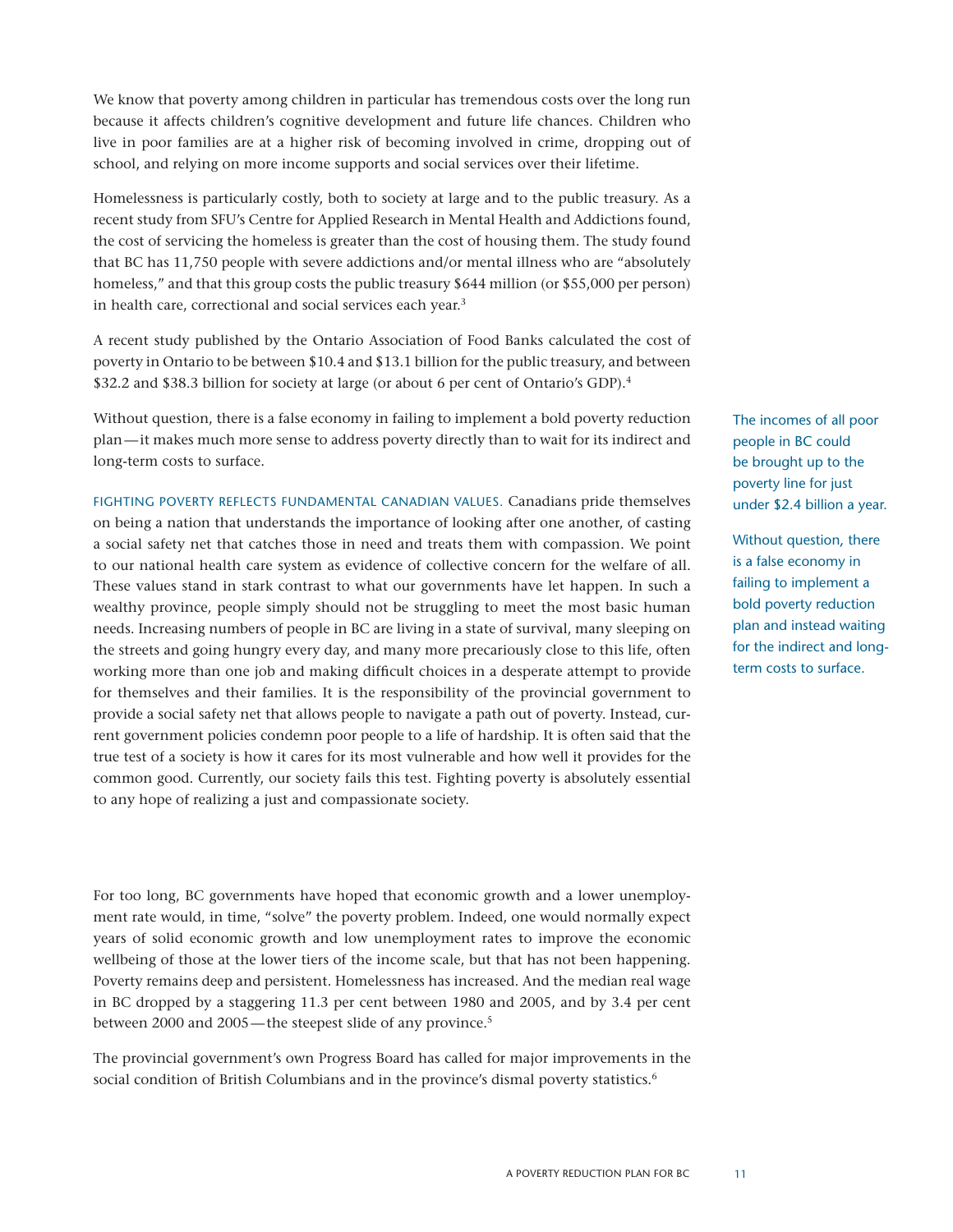We know that poverty among children in particular has tremendous costs over the long run because it affects children's cognitive development and future life chances. Children who live in poor families are at a higher risk of becoming involved in crime, dropping out of school, and relying on more income supports and social services over their lifetime.

Homelessness is particularly costly, both to society at large and to the public treasury. As a recent study from SFU's Centre for Applied Research in Mental Health and Addictions found, the cost of servicing the homeless is greater than the cost of housing them. The study found that BC has 11,750 people with severe addictions and/or mental illness who are "absolutely homeless," and that this group costs the public treasury \$644 million (or \$55,000 per person) in health care, correctional and social services each year.<sup>3</sup>

A recent study published by the Ontario Association of Food Banks calculated the cost of poverty in Ontario to be between \$10.4 and \$13.1 billion for the public treasury, and between \$32.2 and \$38.3 billion for society at large (or about 6 per cent of Ontario's GDP).4

Without question, there is a false economy in failing to implement a bold poverty reduction plan—it makes much more sense to address poverty directly than to wait for its indirect and long-term costs to surface.

Fighting poverty reflects fundamental Canadian values. Canadians pride themselves on being a nation that understands the importance of looking after one another, of casting a social safety net that catches those in need and treats them with compassion. We point to our national health care system as evidence of collective concern for the welfare of all. These values stand in stark contrast to what our governments have let happen. In such a wealthy province, people simply should not be struggling to meet the most basic human needs. Increasing numbers of people in BC are living in a state of survival, many sleeping on the streets and going hungry every day, and many more precariously close to this life, often working more than one job and making difficult choices in a desperate attempt to provide for themselves and their families. It is the responsibility of the provincial government to provide a social safety net that allows people to navigate a path out of poverty. Instead, current government policies condemn poor people to a life of hardship. It is often said that the true test of a society is how it cares for its most vulnerable and how well it provides for the common good. Currently, our society fails this test. Fighting poverty is absolutely essential to any hope of realizing a just and compassionate society.

For too long, BC governments have hoped that economic growth and a lower unemployment rate would, in time, "solve" the poverty problem. Indeed, one would normally expect years of solid economic growth and low unemployment rates to improve the economic wellbeing of those at the lower tiers of the income scale, but that has not been happening. Poverty remains deep and persistent. Homelessness has increased. And the median real wage in BC dropped by a staggering 11.3 per cent between 1980 and 2005, and by 3.4 per cent between 2000 and 2005—the steepest slide of any province.<sup>5</sup>

The provincial government's own Progress Board has called for major improvements in the social condition of British Columbians and in the province's dismal poverty statistics.<sup>6</sup>

The incomes of all poor people in BC could be brought up to the poverty line for just under \$2.4 billion a year.

Without question, there is a false economy in failing to implement a bold poverty reduction plan and instead waiting for the indirect and longterm costs to surface.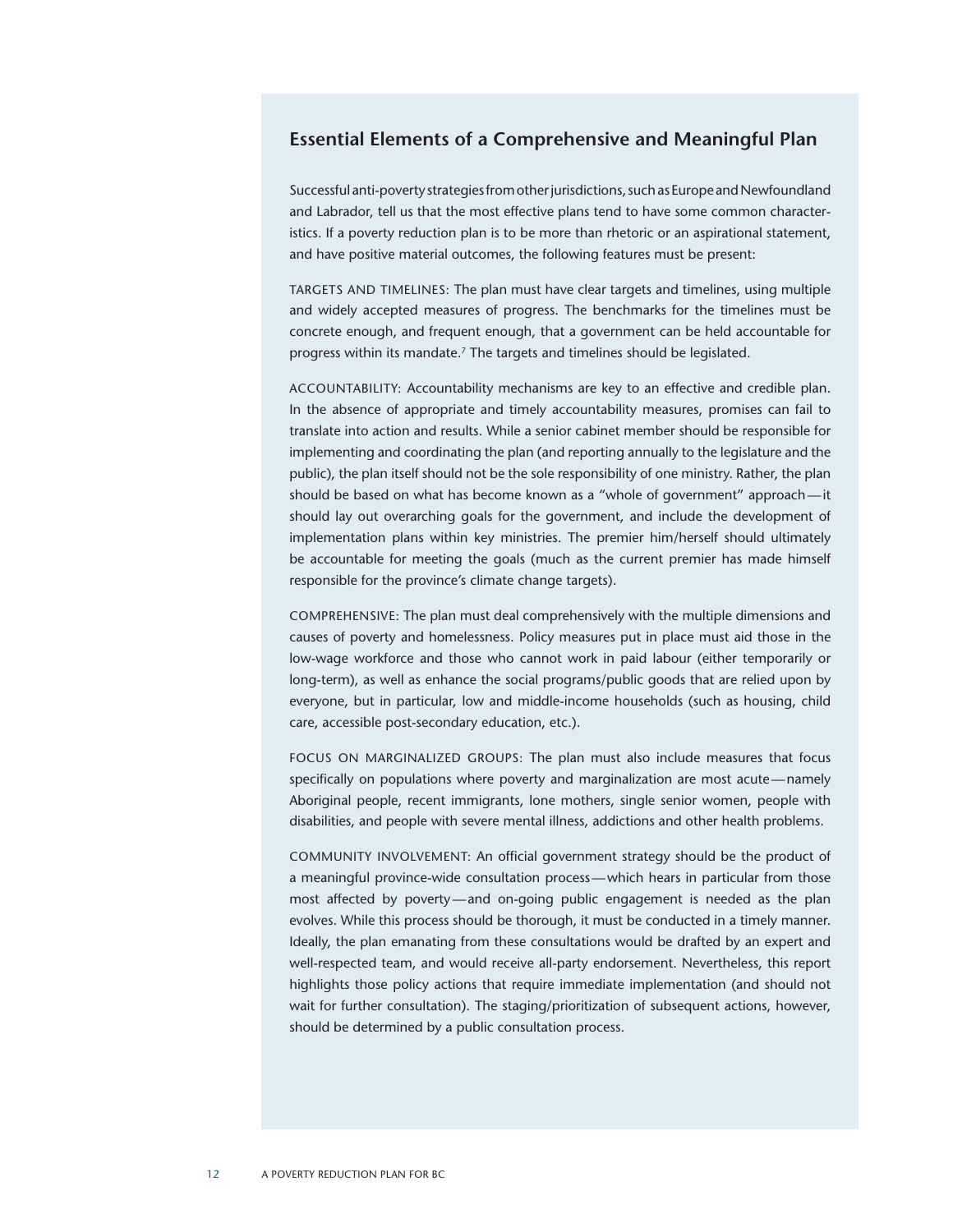#### **Essential Elements of a Comprehensive and Meaningful Plan**

Successful anti-poverty strategies from other jurisdictions, such as Europe and Newfoundland and Labrador, tell us that the most effective plans tend to have some common characteristics. If a poverty reduction plan is to be more than rhetoric or an aspirational statement, and have positive material outcomes, the following features must be present:

TARGETS AND TIMELINES: The plan must have clear targets and timelines, using multiple and widely accepted measures of progress. The benchmarks for the timelines must be concrete enough, and frequent enough, that a government can be held accountable for progress within its mandate.7 The targets and timelines should be legislated.

Accountability: Accountability mechanisms are key to an effective and credible plan. In the absence of appropriate and timely accountability measures, promises can fail to translate into action and results. While a senior cabinet member should be responsible for implementing and coordinating the plan (and reporting annually to the legislature and the public), the plan itself should not be the sole responsibility of one ministry. Rather, the plan should be based on what has become known as a "whole of government" approach—it should lay out overarching goals for the government, and include the development of implementation plans within key ministries. The premier him/herself should ultimately be accountable for meeting the goals (much as the current premier has made himself responsible for the province's climate change targets).

Comprehensive: The plan must deal comprehensively with the multiple dimensions and causes of poverty and homelessness. Policy measures put in place must aid those in the low-wage workforce and those who cannot work in paid labour (either temporarily or long-term), as well as enhance the social programs/public goods that are relied upon by everyone, but in particular, low and middle-income households (such as housing, child care, accessible post-secondary education, etc.).

Focus on Marginalized Groups: The plan must also include measures that focus specifically on populations where poverty and marginalization are most acute—namely Aboriginal people, recent immigrants, lone mothers, single senior women, people with disabilities, and people with severe mental illness, addictions and other health problems.

Community Involvement: An official government strategy should be the product of a meaningful province-wide consultation process—which hears in particular from those most affected by poverty—and on-going public engagement is needed as the plan evolves. While this process should be thorough, it must be conducted in a timely manner. Ideally, the plan emanating from these consultations would be drafted by an expert and well-respected team, and would receive all-party endorsement. Nevertheless, this report highlights those policy actions that require immediate implementation (and should not wait for further consultation). The staging/prioritization of subsequent actions, however, should be determined by a public consultation process.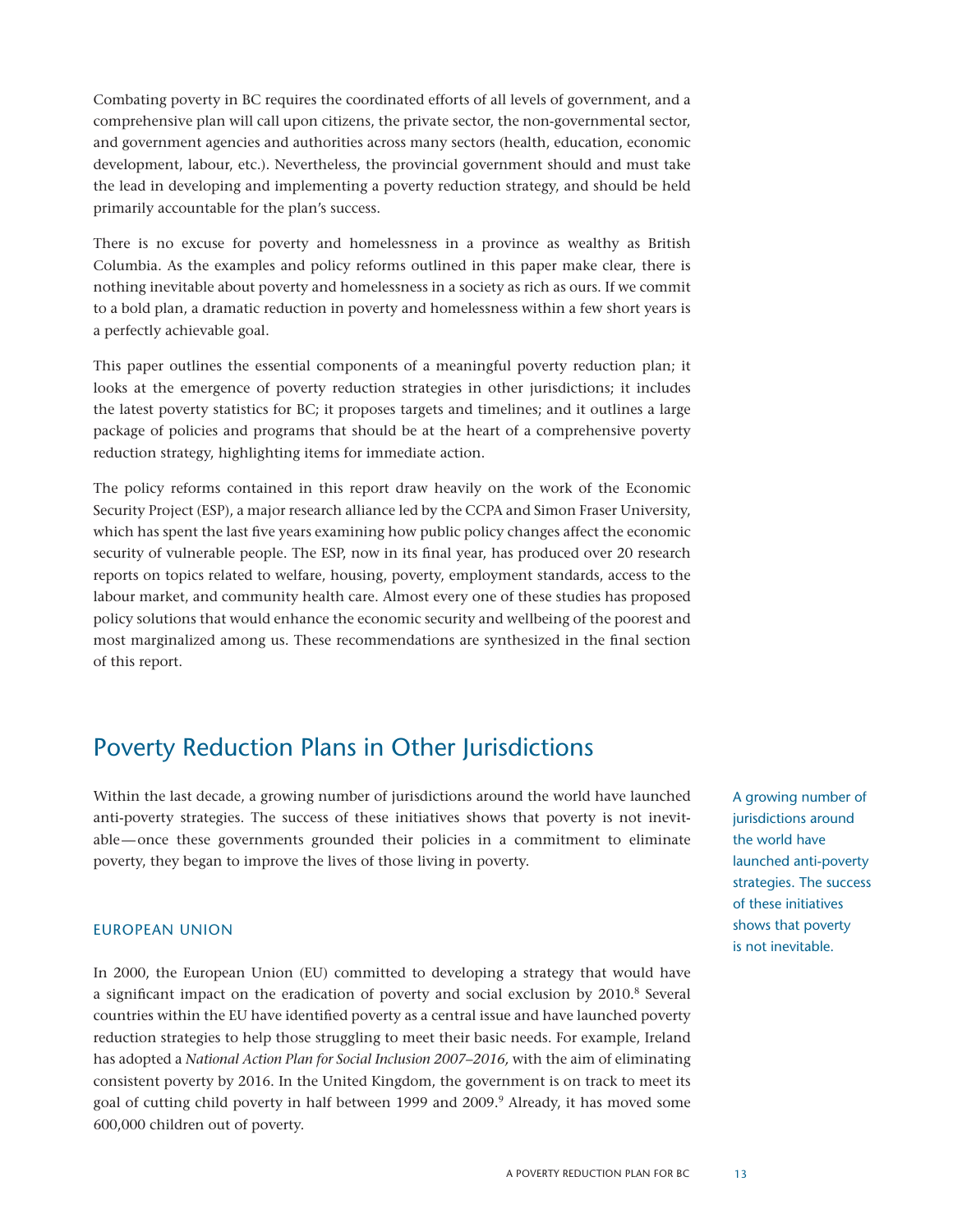Combating poverty in BC requires the coordinated efforts of all levels of government, and a comprehensive plan will call upon citizens, the private sector, the non-governmental sector, and government agencies and authorities across many sectors (health, education, economic development, labour, etc.). Nevertheless, the provincial government should and must take the lead in developing and implementing a poverty reduction strategy, and should be held primarily accountable for the plan's success.

There is no excuse for poverty and homelessness in a province as wealthy as British Columbia. As the examples and policy reforms outlined in this paper make clear, there is nothing inevitable about poverty and homelessness in a society as rich as ours. If we commit to a bold plan, a dramatic reduction in poverty and homelessness within a few short years is a perfectly achievable goal.

This paper outlines the essential components of a meaningful poverty reduction plan; it looks at the emergence of poverty reduction strategies in other jurisdictions; it includes the latest poverty statistics for BC; it proposes targets and timelines; and it outlines a large package of policies and programs that should be at the heart of a comprehensive poverty reduction strategy, highlighting items for immediate action.

The policy reforms contained in this report draw heavily on the work of the Economic Security Project (ESP), a major research alliance led by the CCPA and Simon Fraser University, which has spent the last five years examining how public policy changes affect the economic security of vulnerable people. The ESP, now in its final year, has produced over 20 research reports on topics related to welfare, housing, poverty, employment standards, access to the labour market, and community health care. Almost every one of these studies has proposed policy solutions that would enhance the economic security and wellbeing of the poorest and most marginalized among us. These recommendations are synthesized in the final section of this report.

## Poverty Reduction Plans in Other Jurisdictions

Within the last decade, a growing number of jurisdictions around the world have launched anti-poverty strategies. The success of these initiatives shows that poverty is not inevitable—once these governments grounded their policies in a commitment to eliminate poverty, they began to improve the lives of those living in poverty.

#### European Union

In 2000, the European Union (EU) committed to developing a strategy that would have a significant impact on the eradication of poverty and social exclusion by 2010.8 Several countries within the EU have identified poverty as a central issue and have launched poverty reduction strategies to help those struggling to meet their basic needs. For example, Ireland has adopted a *National Action Plan for Social Inclusion 2007–2016,* with the aim of eliminating consistent poverty by 2016. In the United Kingdom, the government is on track to meet its goal of cutting child poverty in half between 1999 and 2009.<sup>9</sup> Already, it has moved some 600,000 children out of poverty.

A growing number of jurisdictions around the world have launched anti-poverty strategies. The success of these initiatives shows that poverty is not inevitable.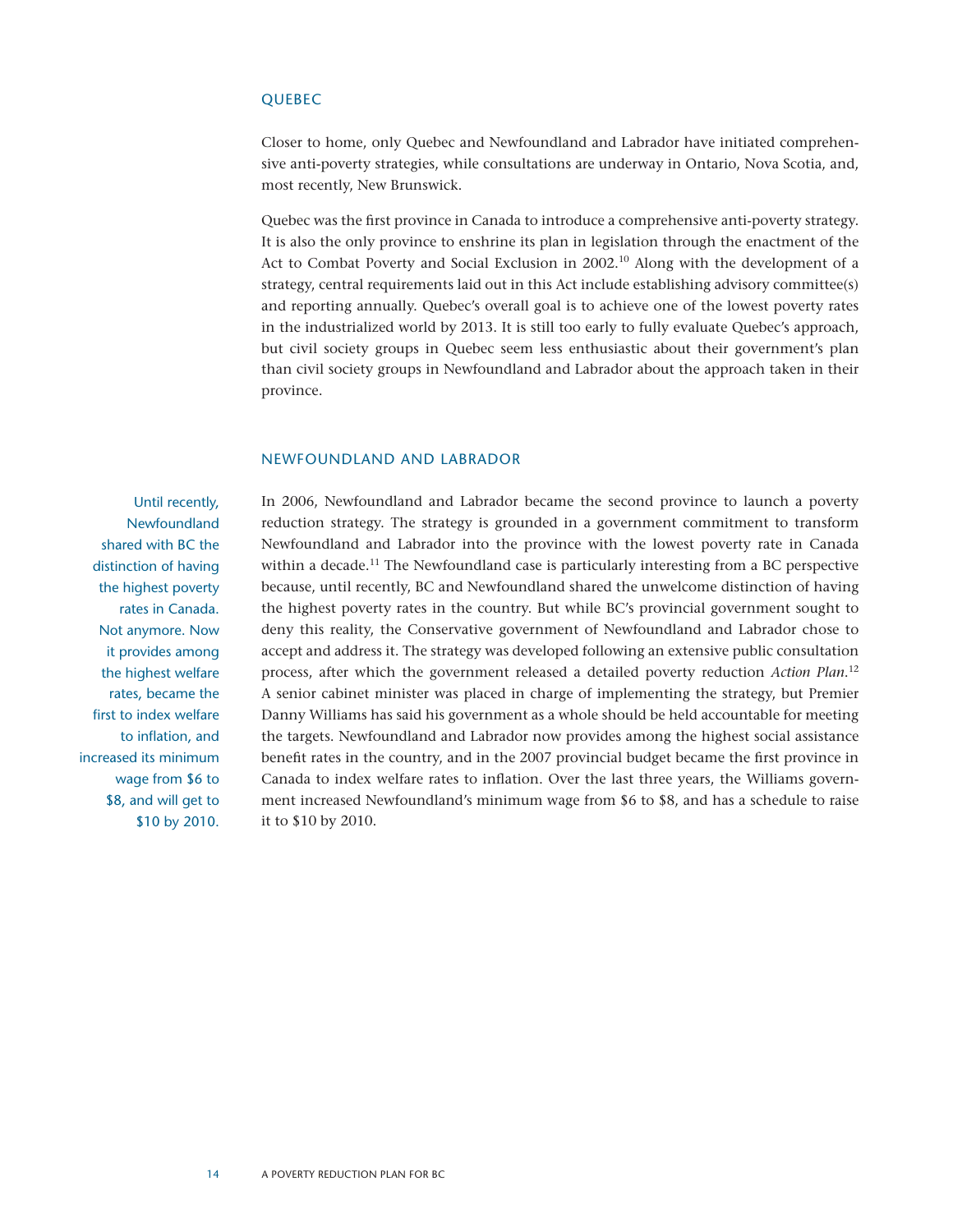#### **QUEBEC**

Closer to home, only Quebec and Newfoundland and Labrador have initiated comprehensive anti-poverty strategies, while consultations are underway in Ontario, Nova Scotia, and, most recently, New Brunswick.

Quebec was the first province in Canada to introduce a comprehensive anti-poverty strategy. It is also the only province to enshrine its plan in legislation through the enactment of the Act to Combat Poverty and Social Exclusion in 2002.<sup>10</sup> Along with the development of a strategy, central requirements laid out in this Act include establishing advisory committee(s) and reporting annually. Quebec's overall goal is to achieve one of the lowest poverty rates in the industrialized world by 2013. It is still too early to fully evaluate Quebec's approach, but civil society groups in Quebec seem less enthusiastic about their government's plan than civil society groups in Newfoundland and Labrador about the approach taken in their province.

#### Newfoundland and Labrador

Until recently, Newfoundland shared with BC the distinction of having the highest poverty rates in Canada. Not anymore. Now it provides among the highest welfare rates, became the first to index welfare to inflation, and increased its minimum wage from \$6 to \$8, and will get to \$10 by 2010. In 2006, Newfoundland and Labrador became the second province to launch a poverty reduction strategy. The strategy is grounded in a government commitment to transform Newfoundland and Labrador into the province with the lowest poverty rate in Canada within a decade.<sup>11</sup> The Newfoundland case is particularly interesting from a BC perspective because, until recently, BC and Newfoundland shared the unwelcome distinction of having the highest poverty rates in the country. But while BC's provincial government sought to deny this reality, the Conservative government of Newfoundland and Labrador chose to accept and address it. The strategy was developed following an extensive public consultation process, after which the government released a detailed poverty reduction *Action Plan*. 12 A senior cabinet minister was placed in charge of implementing the strategy, but Premier Danny Williams has said his government as a whole should be held accountable for meeting the targets. Newfoundland and Labrador now provides among the highest social assistance benefit rates in the country, and in the 2007 provincial budget became the first province in Canada to index welfare rates to inflation. Over the last three years, the Williams government increased Newfoundland's minimum wage from \$6 to \$8, and has a schedule to raise it to \$10 by 2010.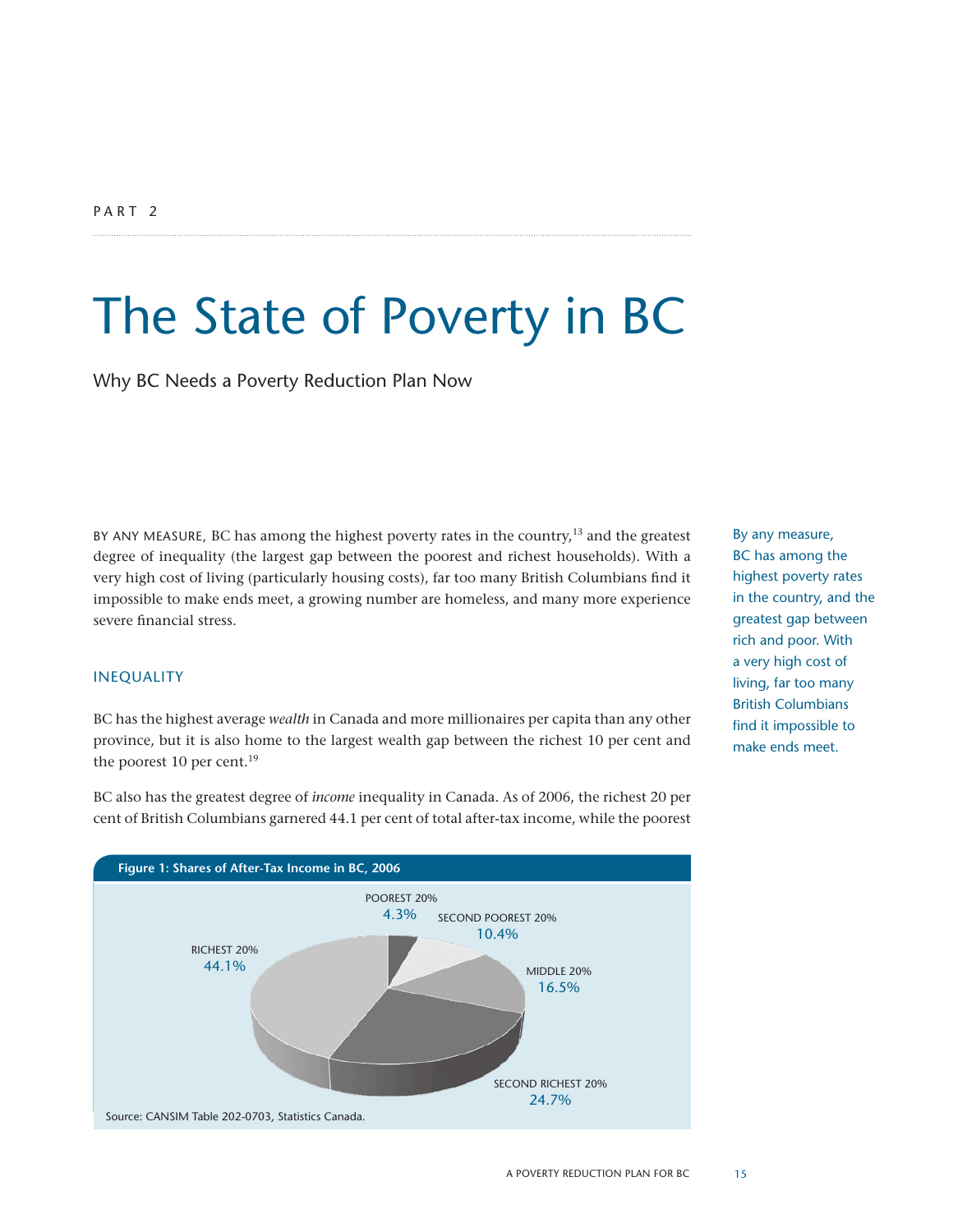## The State of Poverty in BC

Why BC Needs a Poverty Reduction Plan Now

BY ANY MEASURE, BC has among the highest poverty rates in the country, $13$  and the greatest degree of inequality (the largest gap between the poorest and richest households). With a very high cost of living (particularly housing costs), far too many British Columbians find it impossible to make ends meet, a growing number are homeless, and many more experience severe financial stress.

#### **INEQUALITY**

BC has the highest average *wealth* in Canada and more millionaires per capita than any other province, but it is also home to the largest wealth gap between the richest 10 per cent and the poorest 10 per cent.<sup>19</sup>

BC also has the greatest degree of *income* inequality in Canada. As of 2006, the richest 20 per cent of British Columbians garnered 44.1 per cent of total after-tax income, while the poorest



By any measure, BC has among the highest poverty rates in the country, and the greatest gap between rich and poor. With a very high cost of living, far too many British Columbians find it impossible to make ends meet.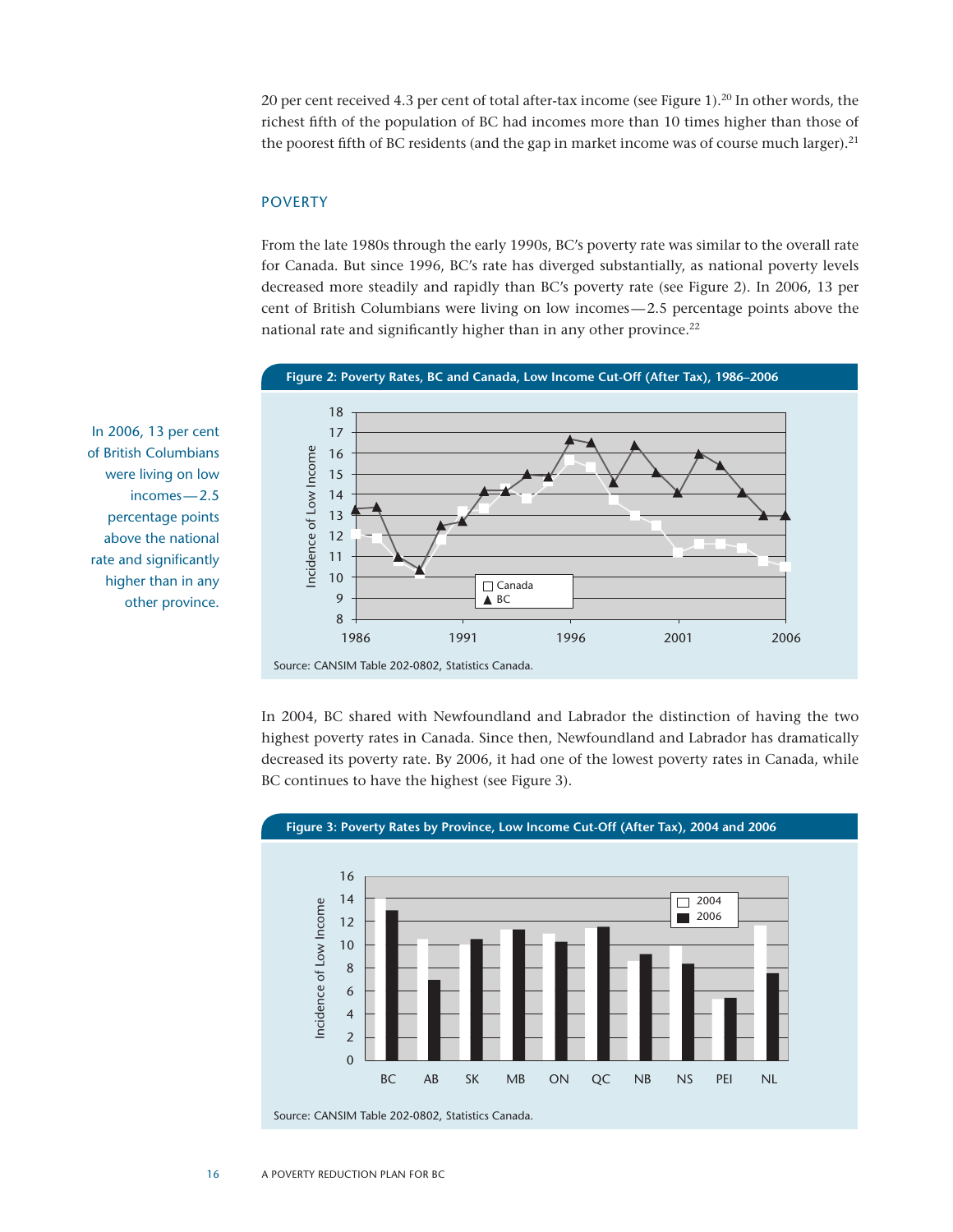20 per cent received 4.3 per cent of total after-tax income (see Figure 1).20 In other words, the richest fifth of the population of BC had incomes more than 10 times higher than those of the poorest fifth of BC residents (and the gap in market income was of course much larger).<sup>21</sup>

#### **POVERTY**

From the late 1980s through the early 1990s, BC's poverty rate was similar to the overall rate for Canada. But since 1996, BC's rate has diverged substantially, as national poverty levels decreased more steadily and rapidly than BC's poverty rate (see Figure 2). In 2006, 13 per cent of British Columbians were living on low incomes—2.5 percentage points above the national rate and significantly higher than in any other province.<sup>22</sup>



of British Columbians were living on low incomes—2.5 percentage points above the national rate and significantly higher than in any other province.

In 2006, 13 per cent

In 2004, BC shared with Newfoundland and Labrador the distinction of having the two highest poverty rates in Canada. Since then, Newfoundland and Labrador has dramatically decreased its poverty rate. By 2006, it had one of the lowest poverty rates in Canada, while BC continues to have the highest (see Figure 3).



**Figure 3: Poverty Rates by Province, Low Income Cut-Off (After Tax), 2004 and 2006** 

Source: CANSIM Table 202-0802, Statistics Canada.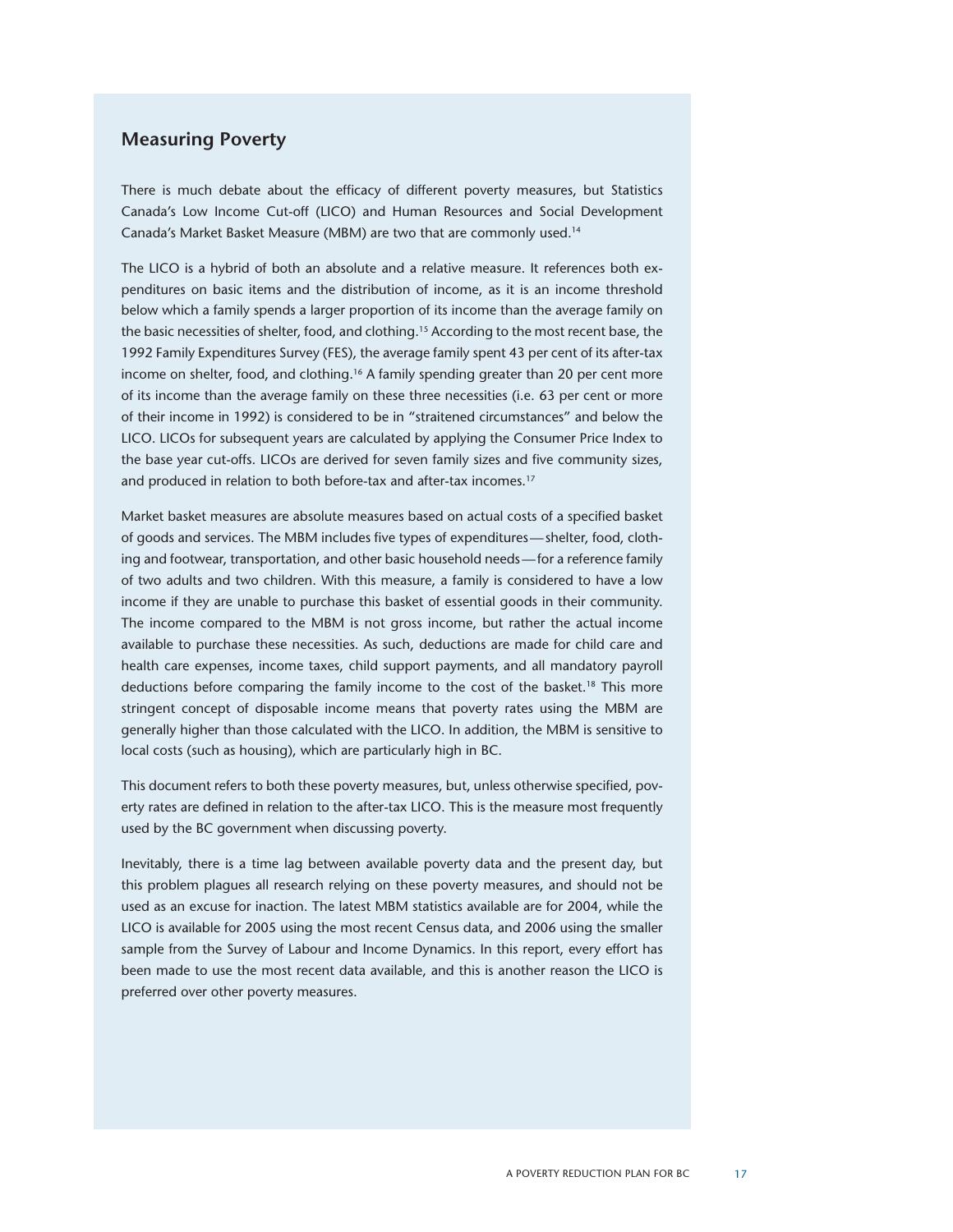#### **Measuring Poverty**

There is much debate about the efficacy of different poverty measures, but Statistics Canada's Low Income Cut-off (LICO) and Human Resources and Social Development Canada's Market Basket Measure (MBM) are two that are commonly used.14

The LICO is a hybrid of both an absolute and a relative measure. It references both expenditures on basic items and the distribution of income, as it is an income threshold below which a family spends a larger proportion of its income than the average family on the basic necessities of shelter, food, and clothing.15 According to the most recent base, the 1992 Family Expenditures Survey (FES), the average family spent 43 per cent of its after-tax income on shelter, food, and clothing.16 A family spending greater than 20 per cent more of its income than the average family on these three necessities (i.e. 63 per cent or more of their income in 1992) is considered to be in "straitened circumstances" and below the LICO. LICOs for subsequent years are calculated by applying the Consumer Price Index to the base year cut-offs. LICOs are derived for seven family sizes and five community sizes, and produced in relation to both before-tax and after-tax incomes.<sup>17</sup>

Market basket measures are absolute measures based on actual costs of a specified basket of goods and services. The MBM includes five types of expenditures—shelter, food, clothing and footwear, transportation, and other basic household needs—for a reference family of two adults and two children. With this measure, a family is considered to have a low income if they are unable to purchase this basket of essential goods in their community. The income compared to the MBM is not gross income, but rather the actual income available to purchase these necessities. As such, deductions are made for child care and health care expenses, income taxes, child support payments, and all mandatory payroll deductions before comparing the family income to the cost of the basket.<sup>18</sup> This more stringent concept of disposable income means that poverty rates using the MBM are generally higher than those calculated with the LICO. In addition, the MBM is sensitive to local costs (such as housing), which are particularly high in BC.

This document refers to both these poverty measures, but, unless otherwise specified, poverty rates are defined in relation to the after-tax LICO. This is the measure most frequently used by the BC government when discussing poverty.

Inevitably, there is a time lag between available poverty data and the present day, but this problem plagues all research relying on these poverty measures, and should not be used as an excuse for inaction. The latest MBM statistics available are for 2004, while the LICO is available for 2005 using the most recent Census data, and 2006 using the smaller sample from the Survey of Labour and Income Dynamics. In this report, every effort has been made to use the most recent data available, and this is another reason the LICO is preferred over other poverty measures.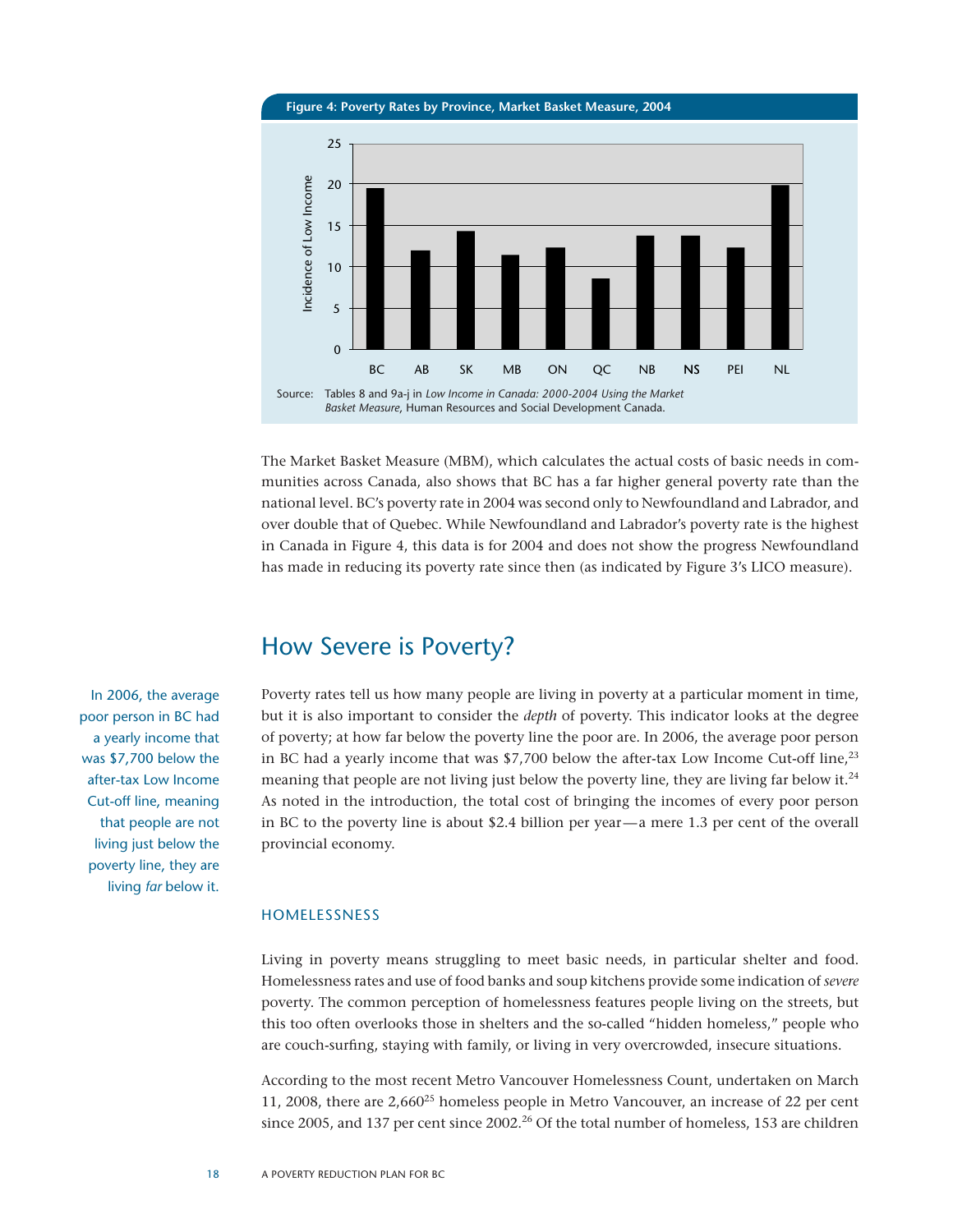**Figure 4: Poverty Rates by Province, Market Basket Measure, 2004**



The Market Basket Measure (MBM), which calculates the actual costs of basic needs in communities across Canada, also shows that BC has a far higher general poverty rate than the national level. BC's poverty rate in 2004 was second only to Newfoundland and Labrador, and over double that of Quebec. While Newfoundland and Labrador's poverty rate is the highest in Canada in Figure 4, this data is for 2004 and does not show the progress Newfoundland has made in reducing its poverty rate since then (as indicated by Figure 3's LICO measure).

### How Severe is Poverty?

Poverty rates tell us how many people are living in poverty at a particular moment in time, but it is also important to consider the *depth* of poverty. This indicator looks at the degree of poverty; at how far below the poverty line the poor are. In 2006, the average poor person in BC had a yearly income that was  $$7,700$  below the after-tax Low Income Cut-off line,<sup>23</sup> meaning that people are not living just below the poverty line, they are living far below it.<sup>24</sup> As noted in the introduction, the total cost of bringing the incomes of every poor person in BC to the poverty line is about \$2.4 billion per year—a mere 1.3 per cent of the overall provincial economy.

#### Homelessness

Living in poverty means struggling to meet basic needs, in particular shelter and food. Homelessness rates and use of food banks and soup kitchens provide some indication of *severe* poverty. The common perception of homelessness features people living on the streets, but this too often overlooks those in shelters and the so-called "hidden homeless," people who are couch-surfing, staying with family, or living in very overcrowded, insecure situations.

According to the most recent Metro Vancouver Homelessness Count, undertaken on March 11, 2008, there are 2,660<sup>25</sup> homeless people in Metro Vancouver, an increase of 22 per cent since 2005, and 137 per cent since 2002.<sup>26</sup> Of the total number of homeless, 153 are children

In 2006, the average poor person in BC had a yearly income that was \$7,700 below the after-tax Low Income Cut-off line, meaning that people are not living just below the poverty line, they are living *far* below it.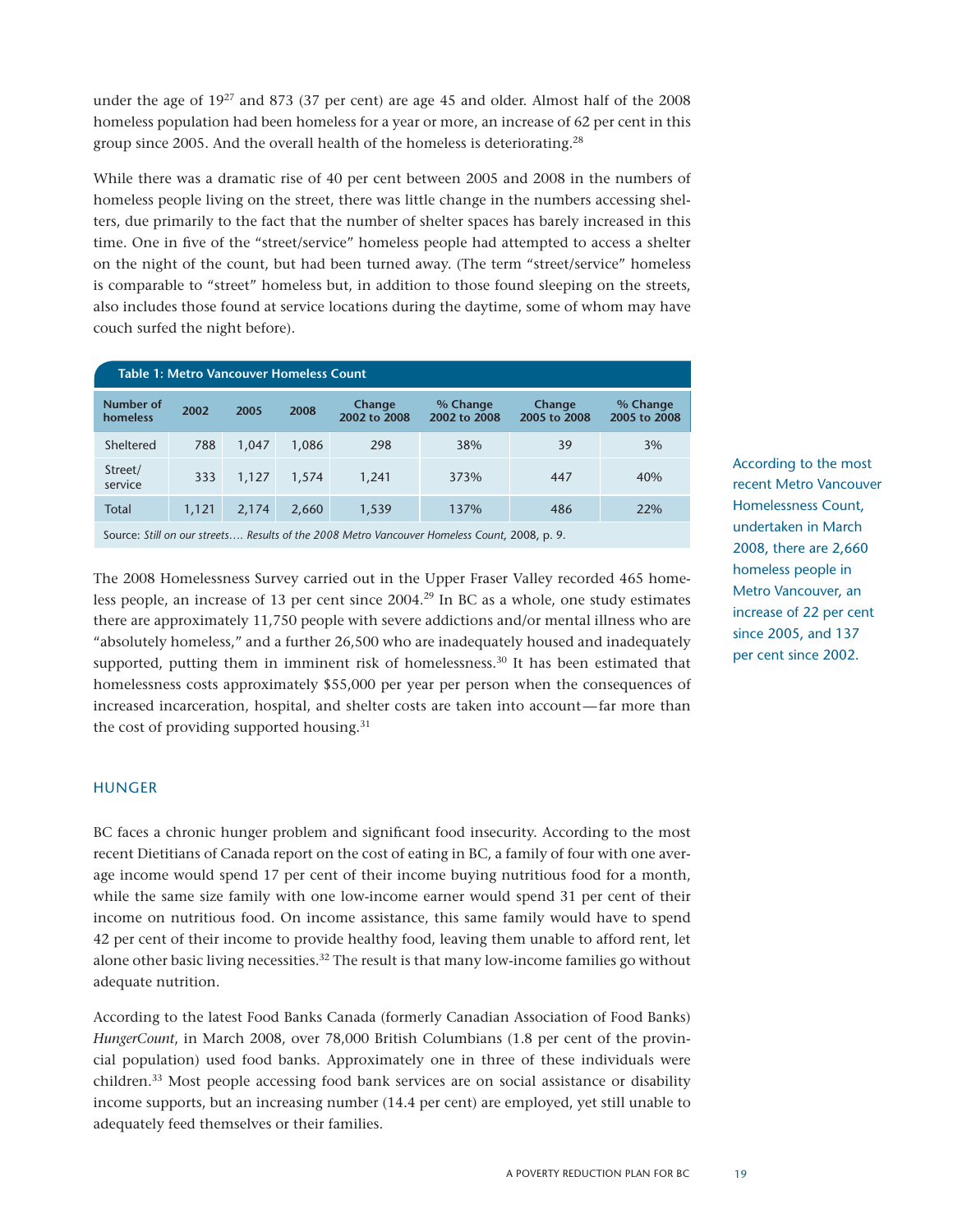under the age of  $19^{27}$  and 873 (37 per cent) are age 45 and older. Almost half of the 2008 homeless population had been homeless for a year or more, an increase of 62 per cent in this group since 2005. And the overall health of the homeless is deteriorating.28

While there was a dramatic rise of 40 per cent between 2005 and 2008 in the numbers of homeless people living on the street, there was little change in the numbers accessing shelters, due primarily to the fact that the number of shelter spaces has barely increased in this time. One in five of the "street/service" homeless people had attempted to access a shelter on the night of the count, but had been turned away. (The term "street/service" homeless is comparable to "street" homeless but, in addition to those found sleeping on the streets, also includes those found at service locations during the daytime, some of whom may have couch surfed the night before).

| Table 1: Metro Vancouver Homeless Count                                                      |       |       |       |                        |                          |                        |                          |  |  |
|----------------------------------------------------------------------------------------------|-------|-------|-------|------------------------|--------------------------|------------------------|--------------------------|--|--|
| Number of<br>homeless                                                                        | 2002  | 2005  | 2008  | Change<br>2002 to 2008 | % Change<br>2002 to 2008 | Change<br>2005 to 2008 | % Change<br>2005 to 2008 |  |  |
| Sheltered                                                                                    | 788   | 1,047 | 1,086 | 298                    | 38%                      | 39                     | 3%                       |  |  |
| Street/<br>service                                                                           | 333   | 1.127 | 1.574 | 1,241                  | 373%                     | 447                    | 40%                      |  |  |
| Total                                                                                        | 1,121 | 2.174 | 2,660 | 1,539                  | 137%                     | 486                    | 22%                      |  |  |
| Source: Still on our streets Results of the 2008 Metro Vancouver Homeless Count, 2008, p. 9. |       |       |       |                        |                          |                        |                          |  |  |

The 2008 Homelessness Survey carried out in the Upper Fraser Valley recorded 465 homeless people, an increase of 13 per cent since 2004.29 In BC as a whole, one study estimates there are approximately 11,750 people with severe addictions and/or mental illness who are "absolutely homeless," and a further 26,500 who are inadequately housed and inadequately supported, putting them in imminent risk of homelessness.<sup>30</sup> It has been estimated that homelessness costs approximately \$55,000 per year per person when the consequences of

increased incarceration, hospital, and shelter costs are taken into account—far more than the cost of providing supported housing. $31$ 

#### **HUNGER**

BC faces a chronic hunger problem and significant food insecurity. According to the most recent Dietitians of Canada report on the cost of eating in BC, a family of four with one average income would spend 17 per cent of their income buying nutritious food for a month, while the same size family with one low-income earner would spend 31 per cent of their income on nutritious food. On income assistance, this same family would have to spend 42 per cent of their income to provide healthy food, leaving them unable to afford rent, let alone other basic living necessities.<sup>32</sup> The result is that many low-income families go without adequate nutrition.

According to the latest Food Banks Canada (formerly Canadian Association of Food Banks) *HungerCount*, in March 2008, over 78,000 British Columbians (1.8 per cent of the provincial population) used food banks. Approximately one in three of these individuals were children.33 Most people accessing food bank services are on social assistance or disability income supports, but an increasing number (14.4 per cent) are employed, yet still unable to adequately feed themselves or their families.

According to the most recent Metro Vancouver Homelessness Count, undertaken in March 2008, there are 2,660 homeless people in Metro Vancouver, an increase of 22 per cent since 2005, and 137 per cent since 2002.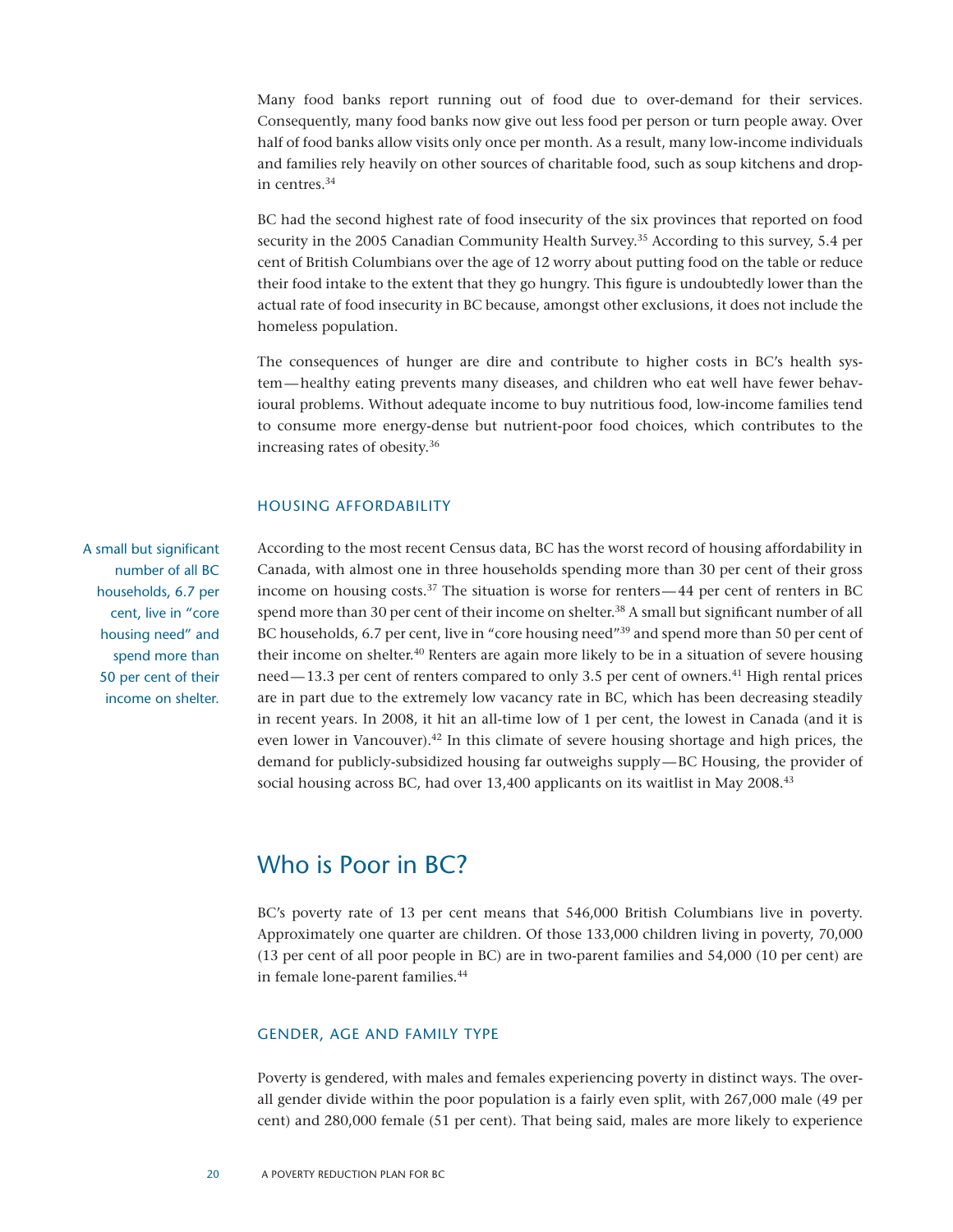Many food banks report running out of food due to over-demand for their services. Consequently, many food banks now give out less food per person or turn people away. Over half of food banks allow visits only once per month. As a result, many low-income individuals and families rely heavily on other sources of charitable food, such as soup kitchens and dropin centres.34

BC had the second highest rate of food insecurity of the six provinces that reported on food security in the 2005 Canadian Community Health Survey.<sup>35</sup> According to this survey, 5.4 per cent of British Columbians over the age of 12 worry about putting food on the table or reduce their food intake to the extent that they go hungry. This figure is undoubtedly lower than the actual rate of food insecurity in BC because, amongst other exclusions, it does not include the homeless population.

The consequences of hunger are dire and contribute to higher costs in BC's health system—healthy eating prevents many diseases, and children who eat well have fewer behavioural problems. Without adequate income to buy nutritious food, low-income families tend to consume more energy-dense but nutrient-poor food choices, which contributes to the increasing rates of obesity.36

#### Housing Affordability

A small but significant number of all BC households, 6.7 per cent, live in "core housing need" and spend more than 50 per cent of their income on shelter.

According to the most recent Census data, BC has the worst record of housing affordability in Canada, with almost one in three households spending more than 30 per cent of their gross income on housing costs.<sup>37</sup> The situation is worse for renters —44 per cent of renters in BC spend more than 30 per cent of their income on shelter.<sup>38</sup> A small but significant number of all BC households, 6.7 per cent, live in "core housing need"<sup>39</sup> and spend more than 50 per cent of their income on shelter.<sup>40</sup> Renters are again more likely to be in a situation of severe housing need—13.3 per cent of renters compared to only 3.5 per cent of owners.41 High rental prices are in part due to the extremely low vacancy rate in BC, which has been decreasing steadily in recent years. In 2008, it hit an all-time low of 1 per cent, the lowest in Canada (and it is even lower in Vancouver).<sup>42</sup> In this climate of severe housing shortage and high prices, the demand for publicly-subsidized housing far outweighs supply—BC Housing, the provider of social housing across BC, had over 13,400 applicants on its waitlist in May 2008.<sup>43</sup>

### Who is Poor in BC?

BC's poverty rate of 13 per cent means that 546,000 British Columbians live in poverty. Approximately one quarter are children. Of those 133,000 children living in poverty, 70,000 (13 per cent of all poor people in BC) are in two-parent families and 54,000 (10 per cent) are in female lone-parent families.<sup>44</sup>

#### Gender, Age and Family Type

Poverty is gendered, with males and females experiencing poverty in distinct ways. The overall gender divide within the poor population is a fairly even split, with 267,000 male (49 per cent) and 280,000 female (51 per cent). That being said, males are more likely to experience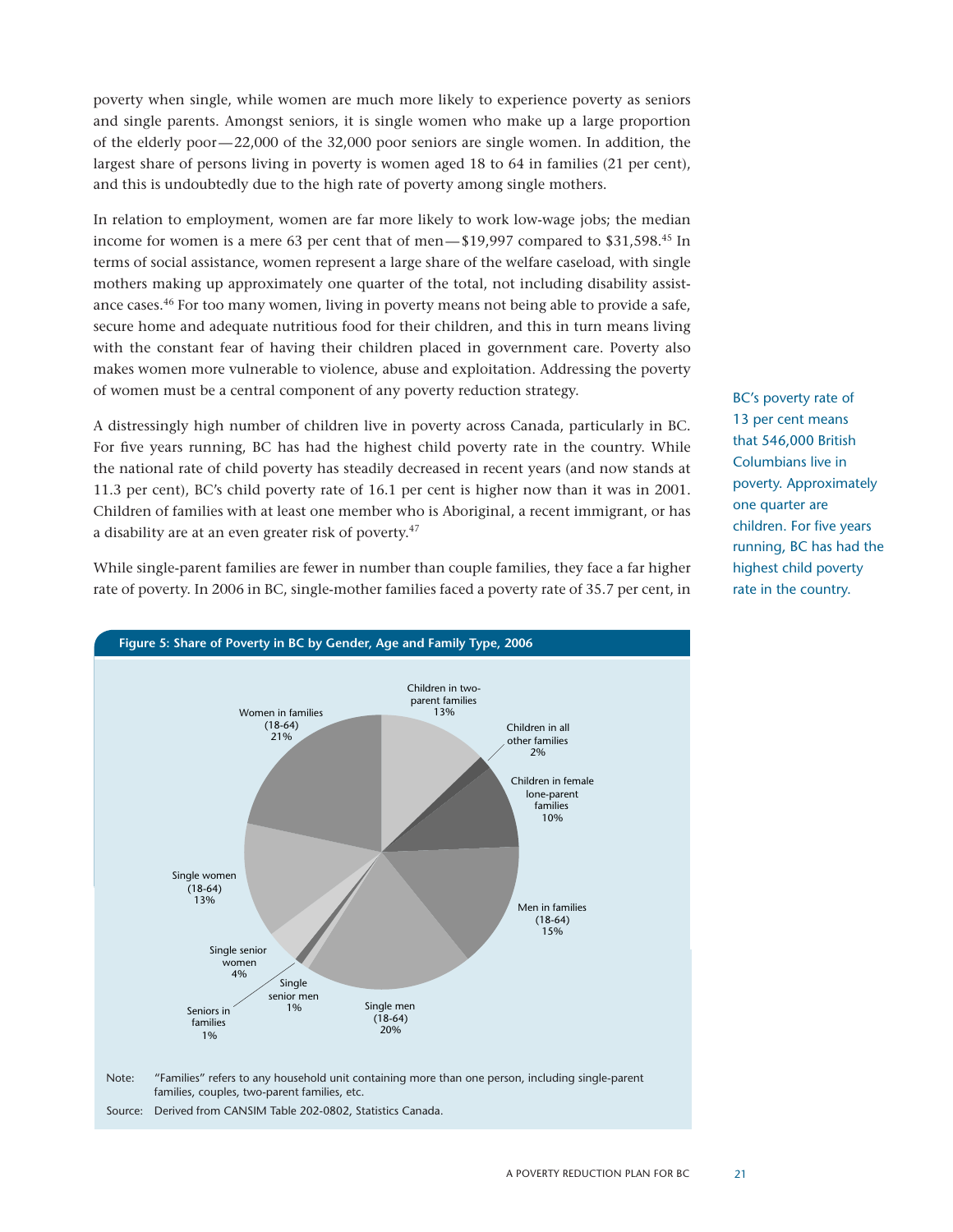poverty when single, while women are much more likely to experience poverty as seniors and single parents. Amongst seniors, it is single women who make up a large proportion of the elderly poor—22,000 of the 32,000 poor seniors are single women. In addition, the largest share of persons living in poverty is women aged 18 to 64 in families (21 per cent), and this is undoubtedly due to the high rate of poverty among single mothers.

In relation to employment, women are far more likely to work low-wage jobs; the median income for women is a mere 63 per cent that of men—\$19,997 compared to \$31,598.45 In terms of social assistance, women represent a large share of the welfare caseload, with single mothers making up approximately one quarter of the total, not including disability assistance cases.46 For too many women, living in poverty means not being able to provide a safe, secure home and adequate nutritious food for their children, and this in turn means living with the constant fear of having their children placed in government care. Poverty also makes women more vulnerable to violence, abuse and exploitation. Addressing the poverty of women must be a central component of any poverty reduction strategy.

A distressingly high number of children live in poverty across Canada, particularly in BC. For five years running, BC has had the highest child poverty rate in the country. While the national rate of child poverty has steadily decreased in recent years (and now stands at 11.3 per cent), BC's child poverty rate of 16.1 per cent is higher now than it was in 2001. Children of families with at least one member who is Aboriginal, a recent immigrant, or has a disability are at an even greater risk of poverty.<sup>47</sup>

While single-parent families are fewer in number than couple families, they face a far higher rate of poverty. In 2006 in BC, single-mother families faced a poverty rate of 35.7 per cent, in



families, couples, two-parent families, etc.

BC's poverty rate of 13 per cent means that 546,000 British Columbians live in poverty. Approximately one quarter are children. For five years running, BC has had the highest child poverty rate in the country.

Source: Derived from CANSIM Table 202-0802, Statistics Canada.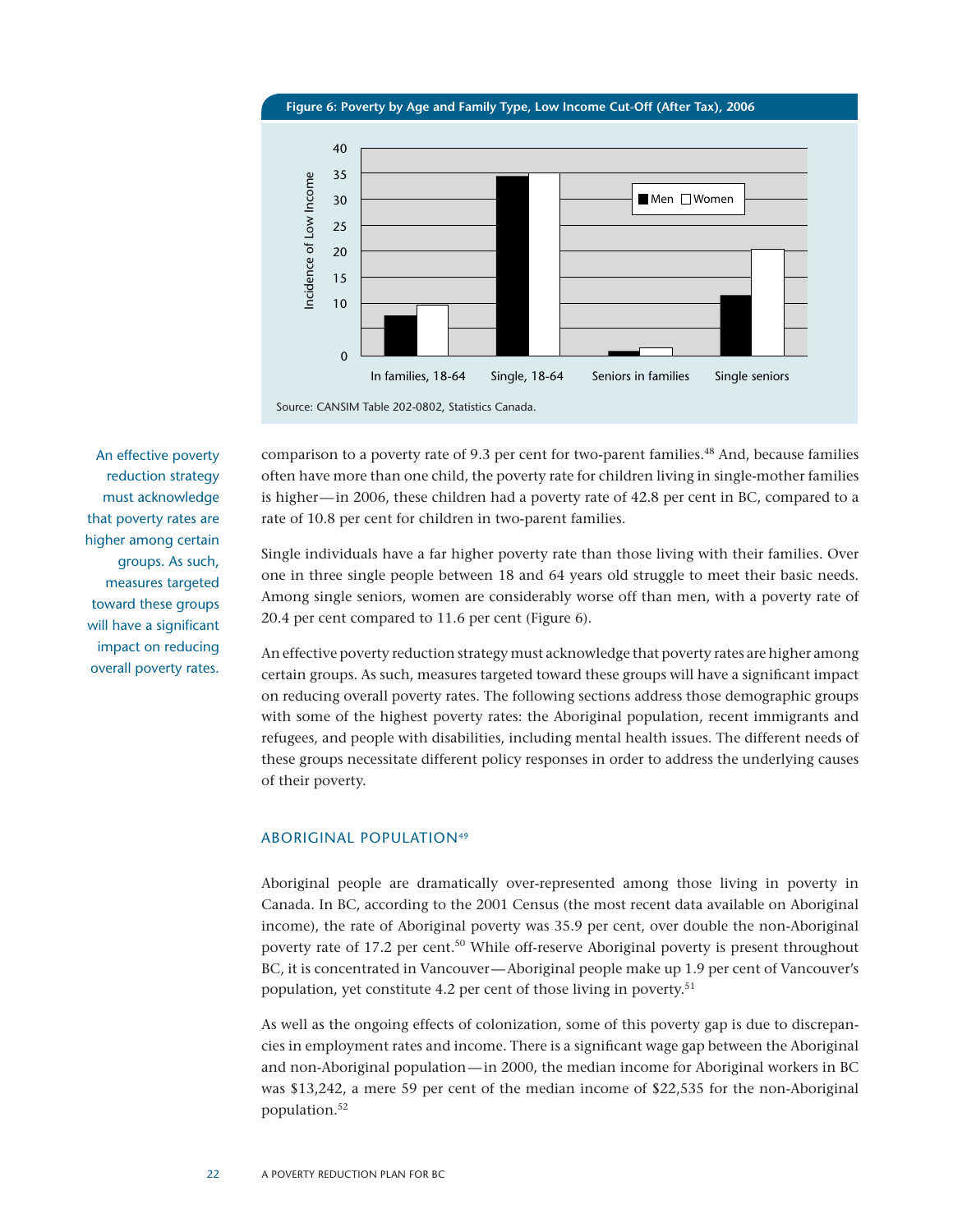**Figure 6: Poverty by Age and Family Type, Low Income Cut-Off (After Tax), 2006**



Source: CANSIM Table 202-0802, Statistics Canada.

An effective poverty reduction strategy must acknowledge that poverty rates are higher among certain groups. As such, measures targeted toward these groups will have a significant impact on reducing overall poverty rates. comparison to a poverty rate of 9.3 per cent for two-parent families.<sup>48</sup> And, because families often have more than one child, the poverty rate for children living in single-mother families is higher—in 2006, these children had a poverty rate of 42.8 per cent in BC, compared to a rate of 10.8 per cent for children in two-parent families.

Single individuals have a far higher poverty rate than those living with their families. Over one in three single people between 18 and 64 years old struggle to meet their basic needs. Among single seniors, women are considerably worse off than men, with a poverty rate of 20.4 per cent compared to 11.6 per cent (Figure 6).

An effective poverty reduction strategy must acknowledge that poverty rates are higher among certain groups. As such, measures targeted toward these groups will have a significant impact on reducing overall poverty rates. The following sections address those demographic groups with some of the highest poverty rates: the Aboriginal population, recent immigrants and refugees, and people with disabilities, including mental health issues. The different needs of these groups necessitate different policy responses in order to address the underlying causes of their poverty.

#### ABORIGINAL POPULATION<sup>49</sup>

Aboriginal people are dramatically over-represented among those living in poverty in Canada. In BC, according to the 2001 Census (the most recent data available on Aboriginal income), the rate of Aboriginal poverty was 35.9 per cent, over double the non-Aboriginal poverty rate of 17.2 per cent.<sup>50</sup> While off-reserve Aboriginal poverty is present throughout BC, it is concentrated in Vancouver—Aboriginal people make up 1.9 per cent of Vancouver's population, yet constitute 4.2 per cent of those living in poverty.<sup>51</sup>

As well as the ongoing effects of colonization, some of this poverty gap is due to discrepancies in employment rates and income. There is a significant wage gap between the Aboriginal and non-Aboriginal population—in 2000, the median income for Aboriginal workers in BC was \$13,242, a mere 59 per cent of the median income of \$22,535 for the non-Aboriginal population.52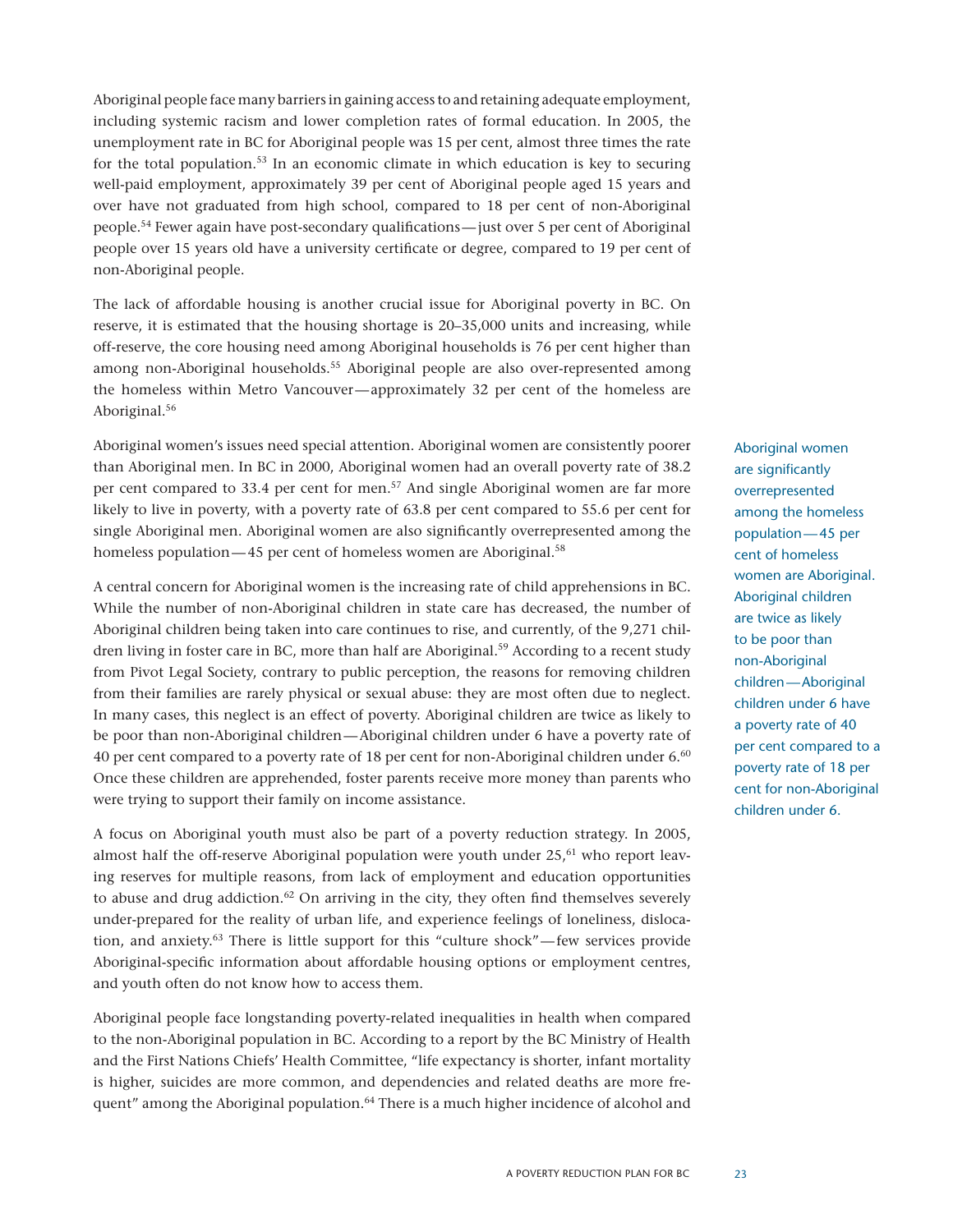Aboriginal people face many barriers in gaining access to and retaining adequate employment, including systemic racism and lower completion rates of formal education. In 2005, the unemployment rate in BC for Aboriginal people was 15 per cent, almost three times the rate for the total population. $53$  In an economic climate in which education is key to securing well-paid employment, approximately 39 per cent of Aboriginal people aged 15 years and over have not graduated from high school, compared to 18 per cent of non-Aboriginal people.54 Fewer again have post-secondary qualifications—just over 5 per cent of Aboriginal people over 15 years old have a university certificate or degree, compared to 19 per cent of non-Aboriginal people.

The lack of affordable housing is another crucial issue for Aboriginal poverty in BC. On reserve, it is estimated that the housing shortage is 20–35,000 units and increasing, while off-reserve, the core housing need among Aboriginal households is 76 per cent higher than among non-Aboriginal households.<sup>55</sup> Aboriginal people are also over-represented among the homeless within Metro Vancouver—approximately 32 per cent of the homeless are Aboriginal.<sup>56</sup>

Aboriginal women's issues need special attention. Aboriginal women are consistently poorer than Aboriginal men. In BC in 2000, Aboriginal women had an overall poverty rate of 38.2 per cent compared to 33.4 per cent for men.57 And single Aboriginal women are far more likely to live in poverty, with a poverty rate of 63.8 per cent compared to 55.6 per cent for single Aboriginal men. Aboriginal women are also significantly overrepresented among the homeless population—45 per cent of homeless women are Aboriginal.<sup>58</sup>

A central concern for Aboriginal women is the increasing rate of child apprehensions in BC. While the number of non-Aboriginal children in state care has decreased, the number of Aboriginal children being taken into care continues to rise, and currently, of the 9,271 children living in foster care in BC, more than half are Aboriginal.<sup>59</sup> According to a recent study from Pivot Legal Society, contrary to public perception, the reasons for removing children from their families are rarely physical or sexual abuse: they are most often due to neglect. In many cases, this neglect is an effect of poverty. Aboriginal children are twice as likely to be poor than non-Aboriginal children—Aboriginal children under 6 have a poverty rate of 40 per cent compared to a poverty rate of 18 per cent for non-Aboriginal children under 6.<sup>60</sup> Once these children are apprehended, foster parents receive more money than parents who were trying to support their family on income assistance.

A focus on Aboriginal youth must also be part of a poverty reduction strategy. In 2005, almost half the off-reserve Aboriginal population were youth under  $25$ ,<sup>61</sup> who report leaving reserves for multiple reasons, from lack of employment and education opportunities to abuse and drug addiction.<sup>62</sup> On arriving in the city, they often find themselves severely under-prepared for the reality of urban life, and experience feelings of loneliness, dislocation, and anxiety.63 There is little support for this "culture shock"—few services provide Aboriginal-specific information about affordable housing options or employment centres, and youth often do not know how to access them.

Aboriginal people face longstanding poverty-related inequalities in health when compared to the non-Aboriginal population in BC. According to a report by the BC Ministry of Health and the First Nations Chiefs' Health Committee, "life expectancy is shorter, infant mortality is higher, suicides are more common, and dependencies and related deaths are more frequent" among the Aboriginal population.<sup>64</sup> There is a much higher incidence of alcohol and

Aboriginal women are significantly overrepresented among the homeless population—45 per cent of homeless women are Aboriginal. Aboriginal children are twice as likely to be poor than non-Aboriginal children—Aboriginal children under 6 have a poverty rate of 40 per cent compared to a poverty rate of 18 per cent for non-Aboriginal children under 6.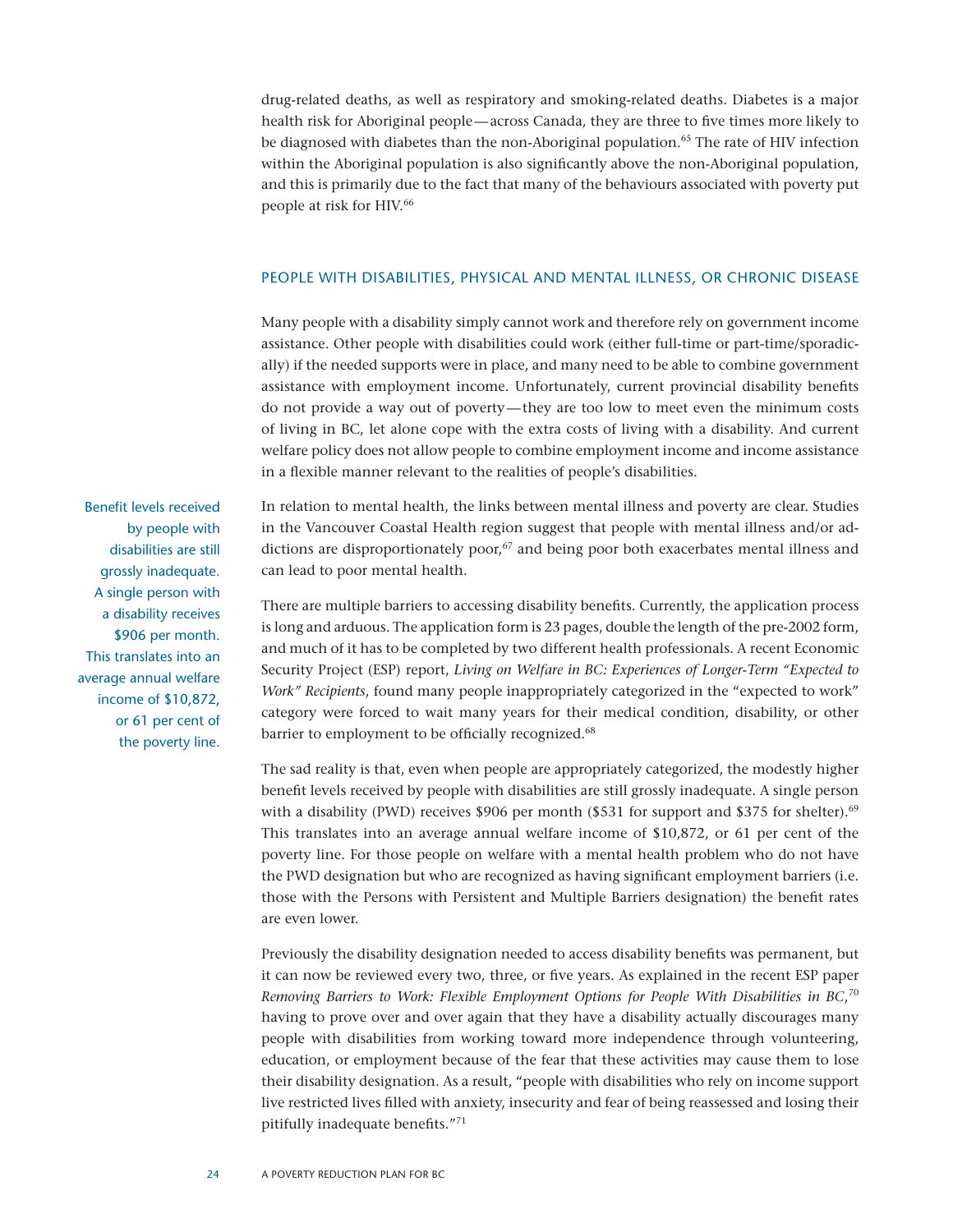drug-related deaths, as well as respiratory and smoking-related deaths. Diabetes is a major health risk for Aboriginal people—across Canada, they are three to five times more likely to be diagnosed with diabetes than the non-Aboriginal population.<sup>65</sup> The rate of HIV infection within the Aboriginal population is also significantly above the non-Aboriginal population, and this is primarily due to the fact that many of the behaviours associated with poverty put people at risk for HIV.<sup>66</sup>

#### People with Disabilities, Physical and Mental Illness, or Chronic Disease

Many people with a disability simply cannot work and therefore rely on government income assistance. Other people with disabilities could work (either full-time or part-time/sporadically) if the needed supports were in place, and many need to be able to combine government assistance with employment income. Unfortunately, current provincial disability benefits do not provide a way out of poverty—they are too low to meet even the minimum costs of living in BC, let alone cope with the extra costs of living with a disability. And current welfare policy does not allow people to combine employment income and income assistance in a flexible manner relevant to the realities of people's disabilities.

In relation to mental health, the links between mental illness and poverty are clear. Studies in the Vancouver Coastal Health region suggest that people with mental illness and/or addictions are disproportionately poor, $67$  and being poor both exacerbates mental illness and can lead to poor mental health.

There are multiple barriers to accessing disability benefits. Currently, the application process is long and arduous. The application form is 23 pages, double the length of the pre-2002 form, and much of it has to be completed by two different health professionals. A recent Economic Security Project (ESP) report, *Living on Welfare in BC: Experiences of Longer-Term "Expected to Work" Recipients*, found many people inappropriately categorized in the "expected to work" category were forced to wait many years for their medical condition, disability, or other barrier to employment to be officially recognized.<sup>68</sup>

The sad reality is that, even when people are appropriately categorized, the modestly higher benefit levels received by people with disabilities are still grossly inadequate. A single person with a disability (PWD) receives \$906 per month (\$531 for support and \$375 for shelter).<sup>69</sup> This translates into an average annual welfare income of \$10,872, or 61 per cent of the poverty line. For those people on welfare with a mental health problem who do not have the PWD designation but who are recognized as having significant employment barriers (i.e. those with the Persons with Persistent and Multiple Barriers designation) the benefit rates are even lower.

Previously the disability designation needed to access disability benefits was permanent, but it can now be reviewed every two, three, or five years. As explained in the recent ESP paper *Removing Barriers to Work: Flexible Employment Options for People With Disabilities in BC*, 70 having to prove over and over again that they have a disability actually discourages many people with disabilities from working toward more independence through volunteering, education, or employment because of the fear that these activities may cause them to lose their disability designation. As a result, "people with disabilities who rely on income support live restricted lives filled with anxiety, insecurity and fear of being reassessed and losing their pitifully inadequate benefits."71

Benefit levels received by people with disabilities are still grossly inadequate. A single person with a disability receives \$906 per month. This translates into an average annual welfare income of \$10,872, or 61 per cent of the poverty line.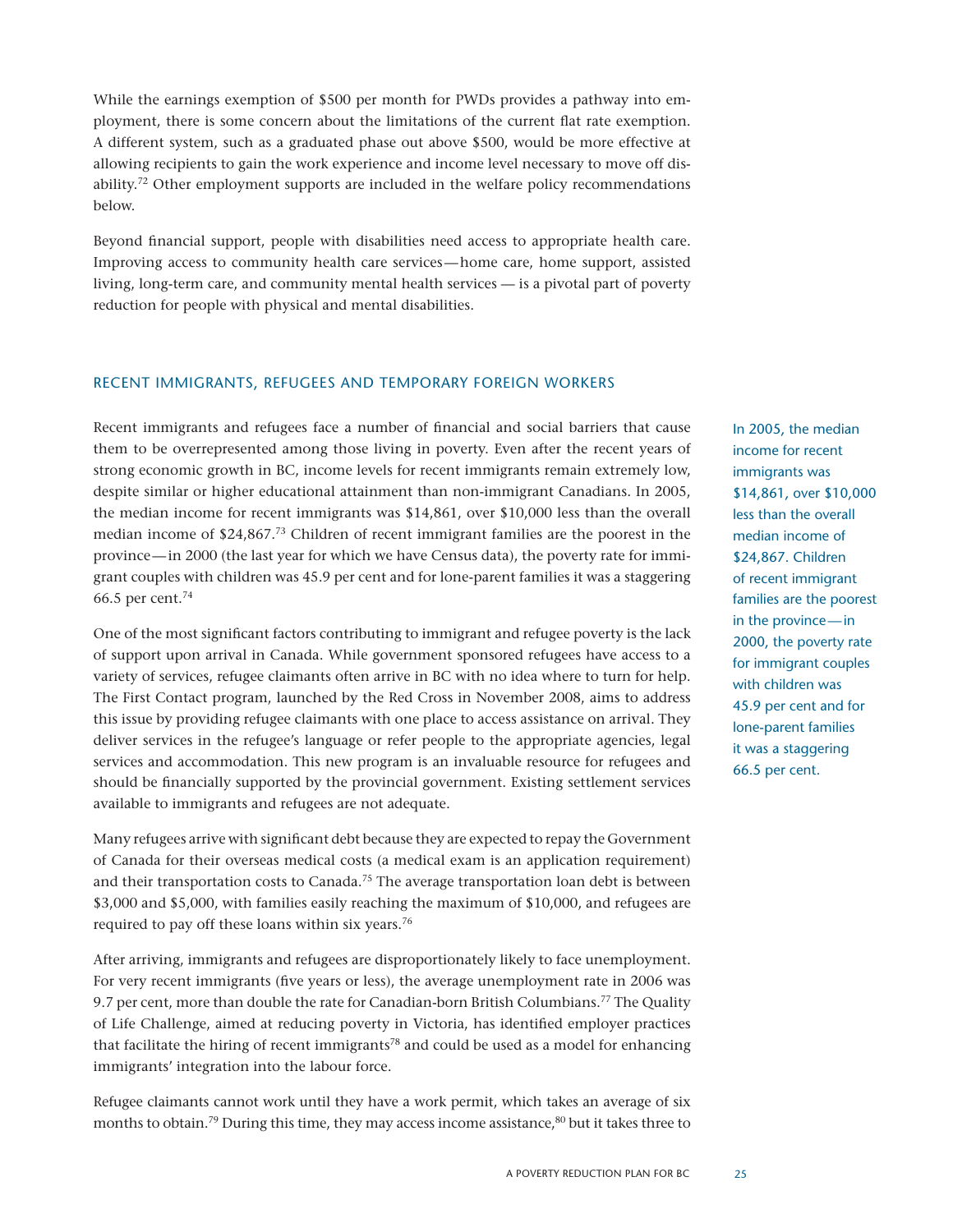While the earnings exemption of \$500 per month for PWDs provides a pathway into employment, there is some concern about the limitations of the current flat rate exemption. A different system, such as a graduated phase out above \$500, would be more effective at allowing recipients to gain the work experience and income level necessary to move off disability.<sup>72</sup> Other employment supports are included in the welfare policy recommendations below.

Beyond financial support, people with disabilities need access to appropriate health care. Improving access to community health care services—home care, home support, assisted living, long-term care, and community mental health services –– is a pivotal part of poverty reduction for people with physical and mental disabilities.

#### Recent Immigrants, Refugees and Temporary Foreign Workers

Recent immigrants and refugees face a number of financial and social barriers that cause them to be overrepresented among those living in poverty. Even after the recent years of strong economic growth in BC, income levels for recent immigrants remain extremely low, despite similar or higher educational attainment than non-immigrant Canadians. In 2005, the median income for recent immigrants was \$14,861, over \$10,000 less than the overall median income of \$24,867.73 Children of recent immigrant families are the poorest in the province—in 2000 (the last year for which we have Census data), the poverty rate for immigrant couples with children was 45.9 per cent and for lone-parent families it was a staggering 66.5 per cent.74

One of the most significant factors contributing to immigrant and refugee poverty is the lack of support upon arrival in Canada. While government sponsored refugees have access to a variety of services, refugee claimants often arrive in BC with no idea where to turn for help. The First Contact program, launched by the Red Cross in November 2008, aims to address this issue by providing refugee claimants with one place to access assistance on arrival. They deliver services in the refugee's language or refer people to the appropriate agencies, legal services and accommodation. This new program is an invaluable resource for refugees and should be financially supported by the provincial government. Existing settlement services available to immigrants and refugees are not adequate.

Many refugees arrive with significant debt because they are expected to repay the Government of Canada for their overseas medical costs (a medical exam is an application requirement) and their transportation costs to Canada.<sup>75</sup> The average transportation loan debt is between \$3,000 and \$5,000, with families easily reaching the maximum of \$10,000, and refugees are required to pay off these loans within six years.<sup>76</sup>

After arriving, immigrants and refugees are disproportionately likely to face unemployment. For very recent immigrants (five years or less), the average unemployment rate in 2006 was 9.7 per cent, more than double the rate for Canadian-born British Columbians.<sup>77</sup> The Quality of Life Challenge, aimed at reducing poverty in Victoria, has identified employer practices that facilitate the hiring of recent immigrants<sup>78</sup> and could be used as a model for enhancing immigrants' integration into the labour force.

Refugee claimants cannot work until they have a work permit, which takes an average of six months to obtain.<sup>79</sup> During this time, they may access income assistance,  ${}^{80}$  but it takes three to In 2005, the median income for recent immigrants was \$14,861, over \$10,000 less than the overall median income of \$24,867. Children of recent immigrant families are the poorest in the province—in 2000, the poverty rate for immigrant couples with children was 45.9 per cent and for lone-parent families it was a staggering 66.5 per cent.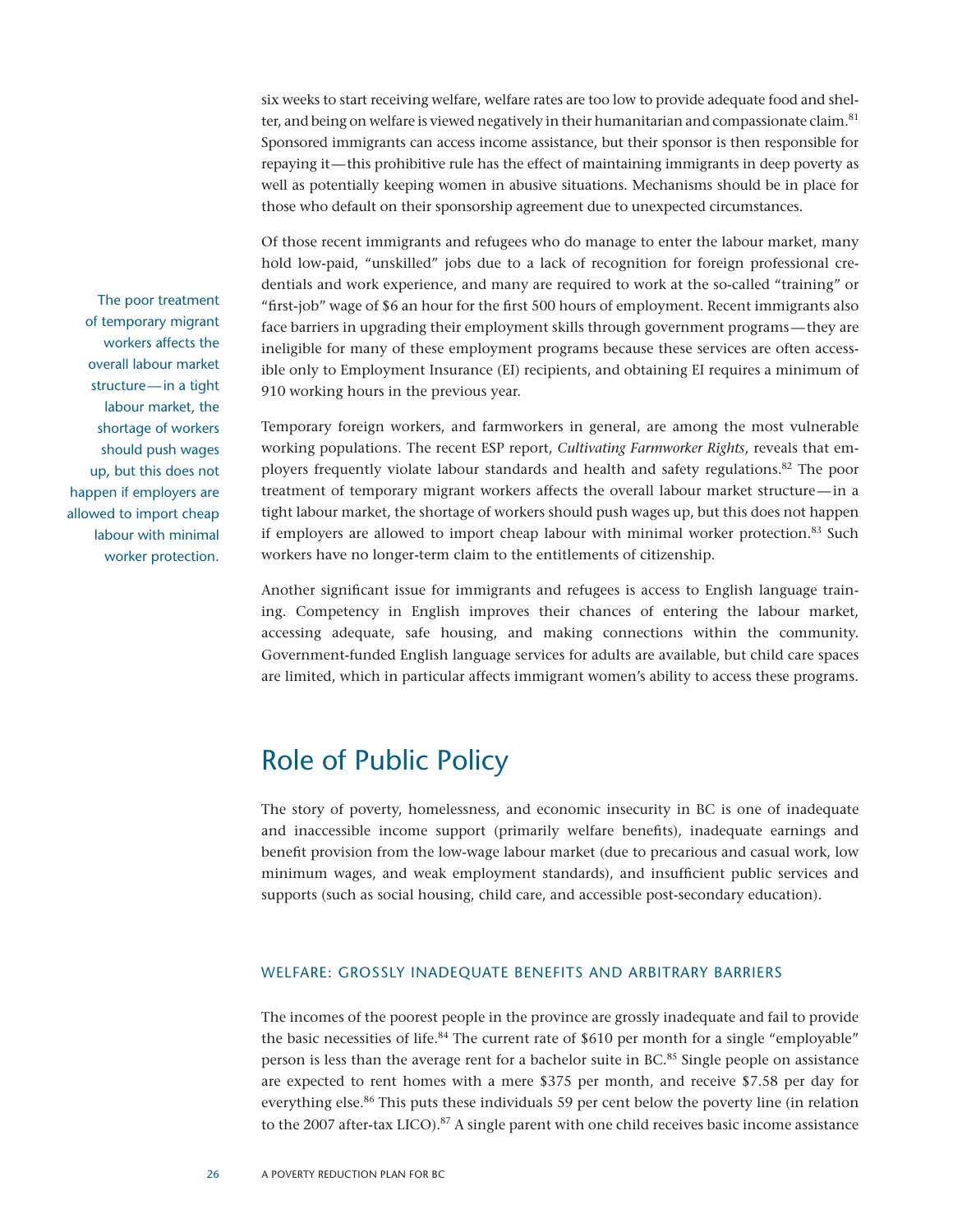six weeks to start receiving welfare, welfare rates are too low to provide adequate food and shelter, and being on welfare is viewed negatively in their humanitarian and compassionate claim.<sup>81</sup> Sponsored immigrants can access income assistance, but their sponsor is then responsible for repaying it—this prohibitive rule has the effect of maintaining immigrants in deep poverty as well as potentially keeping women in abusive situations. Mechanisms should be in place for those who default on their sponsorship agreement due to unexpected circumstances.

Of those recent immigrants and refugees who do manage to enter the labour market, many hold low-paid, "unskilled" jobs due to a lack of recognition for foreign professional credentials and work experience, and many are required to work at the so-called "training" or "first-job" wage of \$6 an hour for the first 500 hours of employment. Recent immigrants also face barriers in upgrading their employment skills through government programs—they are ineligible for many of these employment programs because these services are often accessible only to Employment Insurance (EI) recipients, and obtaining EI requires a minimum of 910 working hours in the previous year.

Temporary foreign workers, and farmworkers in general, are among the most vulnerable working populations. The recent ESP report, *Cultivating Farmworker Rights*, reveals that employers frequently violate labour standards and health and safety regulations.<sup>82</sup> The poor treatment of temporary migrant workers affects the overall labour market structure—in a tight labour market, the shortage of workers should push wages up, but this does not happen if employers are allowed to import cheap labour with minimal worker protection.<sup>83</sup> Such workers have no longer-term claim to the entitlements of citizenship.

Another significant issue for immigrants and refugees is access to English language training. Competency in English improves their chances of entering the labour market, accessing adequate, safe housing, and making connections within the community. Government-funded English language services for adults are available, but child care spaces are limited, which in particular affects immigrant women's ability to access these programs.

## Role of Public Policy

The story of poverty, homelessness, and economic insecurity in BC is one of inadequate and inaccessible income support (primarily welfare benefits), inadequate earnings and benefit provision from the low-wage labour market (due to precarious and casual work, low minimum wages, and weak employment standards), and insufficient public services and supports (such as social housing, child care, and accessible post-secondary education).

#### Welfare: Grossly Inadequate Benefits and Arbitrary Barriers

The incomes of the poorest people in the province are grossly inadequate and fail to provide the basic necessities of life.<sup>84</sup> The current rate of \$610 per month for a single "employable" person is less than the average rent for a bachelor suite in BC.<sup>85</sup> Single people on assistance are expected to rent homes with a mere \$375 per month, and receive \$7.58 per day for everything else.<sup>86</sup> This puts these individuals 59 per cent below the poverty line (in relation to the 2007 after-tax LICO).<sup>87</sup> A single parent with one child receives basic income assistance

The poor treatment of temporary migrant workers affects the overall labour market structure—in a tight labour market, the shortage of workers should push wages up, but this does not happen if employers are allowed to import cheap labour with minimal worker protection.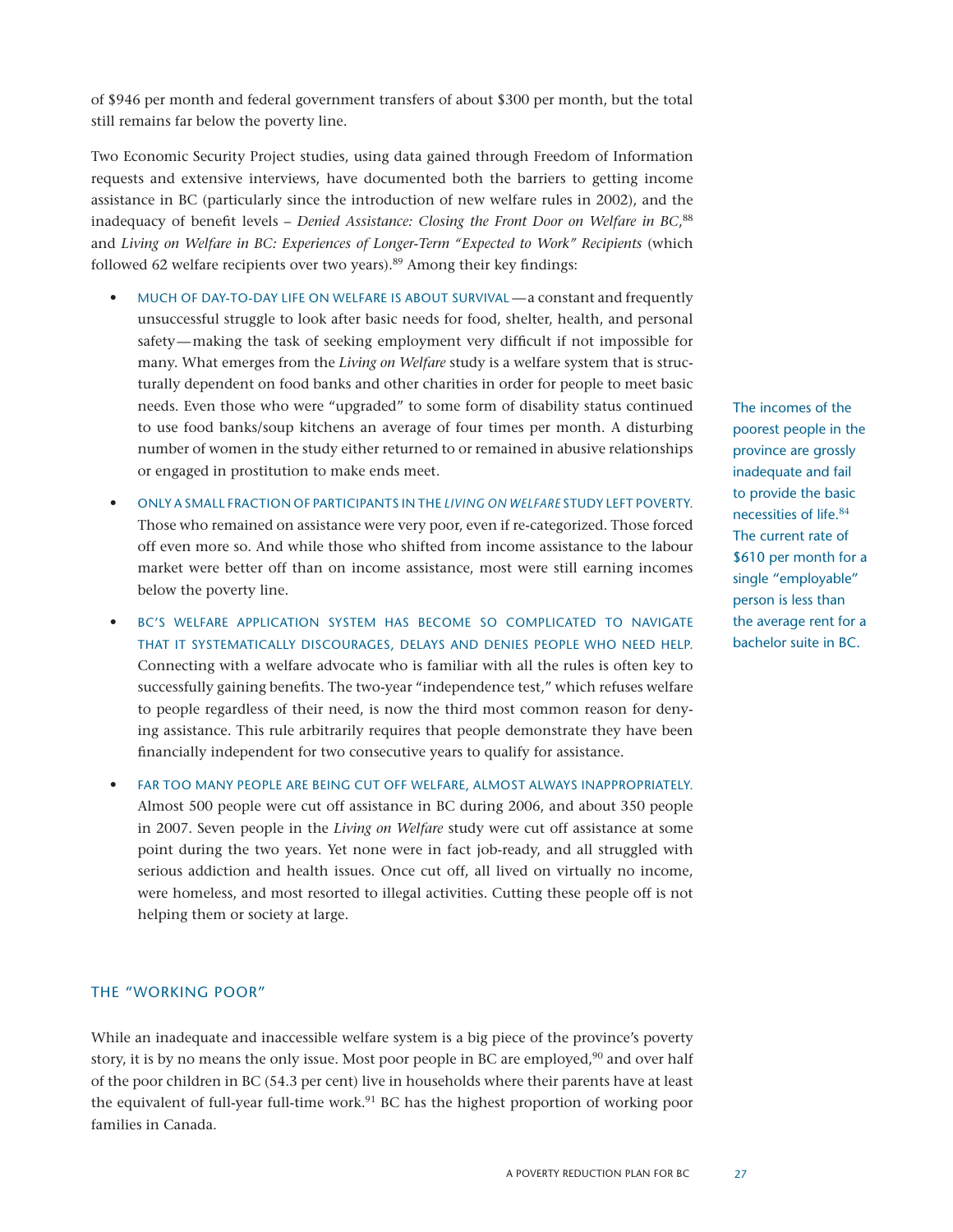of \$946 per month and federal government transfers of about \$300 per month, but the total still remains far below the poverty line.

Two Economic Security Project studies, using data gained through Freedom of Information requests and extensive interviews, have documented both the barriers to getting income assistance in BC (particularly since the introduction of new welfare rules in 2002), and the inadequacy of benefit levels – *Denied Assistance: Closing the Front Door on Welfare in BC*, 88 and *Living on Welfare in BC: Experiences of Longer-Term "Expected to Work" Recipients* (which followed 62 welfare recipients over two years).<sup>89</sup> Among their key findings:

- MUCH OF DAY-TO-DAY LIFE ON WELFARE IS ABOUT SURVIVAL a constant and frequently unsuccessful struggle to look after basic needs for food, shelter, health, and personal safety—making the task of seeking employment very difficult if not impossible for many. What emerges from the *Living on Welfare* study is a welfare system that is structurally dependent on food banks and other charities in order for people to meet basic needs. Even those who were "upgraded" to some form of disability status continued to use food banks/soup kitchens an average of four times per month. A disturbing number of women in the study either returned to or remained in abusive relationships or engaged in prostitution to make ends meet.
- • Only a small fraction of participants in the *Living on Welfare* study left poverty. Those who remained on assistance were very poor, even if re-categorized. Those forced off even more so. And while those who shifted from income assistance to the labour market were better off than on income assistance, most were still earning incomes below the poverty line.
- BC'S WELFARE APPLICATION SYSTEM HAS BECOME SO COMPLICATED TO NAVIGATE that it systematically discourages, delays and denies people who need help. Connecting with a welfare advocate who is familiar with all the rules is often key to successfully gaining benefits. The two-year "independence test," which refuses welfare to people regardless of their need, is now the third most common reason for denying assistance. This rule arbitrarily requires that people demonstrate they have been financially independent for two consecutive years to qualify for assistance.
- FAR TOO MANY PEOPLE ARE BEING CUT OFF WELFARE, ALMOST ALWAYS INAPPROPRIATELY. Almost 500 people were cut off assistance in BC during 2006, and about 350 people in 2007. Seven people in the *Living on Welfare* study were cut off assistance at some point during the two years. Yet none were in fact job-ready, and all struggled with serious addiction and health issues. Once cut off, all lived on virtually no income, were homeless, and most resorted to illegal activities. Cutting these people off is not helping them or society at large.

#### The "Working Poor"

While an inadequate and inaccessible welfare system is a big piece of the province's poverty story, it is by no means the only issue. Most poor people in BC are employed, $90$  and over half of the poor children in BC (54.3 per cent) live in households where their parents have at least the equivalent of full-year full-time work.91 BC has the highest proportion of working poor families in Canada.

The incomes of the poorest people in the province are grossly inadequate and fail to provide the basic necessities of life.<sup>84</sup> The current rate of \$610 per month for a single "employable" person is less than the average rent for a bachelor suite in BC.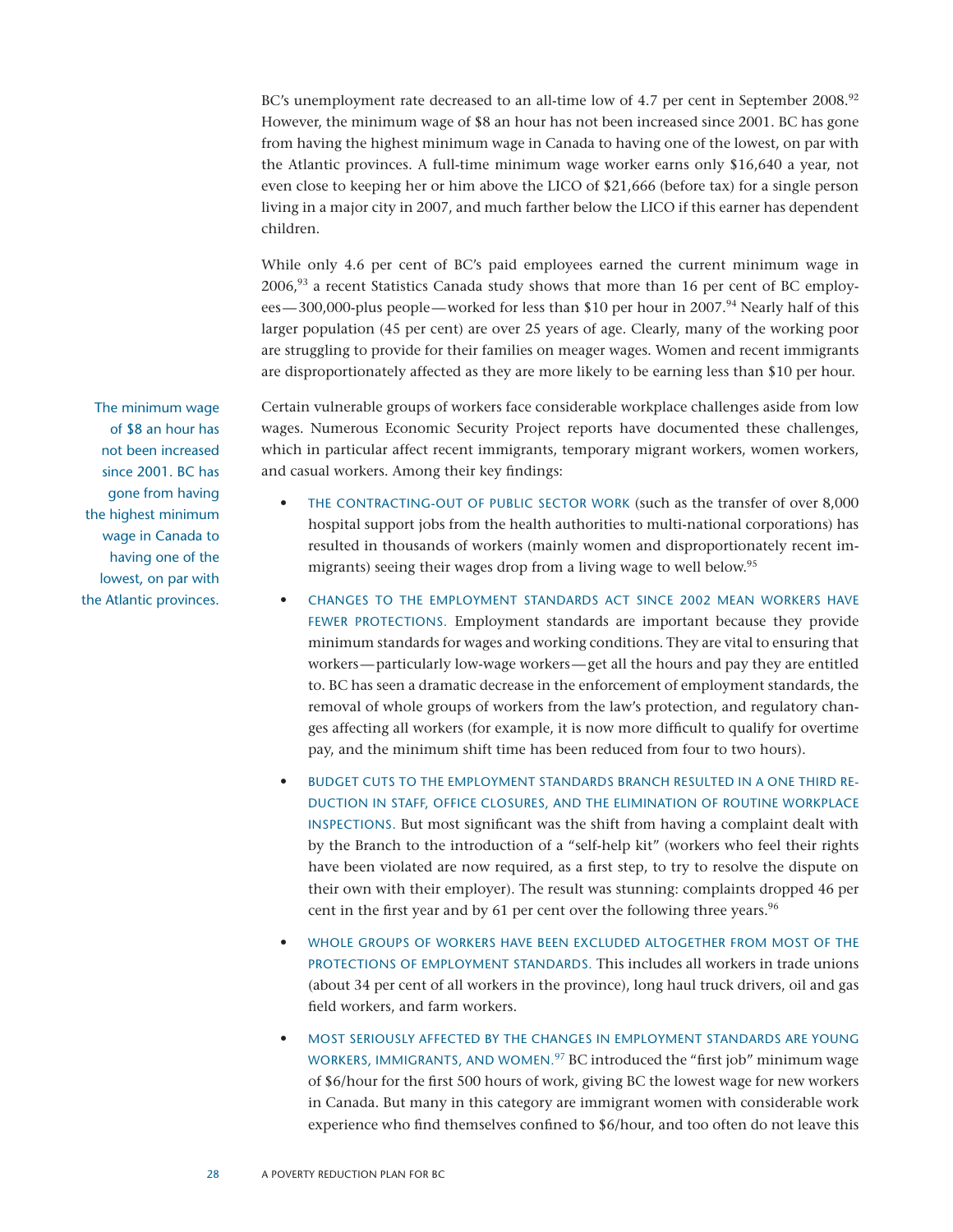BC's unemployment rate decreased to an all-time low of 4.7 per cent in September 2008.<sup>92</sup> However, the minimum wage of \$8 an hour has not been increased since 2001. BC has gone from having the highest minimum wage in Canada to having one of the lowest, on par with the Atlantic provinces. A full-time minimum wage worker earns only \$16,640 a year, not even close to keeping her or him above the LICO of \$21,666 (before tax) for a single person living in a major city in 2007, and much farther below the LICO if this earner has dependent children.

While only 4.6 per cent of BC's paid employees earned the current minimum wage in  $2006<sup>93</sup>$  a recent Statistics Canada study shows that more than 16 per cent of BC employees—300,000-plus people—worked for less than \$10 per hour in 2007.<sup>94</sup> Nearly half of this larger population (45 per cent) are over 25 years of age. Clearly, many of the working poor are struggling to provide for their families on meager wages. Women and recent immigrants are disproportionately affected as they are more likely to be earning less than \$10 per hour.

Certain vulnerable groups of workers face considerable workplace challenges aside from low wages. Numerous Economic Security Project reports have documented these challenges, which in particular affect recent immigrants, temporary migrant workers, women workers, and casual workers. Among their key findings:

- THE CONTRACTING-OUT OF PUBLIC SECTOR WORK (such as the transfer of over 8,000 hospital support jobs from the health authorities to multi-national corporations) has resulted in thousands of workers (mainly women and disproportionately recent immigrants) seeing their wages drop from a living wage to well below.<sup>95</sup>
- CHANGES TO THE EMPLOYMENT STANDARDS ACT SINCE 2002 MEAN WORKERS HAVE fewer protections. Employment standards are important because they provide minimum standards for wages and working conditions. They are vital to ensuring that workers—particularly low-wage workers—get all the hours and pay they are entitled to. BC has seen a dramatic decrease in the enforcement of employment standards, the removal of whole groups of workers from the law's protection, and regulatory changes affecting all workers (for example, it is now more difficult to qualify for overtime pay, and the minimum shift time has been reduced from four to two hours).
- BUDGET CUTS TO THE EMPLOYMENT STANDARDS BRANCH RESULTED IN A ONE THIRD REduction in staff, office closures, and the elimination of routine workplace inspections. But most significant was the shift from having a complaint dealt with by the Branch to the introduction of a "self-help kit" (workers who feel their rights have been violated are now required, as a first step, to try to resolve the dispute on their own with their employer). The result was stunning: complaints dropped 46 per cent in the first year and by 61 per cent over the following three years.<sup>96</sup>
- WHOLE GROUPS OF WORKERS HAVE BEEN EXCLUDED ALTOGETHER FROM MOST OF THE protections of Employment Standards. This includes all workers in trade unions (about 34 per cent of all workers in the province), long haul truck drivers, oil and gas field workers, and farm workers.
- MOST SERIOUSLY AFFECTED BY THE CHANGES IN EMPLOYMENT STANDARDS ARE YOUNG WORKERS, IMMIGRANTS, AND WOMEN.<sup>97</sup> BC introduced the "first job" minimum wage of \$6/hour for the first 500 hours of work, giving BC the lowest wage for new workers in Canada. But many in this category are immigrant women with considerable work experience who find themselves confined to \$6/hour, and too often do not leave this

The minimum wage of \$8 an hour has not been increased since 2001. BC has gone from having the highest minimum wage in Canada to having one of the lowest, on par with the Atlantic provinces.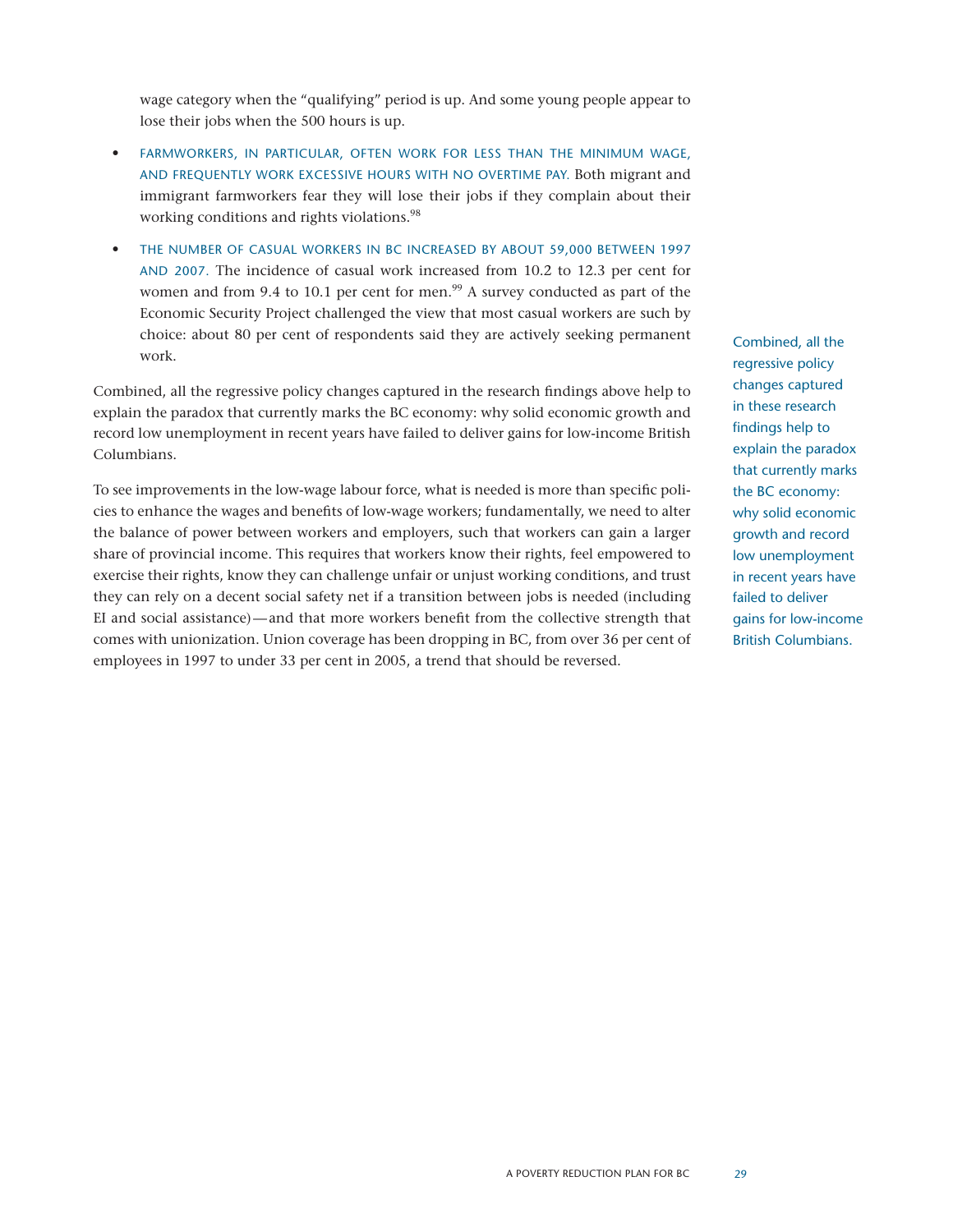wage category when the "qualifying" period is up. And some young people appear to lose their jobs when the 500 hours is up.

- FARMWORKERS, IN PARTICULAR, OFTEN WORK FOR LESS THAN THE MINIMUM WAGE, and frequently work excessive hours with no overtime pay. Both migrant and immigrant farmworkers fear they will lose their jobs if they complain about their working conditions and rights violations.<sup>98</sup>
- THE NUMBER OF CASUAL WORKERS IN BC INCREASED BY ABOUT 59,000 BETWEEN 1997 and 2007. The incidence of casual work increased from 10.2 to 12.3 per cent for women and from 9.4 to 10.1 per cent for men.<sup>99</sup> A survey conducted as part of the Economic Security Project challenged the view that most casual workers are such by choice: about 80 per cent of respondents said they are actively seeking permanent work.

Combined, all the regressive policy changes captured in the research findings above help to explain the paradox that currently marks the BC economy: why solid economic growth and record low unemployment in recent years have failed to deliver gains for low-income British Columbians.

To see improvements in the low-wage labour force, what is needed is more than specific policies to enhance the wages and benefits of low-wage workers; fundamentally, we need to alter the balance of power between workers and employers, such that workers can gain a larger share of provincial income. This requires that workers know their rights, feel empowered to exercise their rights, know they can challenge unfair or unjust working conditions, and trust they can rely on a decent social safety net if a transition between jobs is needed (including EI and social assistance)—and that more workers benefit from the collective strength that comes with unionization. Union coverage has been dropping in BC, from over 36 per cent of employees in 1997 to under 33 per cent in 2005, a trend that should be reversed.

Combined, all the regressive policy changes captured in these research findings help to explain the paradox that currently marks the BC economy: why solid economic growth and record low unemployment in recent years have failed to deliver gains for low-income British Columbians.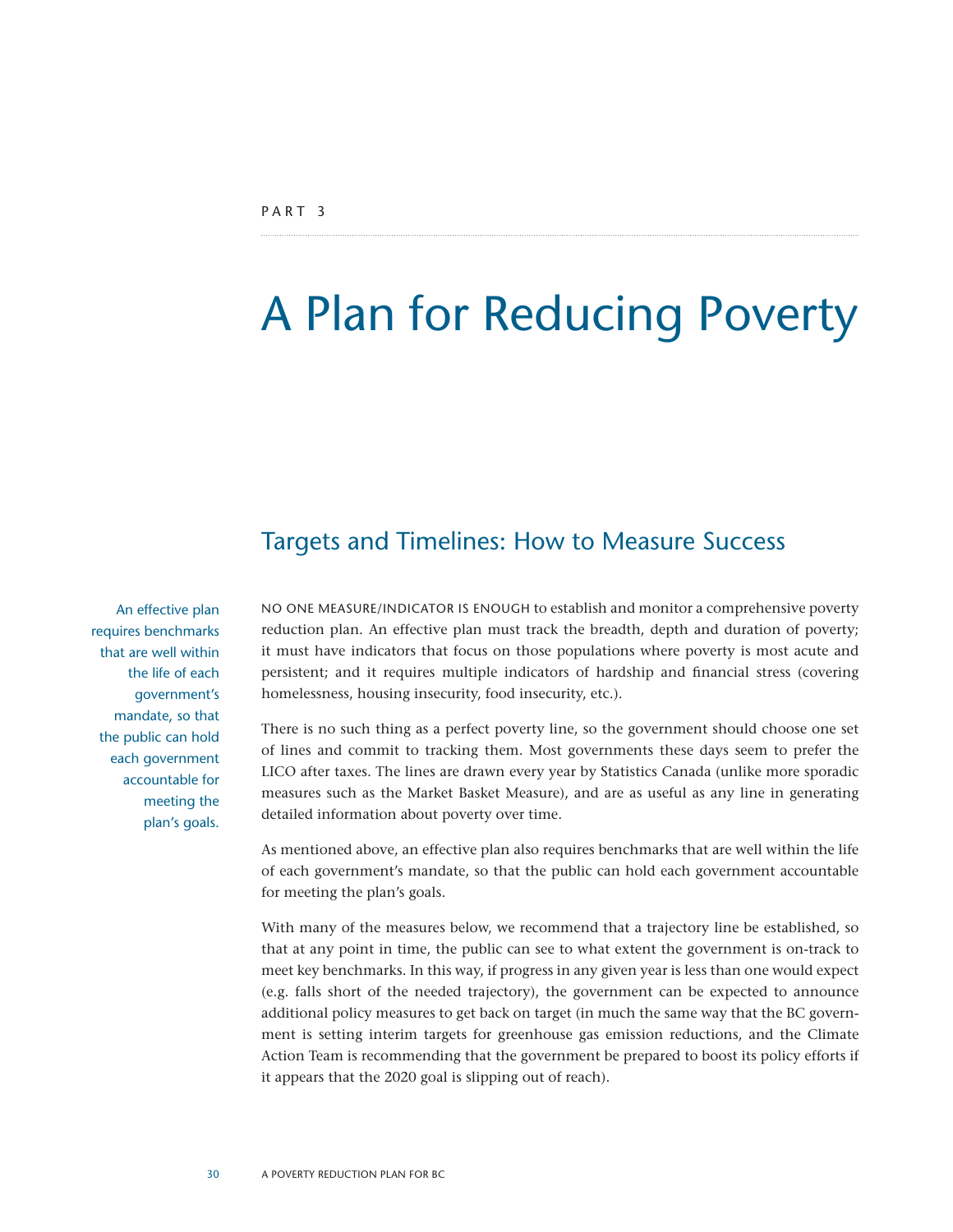## A Plan for Reducing Poverty

### Targets and Timelines: How to Measure Success

An effective plan requires benchmarks that are well within the life of each government's mandate, so that the public can hold each government accountable for meeting the plan's goals. No one measure/indicator is enough to establish and monitor a comprehensive poverty reduction plan. An effective plan must track the breadth, depth and duration of poverty; it must have indicators that focus on those populations where poverty is most acute and persistent; and it requires multiple indicators of hardship and financial stress (covering homelessness, housing insecurity, food insecurity, etc.).

There is no such thing as a perfect poverty line, so the government should choose one set of lines and commit to tracking them. Most governments these days seem to prefer the LICO after taxes. The lines are drawn every year by Statistics Canada (unlike more sporadic measures such as the Market Basket Measure), and are as useful as any line in generating detailed information about poverty over time.

As mentioned above, an effective plan also requires benchmarks that are well within the life of each government's mandate, so that the public can hold each government accountable for meeting the plan's goals.

With many of the measures below, we recommend that a trajectory line be established, so that at any point in time, the public can see to what extent the government is on-track to meet key benchmarks. In this way, if progress in any given year is less than one would expect (e.g. falls short of the needed trajectory), the government can be expected to announce additional policy measures to get back on target (in much the same way that the BC government is setting interim targets for greenhouse gas emission reductions, and the Climate Action Team is recommending that the government be prepared to boost its policy efforts if it appears that the 2020 goal is slipping out of reach).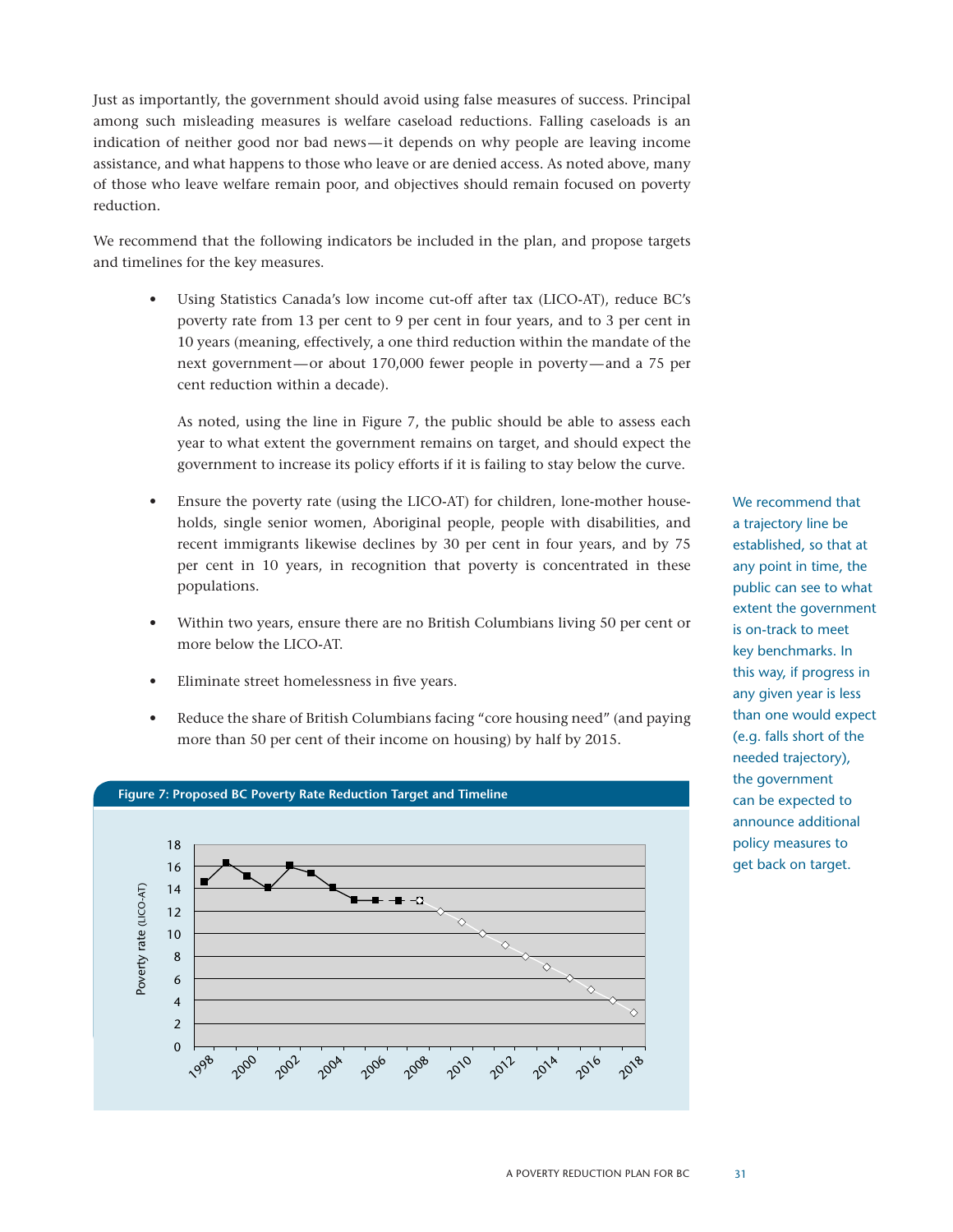Just as importantly, the government should avoid using false measures of success. Principal among such misleading measures is welfare caseload reductions. Falling caseloads is an indication of neither good nor bad news—it depends on why people are leaving income assistance, and what happens to those who leave or are denied access. As noted above, many of those who leave welfare remain poor, and objectives should remain focused on poverty reduction.

We recommend that the following indicators be included in the plan, and propose targets and timelines for the key measures.

Using Statistics Canada's low income cut-off after tax (LICO-AT), reduce BC's poverty rate from 13 per cent to 9 per cent in four years, and to 3 per cent in 10 years (meaning, effectively, a one third reduction within the mandate of the next government—or about 170,000 fewer people in poverty—and a 75 per cent reduction within a decade).

As noted, using the line in Figure 7, the public should be able to assess each year to what extent the government remains on target, and should expect the government to increase its policy efforts if it is failing to stay below the curve.

- Ensure the poverty rate (using the LICO-AT) for children, lone-mother households, single senior women, Aboriginal people, people with disabilities, and recent immigrants likewise declines by 30 per cent in four years, and by 75 per cent in 10 years, in recognition that poverty is concentrated in these populations.
- Within two years, ensure there are no British Columbians living 50 per cent or more below the LICO-AT.
- Eliminate street homelessness in five years.
- Reduce the share of British Columbians facing "core housing need" (and paying more than 50 per cent of their income on housing) by half by 2015.



We recommend that a trajectory line be established, so that at any point in time, the public can see to what extent the government is on-track to meet key benchmarks. In this way, if progress in any given year is less than one would expect (e.g. falls short of the needed trajectory), the government can be expected to announce additional policy measures to get back on target.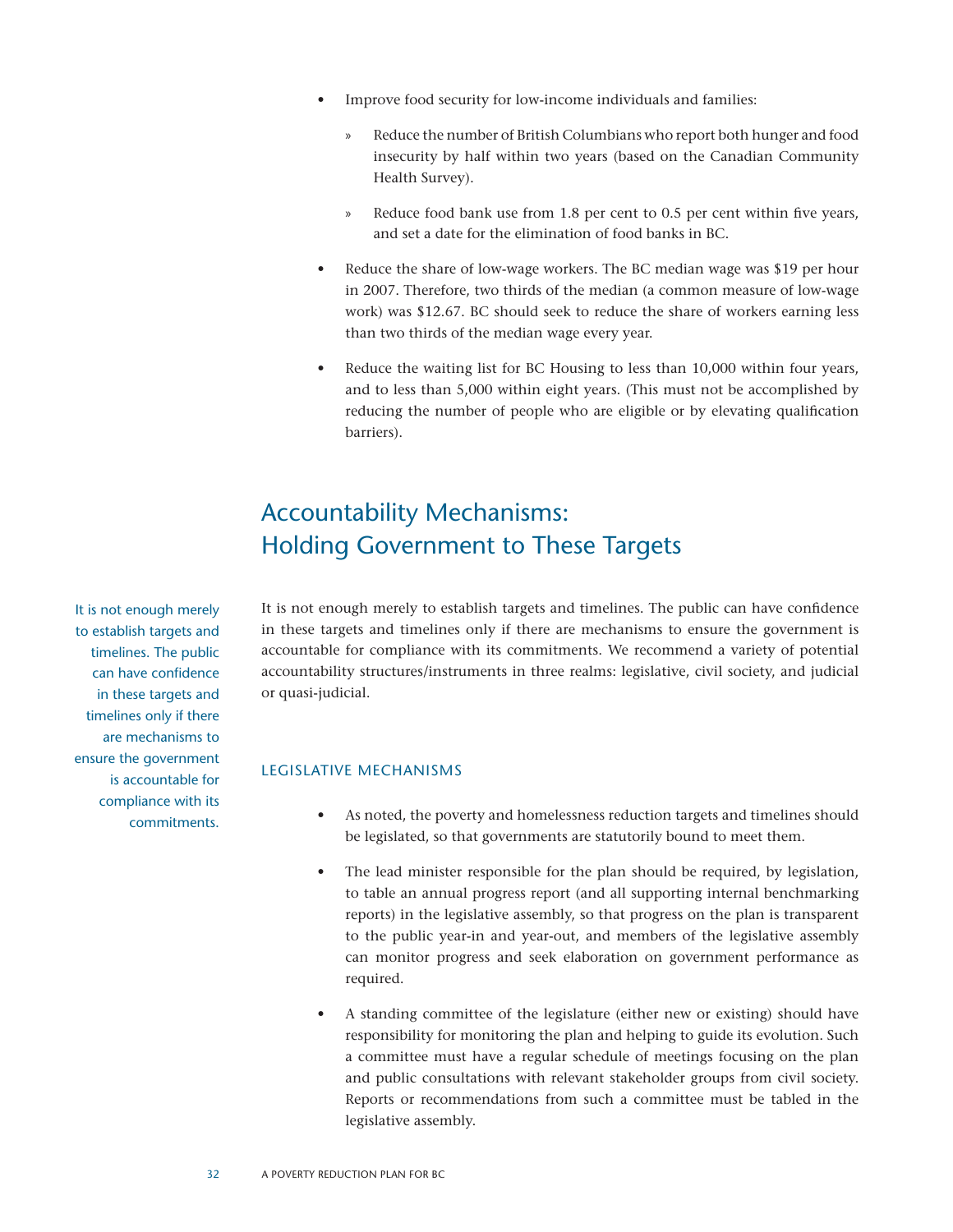- Improve food security for low-income individuals and families:
	- » Reduce the number of British Columbians who report both hunger and food insecurity by half within two years (based on the Canadian Community Health Survey).
	- » Reduce food bank use from 1.8 per cent to 0.5 per cent within five years, and set a date for the elimination of food banks in BC.
- Reduce the share of low-wage workers. The BC median wage was \$19 per hour in 2007. Therefore, two thirds of the median (a common measure of low-wage work) was \$12.67. BC should seek to reduce the share of workers earning less than two thirds of the median wage every year.
- Reduce the waiting list for BC Housing to less than 10,000 within four years, and to less than 5,000 within eight years. (This must not be accomplished by reducing the number of people who are eligible or by elevating qualification barriers).

## Accountability Mechanisms: Holding Government to These Targets

It is not enough merely to establish targets and timelines. The public can have confidence in these targets and timelines only if there are mechanisms to ensure the government is accountable for compliance with its commitments. We recommend a variety of potential accountability structures/instruments in three realms: legislative, civil society, and judicial or quasi-judicial.

#### Legislative Mechanisms

- • As noted, the poverty and homelessness reduction targets and timelines should be legislated, so that governments are statutorily bound to meet them.
- The lead minister responsible for the plan should be required, by legislation, to table an annual progress report (and all supporting internal benchmarking reports) in the legislative assembly, so that progress on the plan is transparent to the public year-in and year-out, and members of the legislative assembly can monitor progress and seek elaboration on government performance as required.
- A standing committee of the legislature (either new or existing) should have responsibility for monitoring the plan and helping to guide its evolution. Such a committee must have a regular schedule of meetings focusing on the plan and public consultations with relevant stakeholder groups from civil society. Reports or recommendations from such a committee must be tabled in the legislative assembly.

It is not enough merely to establish targets and timelines. The public can have confidence in these targets and timelines only if there are mechanisms to ensure the government is accountable for compliance with its commitments.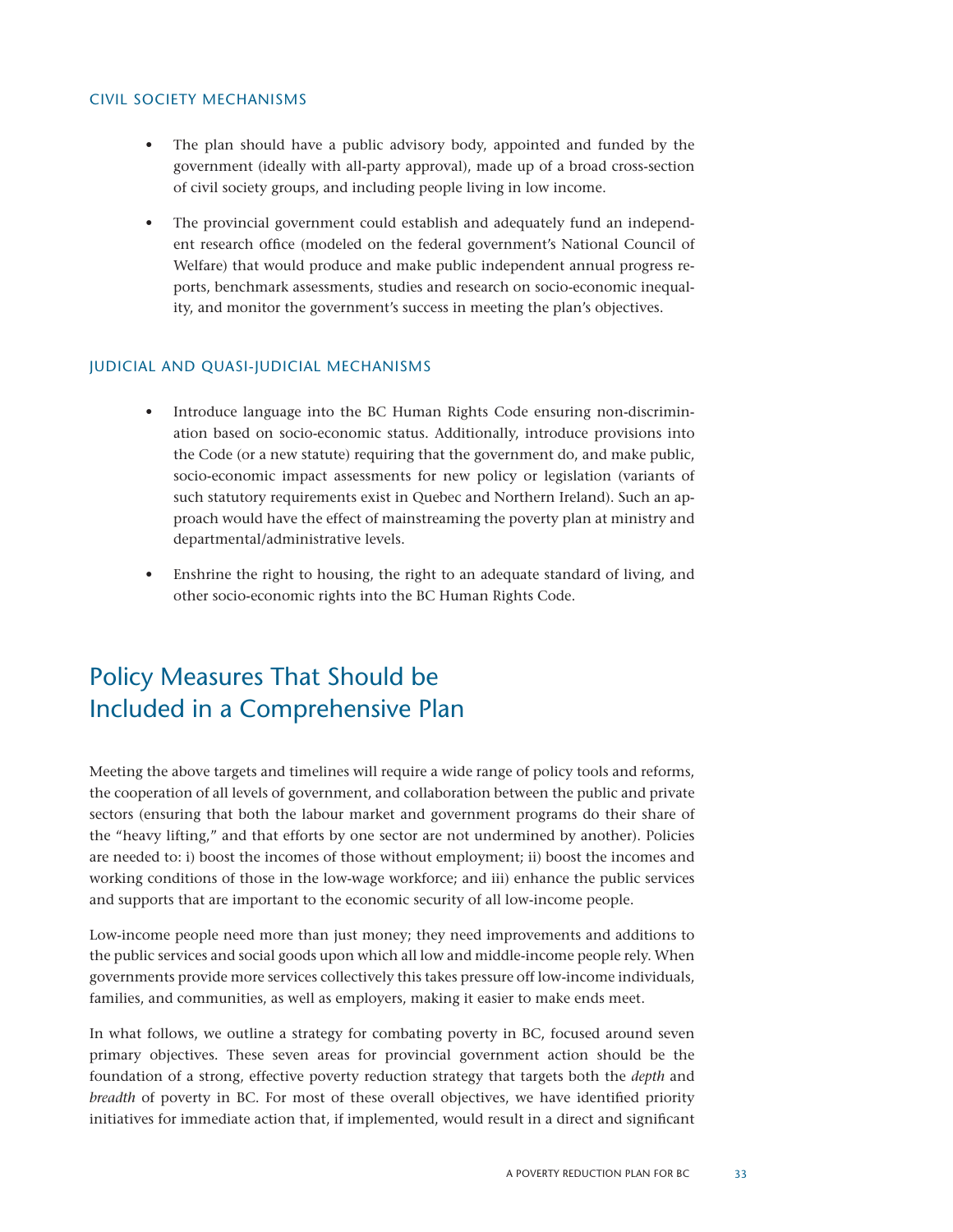#### Civil Society Mechanisms

- The plan should have a public advisory body, appointed and funded by the government (ideally with all-party approval), made up of a broad cross-section of civil society groups, and including people living in low income.
- The provincial government could establish and adequately fund an independent research office (modeled on the federal government's National Council of Welfare) that would produce and make public independent annual progress reports, benchmark assessments, studies and research on socio-economic inequality, and monitor the government's success in meeting the plan's objectives.

#### Judicial and Quasi-judicial Mechanisms

- • Introduce language into the BC Human Rights Code ensuring non-discrimination based on socio-economic status. Additionally, introduce provisions into the Code (or a new statute) requiring that the government do, and make public, socio-economic impact assessments for new policy or legislation (variants of such statutory requirements exist in Quebec and Northern Ireland). Such an approach would have the effect of mainstreaming the poverty plan at ministry and departmental/administrative levels.
- Enshrine the right to housing, the right to an adequate standard of living, and other socio-economic rights into the BC Human Rights Code.

## Policy Measures That Should be Included in a Comprehensive Plan

Meeting the above targets and timelines will require a wide range of policy tools and reforms, the cooperation of all levels of government, and collaboration between the public and private sectors (ensuring that both the labour market and government programs do their share of the "heavy lifting," and that efforts by one sector are not undermined by another). Policies are needed to: i) boost the incomes of those without employment; ii) boost the incomes and working conditions of those in the low-wage workforce; and iii) enhance the public services and supports that are important to the economic security of all low-income people.

Low-income people need more than just money; they need improvements and additions to the public services and social goods upon which all low and middle-income people rely. When governments provide more services collectively this takes pressure off low-income individuals, families, and communities, as well as employers, making it easier to make ends meet.

In what follows, we outline a strategy for combating poverty in BC, focused around seven primary objectives. These seven areas for provincial government action should be the foundation of a strong, effective poverty reduction strategy that targets both the *depth* and *breadth* of poverty in BC. For most of these overall objectives, we have identified priority initiatives for immediate action that, if implemented, would result in a direct and significant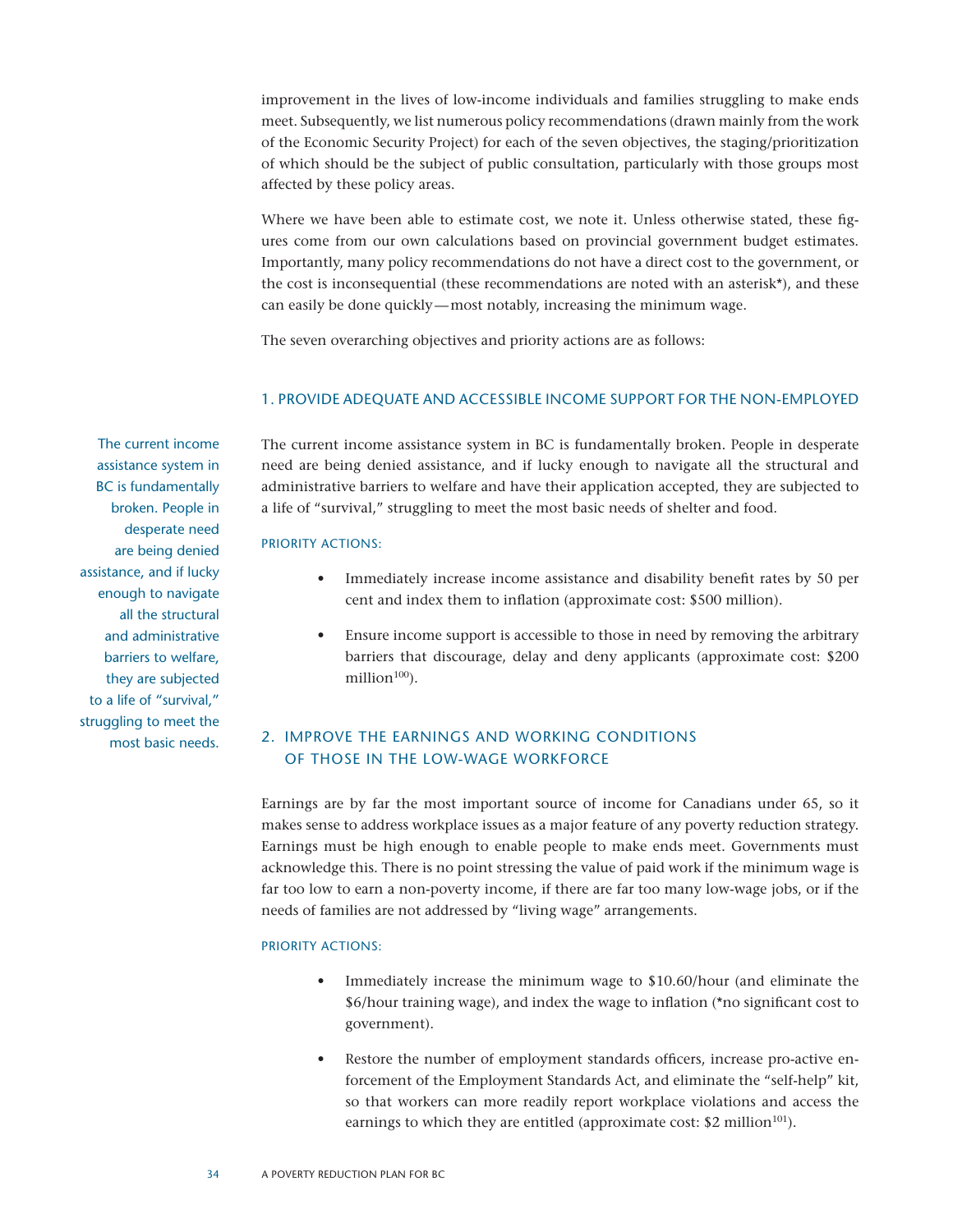improvement in the lives of low-income individuals and families struggling to make ends meet. Subsequently, we list numerous policy recommendations (drawn mainly from the work of the Economic Security Project) for each of the seven objectives, the staging/prioritization of which should be the subject of public consultation, particularly with those groups most affected by these policy areas.

Where we have been able to estimate cost, we note it. Unless otherwise stated, these figures come from our own calculations based on provincial government budget estimates. Importantly, many policy recommendations do not have a direct cost to the government, or the cost is inconsequential (these recommendations are noted with an asterisk\*), and these can easily be done quickly—most notably, increasing the minimum wage.

The seven overarching objectives and priority actions are as follows:

#### 1. Provide adequate and accessible income support for the non-employed

The current income assistance system in BC is fundamentally broken. People in desperate need are being denied assistance, and if lucky enough to navigate all the structural and administrative barriers to welfare, they are subjected to a life of "survival," struggling to meet the most basic needs.

The current income assistance system in BC is fundamentally broken. People in desperate need are being denied assistance, and if lucky enough to navigate all the structural and administrative barriers to welfare and have their application accepted, they are subjected to a life of "survival," struggling to meet the most basic needs of shelter and food.

#### Priority Actions:

- Immediately increase income assistance and disability benefit rates by 50 per cent and index them to inflation (approximate cost: \$500 million).
- Ensure income support is accessible to those in need by removing the arbitrary barriers that discourage, delay and deny applicants (approximate cost: \$200 million $100$ ).

#### 2. Improve the earnings and working conditions of those in the low-wage workforce

Earnings are by far the most important source of income for Canadians under 65, so it makes sense to address workplace issues as a major feature of any poverty reduction strategy. Earnings must be high enough to enable people to make ends meet. Governments must acknowledge this. There is no point stressing the value of paid work if the minimum wage is far too low to earn a non-poverty income, if there are far too many low-wage jobs, or if the needs of families are not addressed by "living wage" arrangements.

#### PRIORITY ACTIONS:

- Immediately increase the minimum wage to \$10.60/hour (and eliminate the \$6/hour training wage), and index the wage to inflation (\*no significant cost to government).
- Restore the number of employment standards officers, increase pro-active enforcement of the Employment Standards Act, and eliminate the "self-help" kit, so that workers can more readily report workplace violations and access the earnings to which they are entitled (approximate cost:  $$2$  million<sup>101</sup>).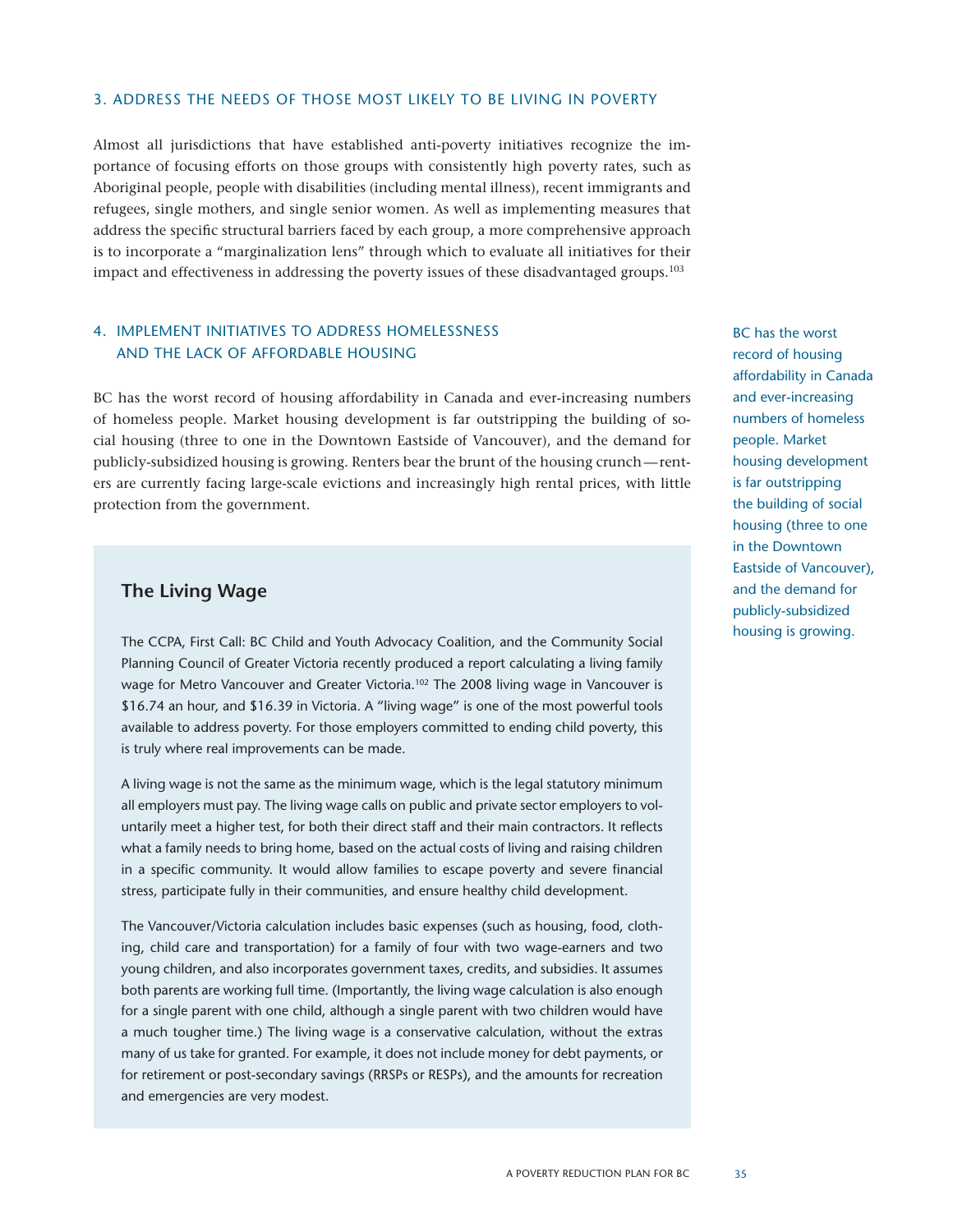#### 3. Address the needs of those most likely to be living in poverty

Almost all jurisdictions that have established anti-poverty initiatives recognize the importance of focusing efforts on those groups with consistently high poverty rates, such as Aboriginal people, people with disabilities (including mental illness), recent immigrants and refugees, single mothers, and single senior women. As well as implementing measures that address the specific structural barriers faced by each group, a more comprehensive approach is to incorporate a "marginalization lens" through which to evaluate all initiatives for their impact and effectiveness in addressing the poverty issues of these disadvantaged groups.<sup>103</sup>

#### 4. Implement initiatives to address homelessness and the lack of affordable housing

BC has the worst record of housing affordability in Canada and ever-increasing numbers of homeless people. Market housing development is far outstripping the building of social housing (three to one in the Downtown Eastside of Vancouver), and the demand for publicly-subsidized housing is growing. Renters bear the brunt of the housing crunch—renters are currently facing large-scale evictions and increasingly high rental prices, with little protection from the government.

#### **The Living Wage**

The CCPA, First Call: BC Child and Youth Advocacy Coalition, and the Community Social Planning Council of Greater Victoria recently produced a report calculating a living family wage for Metro Vancouver and Greater Victoria.<sup>102</sup> The 2008 living wage in Vancouver is \$16.74 an hour, and \$16.39 in Victoria. A "living wage" is one of the most powerful tools available to address poverty. For those employers committed to ending child poverty, this is truly where real improvements can be made.

A living wage is not the same as the minimum wage, which is the legal statutory minimum all employers must pay. The living wage calls on public and private sector employers to voluntarily meet a higher test, for both their direct staff and their main contractors. It reflects what a family needs to bring home, based on the actual costs of living and raising children in a specific community. It would allow families to escape poverty and severe financial stress, participate fully in their communities, and ensure healthy child development.

The Vancouver/Victoria calculation includes basic expenses (such as housing, food, clothing, child care and transportation) for a family of four with two wage-earners and two young children, and also incorporates government taxes, credits, and subsidies. It assumes both parents are working full time. (Importantly, the living wage calculation is also enough for a single parent with one child, although a single parent with two children would have a much tougher time.) The living wage is a conservative calculation, without the extras many of us take for granted. For example, it does not include money for debt payments, or for retirement or post-secondary savings (RRSPs or RESPs), and the amounts for recreation and emergencies are very modest.

BC has the worst record of housing affordability in Canada and ever-increasing numbers of homeless people. Market housing development is far outstripping the building of social housing (three to one in the Downtown Eastside of Vancouver), and the demand for publicly-subsidized housing is growing.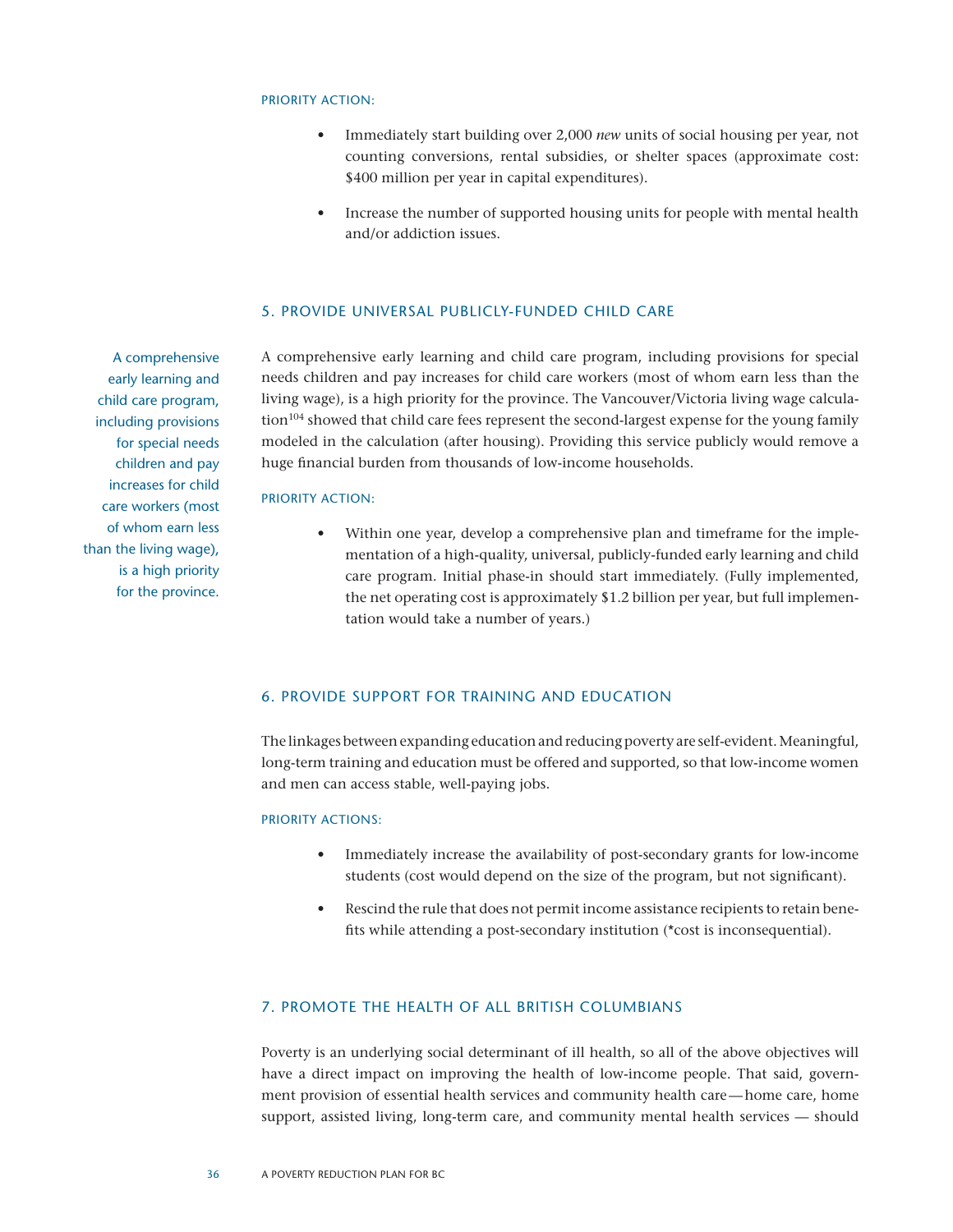#### PRIORITY ACTION:

- Immediately start building over 2,000 *new* units of social housing per year, not counting conversions, rental subsidies, or shelter spaces (approximate cost: \$400 million per year in capital expenditures).
- Increase the number of supported housing units for people with mental health and/or addiction issues.

#### 5. Provide universal publicly-funded child care

A comprehensive early learning and child care program, including provisions for special needs children and pay increases for child care workers (most of whom earn less than the living wage), is a high priority for the province. The Vancouver/Victoria living wage calculation<sup>104</sup> showed that child care fees represent the second-largest expense for the young family modeled in the calculation (after housing). Providing this service publicly would remove a huge financial burden from thousands of low-income households.

#### PRIORITY ACTION:

Within one year, develop a comprehensive plan and timeframe for the implementation of a high-quality, universal, publicly-funded early learning and child care program. Initial phase-in should start immediately. (Fully implemented, the net operating cost is approximately \$1.2 billion per year, but full implementation would take a number of years.)

#### 6. Provide support for training and education

The linkages between expanding education and reducing poverty are self-evident. Meaningful, long-term training and education must be offered and supported, so that low-income women and men can access stable, well-paying jobs.

#### Priority Actions:

- • Immediately increase the availability of post-secondary grants for low-income students (cost would depend on the size of the program, but not significant).
- Rescind the rule that does not permit income assistance recipients to retain benefits while attending a post-secondary institution (\*cost is inconsequential).

#### 7. Promote the Health of all British Columbians

Poverty is an underlying social determinant of ill health, so all of the above objectives will have a direct impact on improving the health of low-income people. That said, government provision of essential health services and community health care—home care, home support, assisted living, long-term care, and community mental health services –– should

A comprehensive early learning and child care program, including provisions for special needs children and pay increases for child care workers (most of whom earn less than the living wage), is a high priority for the province.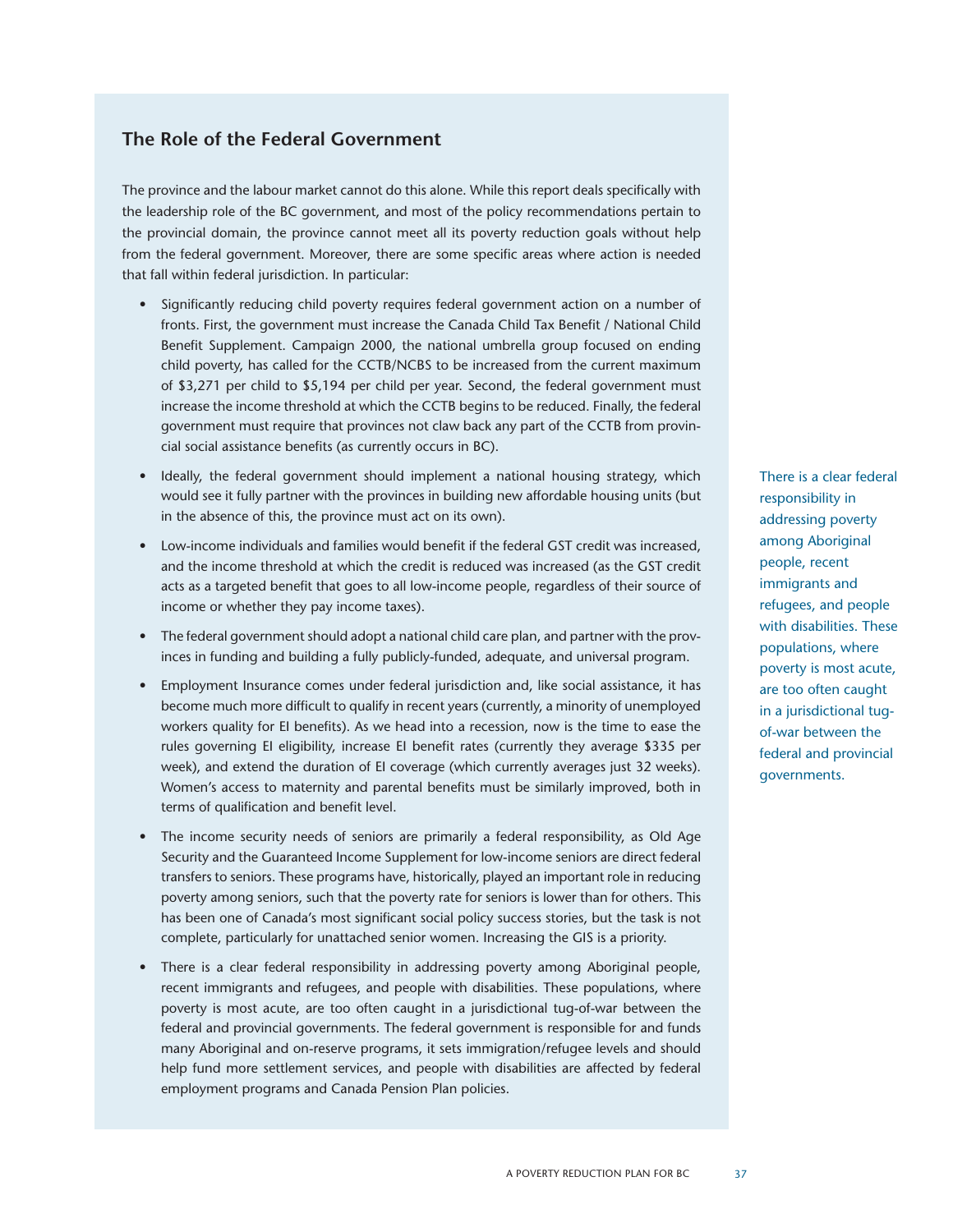#### **The Role of the Federal Government**

The province and the labour market cannot do this alone. While this report deals specifically with the leadership role of the BC government, and most of the policy recommendations pertain to the provincial domain, the province cannot meet all its poverty reduction goals without help from the federal government. Moreover, there are some specific areas where action is needed that fall within federal jurisdiction. In particular:

- • Significantly reducing child poverty requires federal government action on a number of fronts. First, the government must increase the Canada Child Tax Benefit / National Child Benefit Supplement. Campaign 2000, the national umbrella group focused on ending child poverty, has called for the CCTB/NCBS to be increased from the current maximum of \$3,271 per child to \$5,194 per child per year. Second, the federal government must increase the income threshold at which the CCTB begins to be reduced. Finally, the federal government must require that provinces not claw back any part of the CCTB from provincial social assistance benefits (as currently occurs in BC).
- Ideally, the federal government should implement a national housing strategy, which would see it fully partner with the provinces in building new affordable housing units (but in the absence of this, the province must act on its own).
- • Low-income individuals and families would benefit if the federal GST credit was increased, and the income threshold at which the credit is reduced was increased (as the GST credit acts as a targeted benefit that goes to all low-income people, regardless of their source of income or whether they pay income taxes).
- The federal government should adopt a national child care plan, and partner with the provinces in funding and building a fully publicly-funded, adequate, and universal program.
- • Employment Insurance comes under federal jurisdiction and, like social assistance, it has become much more difficult to qualify in recent years (currently, a minority of unemployed workers quality for EI benefits). As we head into a recession, now is the time to ease the rules governing EI eligibility, increase EI benefit rates (currently they average \$335 per week), and extend the duration of EI coverage (which currently averages just 32 weeks). Women's access to maternity and parental benefits must be similarly improved, both in terms of qualification and benefit level.
- • The income security needs of seniors are primarily a federal responsibility, as Old Age Security and the Guaranteed Income Supplement for low-income seniors are direct federal transfers to seniors. These programs have, historically, played an important role in reducing poverty among seniors, such that the poverty rate for seniors is lower than for others. This has been one of Canada's most significant social policy success stories, but the task is not complete, particularly for unattached senior women. Increasing the GIS is a priority.
- There is a clear federal responsibility in addressing poverty among Aboriginal people, recent immigrants and refugees, and people with disabilities. These populations, where poverty is most acute, are too often caught in a jurisdictional tug-of-war between the federal and provincial governments. The federal government is responsible for and funds many Aboriginal and on-reserve programs, it sets immigration/refugee levels and should help fund more settlement services, and people with disabilities are affected by federal employment programs and Canada Pension Plan policies.

There is a clear federal responsibility in addressing poverty among Aboriginal people, recent immigrants and refugees, and people with disabilities. These populations, where poverty is most acute, are too often caught in a jurisdictional tugof-war between the federal and provincial governments.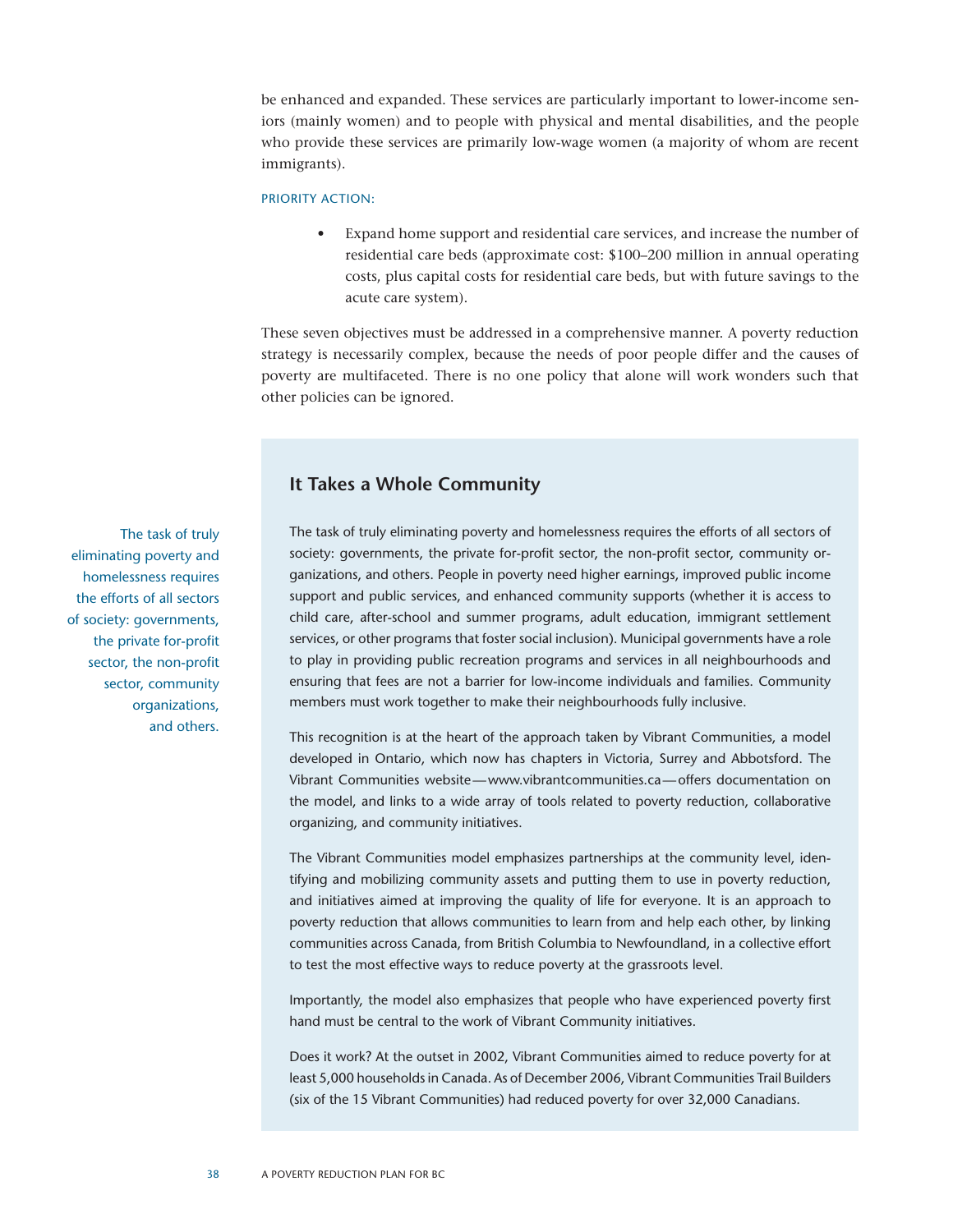be enhanced and expanded. These services are particularly important to lower-income seniors (mainly women) and to people with physical and mental disabilities, and the people who provide these services are primarily low-wage women (a majority of whom are recent immigrants).

#### PRIORITY ACTION:

Expand home support and residential care services, and increase the number of residential care beds (approximate cost: \$100–200 million in annual operating costs, plus capital costs for residential care beds, but with future savings to the acute care system).

These seven objectives must be addressed in a comprehensive manner. A poverty reduction strategy is necessarily complex, because the needs of poor people differ and the causes of poverty are multifaceted. There is no one policy that alone will work wonders such that other policies can be ignored.

#### **It Takes a Whole Community**

The task of truly eliminating poverty and homelessness requires the efforts of all sectors of society: governments, the private for-profit sector, the non-profit sector, community organizations, and others. People in poverty need higher earnings, improved public income support and public services, and enhanced community supports (whether it is access to child care, after-school and summer programs, adult education, immigrant settlement services, or other programs that foster social inclusion). Municipal governments have a role to play in providing public recreation programs and services in all neighbourhoods and ensuring that fees are not a barrier for low-income individuals and families. Community members must work together to make their neighbourhoods fully inclusive.

This recognition is at the heart of the approach taken by Vibrant Communities, a model developed in Ontario, which now has chapters in Victoria, Surrey and Abbotsford. The Vibrant Communities website—www.vibrantcommunities.ca—offers documentation on the model, and links to a wide array of tools related to poverty reduction, collaborative organizing, and community initiatives.

The Vibrant Communities model emphasizes partnerships at the community level, identifying and mobilizing community assets and putting them to use in poverty reduction, and initiatives aimed at improving the quality of life for everyone. It is an approach to poverty reduction that allows communities to learn from and help each other, by linking communities across Canada, from British Columbia to Newfoundland, in a collective effort to test the most effective ways to reduce poverty at the grassroots level.

Importantly, the model also emphasizes that people who have experienced poverty first hand must be central to the work of Vibrant Community initiatives.

Does it work? At the outset in 2002, Vibrant Communities aimed to reduce poverty for at least 5,000 households in Canada. As of December 2006, Vibrant Communities Trail Builders (six of the 15 Vibrant Communities) had reduced poverty for over 32,000 Canadians.

The task of truly eliminating poverty and homelessness requires the efforts of all sectors of society: governments, the private for-profit sector, the non-profit sector, community organizations, and others.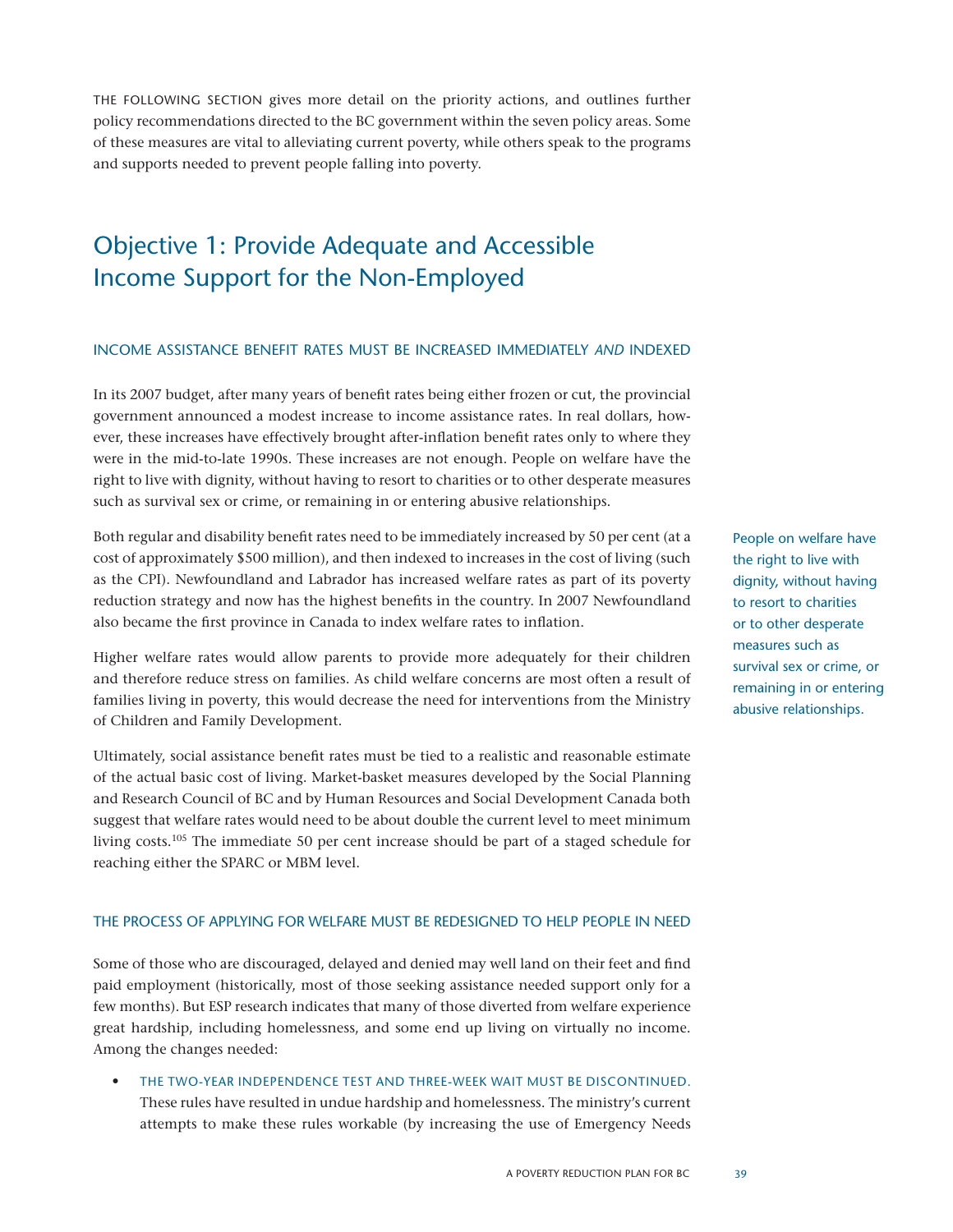The following section gives more detail on the priority actions, and outlines further policy recommendations directed to the BC government within the seven policy areas. Some of these measures are vital to alleviating current poverty, while others speak to the programs and supports needed to prevent people falling into poverty.

## Objective 1: Provide Adequate and Accessible Income Support for the Non-Employed

#### Income assistance benefit rates must be increased immediately *and* indexed

In its 2007 budget, after many years of benefit rates being either frozen or cut, the provincial government announced a modest increase to income assistance rates. In real dollars, however, these increases have effectively brought after-inflation benefit rates only to where they were in the mid-to-late 1990s. These increases are not enough. People on welfare have the right to live with dignity, without having to resort to charities or to other desperate measures such as survival sex or crime, or remaining in or entering abusive relationships.

Both regular and disability benefit rates need to be immediately increased by 50 per cent (at a cost of approximately \$500 million), and then indexed to increases in the cost of living (such as the CPI). Newfoundland and Labrador has increased welfare rates as part of its poverty reduction strategy and now has the highest benefits in the country. In 2007 Newfoundland also became the first province in Canada to index welfare rates to inflation.

Higher welfare rates would allow parents to provide more adequately for their children and therefore reduce stress on families. As child welfare concerns are most often a result of families living in poverty, this would decrease the need for interventions from the Ministry of Children and Family Development.

Ultimately, social assistance benefit rates must be tied to a realistic and reasonable estimate of the actual basic cost of living. Market-basket measures developed by the Social Planning and Research Council of BC and by Human Resources and Social Development Canada both suggest that welfare rates would need to be about double the current level to meet minimum living costs.105 The immediate 50 per cent increase should be part of a staged schedule for reaching either the SPARC or MBM level.

#### the process of applying for welfare must be redesigned to help people in need

Some of those who are discouraged, delayed and denied may well land on their feet and find paid employment (historically, most of those seeking assistance needed support only for a few months). But ESP research indicates that many of those diverted from welfare experience great hardship, including homelessness, and some end up living on virtually no income. Among the changes needed:

THE TWO-YEAR INDEPENDENCE TEST AND THREE-WEEK WAIT MUST BE DISCONTINUED. These rules have resulted in undue hardship and homelessness. The ministry's current attempts to make these rules workable (by increasing the use of Emergency Needs People on welfare have the right to live with dignity, without having to resort to charities or to other desperate measures such as survival sex or crime, or remaining in or entering abusive relationships.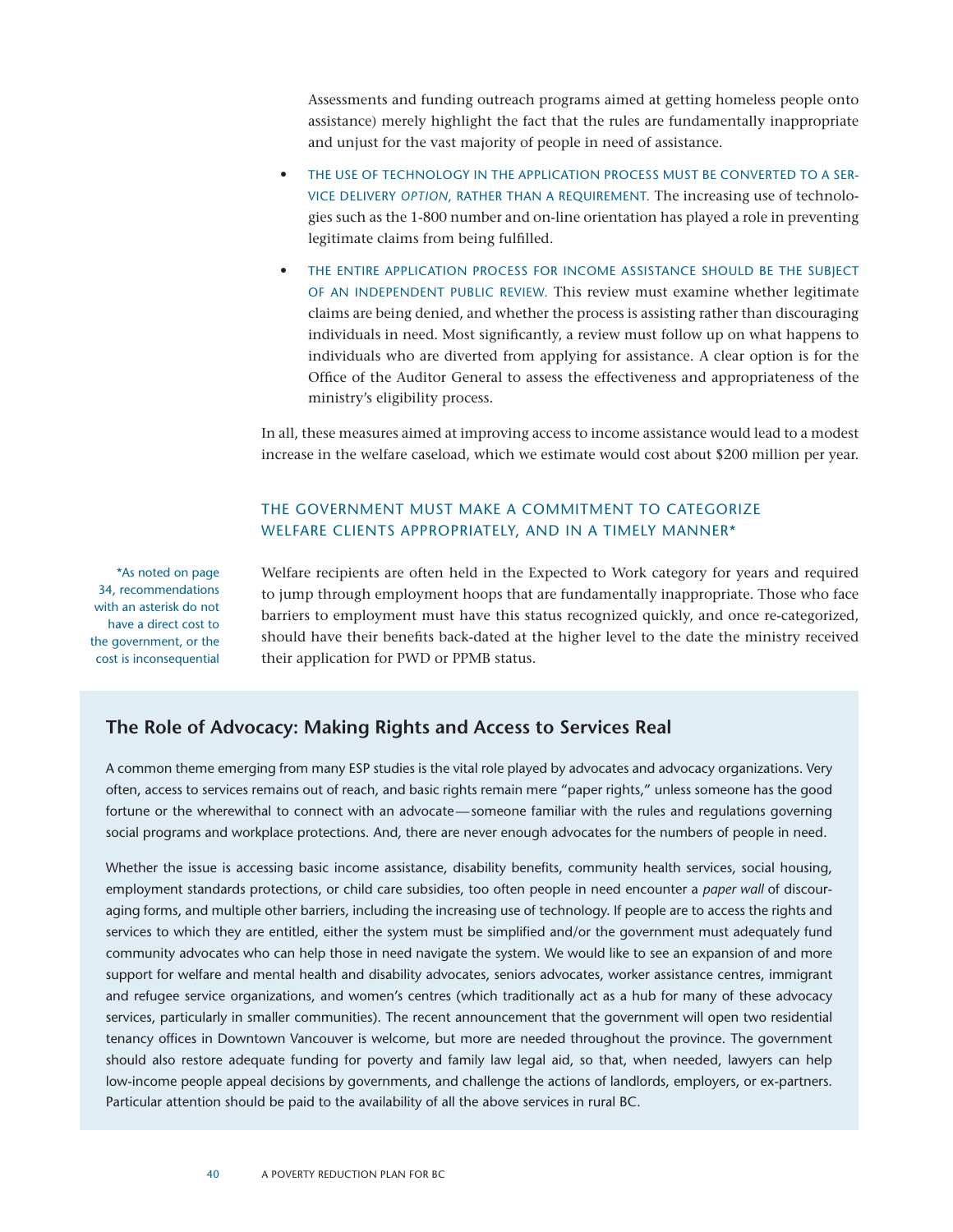Assessments and funding outreach programs aimed at getting homeless people onto assistance) merely highlight the fact that the rules are fundamentally inappropriate and unjust for the vast majority of people in need of assistance.

- THE USE OF TECHNOLOGY IN THE APPLICATION PROCESS MUST BE CONVERTED TO A SERvice delivery *option*, rather than a requirement. The increasing use of technologies such as the 1-800 number and on-line orientation has played a role in preventing legitimate claims from being fulfilled.
- THE ENTIRE APPLICATION PROCESS FOR INCOME ASSISTANCE SHOULD BE THE SUBJECT of an independent public review. This review must examine whether legitimate claims are being denied, and whether the process is assisting rather than discouraging individuals in need. Most significantly, a review must follow up on what happens to individuals who are diverted from applying for assistance. A clear option is for the Office of the Auditor General to assess the effectiveness and appropriateness of the ministry's eligibility process.

In all, these measures aimed at improving access to income assistance would lead to a modest increase in the welfare caseload, which we estimate would cost about \$200 million per year.

#### The government must make a commitment to categorize welfare clients appropriately, and in a timely manner\*

\*As noted on page 34, recommendations with an asterisk do not have a direct cost to the government, or the cost is inconsequential Welfare recipients are often held in the Expected to Work category for years and required to jump through employment hoops that are fundamentally inappropriate. Those who face barriers to employment must have this status recognized quickly, and once re-categorized, should have their benefits back-dated at the higher level to the date the ministry received their application for PWD or PPMB status.

#### **The Role of Advocacy: Making Rights and Access to Services Real**

A common theme emerging from many ESP studies is the vital role played by advocates and advocacy organizations. Very often, access to services remains out of reach, and basic rights remain mere "paper rights," unless someone has the good fortune or the wherewithal to connect with an advocate—someone familiar with the rules and regulations governing social programs and workplace protections. And, there are never enough advocates for the numbers of people in need.

Whether the issue is accessing basic income assistance, disability benefits, community health services, social housing, employment standards protections, or child care subsidies, too often people in need encounter a *paper wall* of discouraging forms, and multiple other barriers, including the increasing use of technology. If people are to access the rights and services to which they are entitled, either the system must be simplified and/or the government must adequately fund community advocates who can help those in need navigate the system. We would like to see an expansion of and more support for welfare and mental health and disability advocates, seniors advocates, worker assistance centres, immigrant and refugee service organizations, and women's centres (which traditionally act as a hub for many of these advocacy services, particularly in smaller communities). The recent announcement that the government will open two residential tenancy offices in Downtown Vancouver is welcome, but more are needed throughout the province. The government should also restore adequate funding for poverty and family law legal aid, so that, when needed, lawyers can help low-income people appeal decisions by governments, and challenge the actions of landlords, employers, or ex-partners. Particular attention should be paid to the availability of all the above services in rural BC.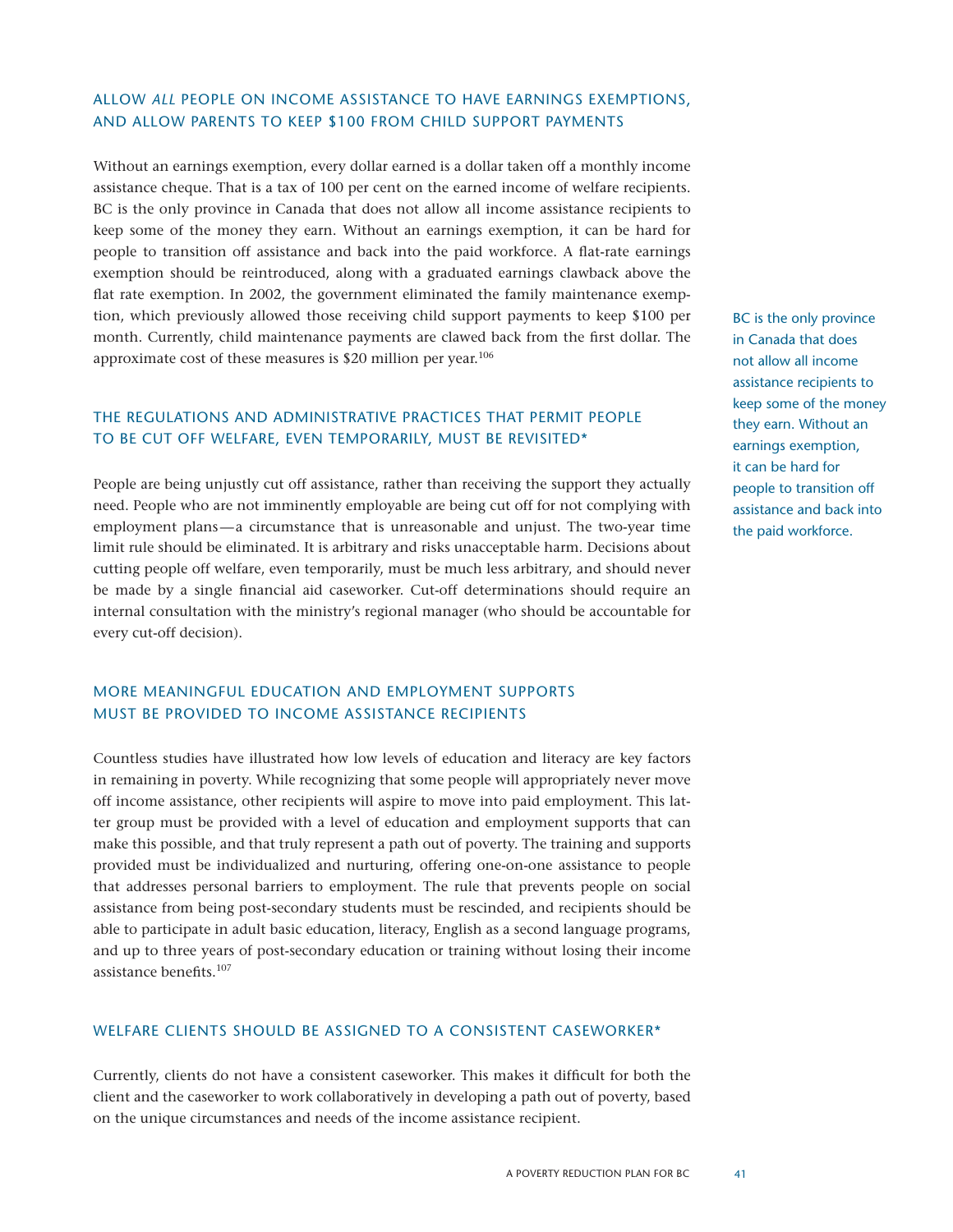#### Allow *all* people on income assistance to have earnings exemptions, and allow parents to keep \$100 from child support payments

Without an earnings exemption, every dollar earned is a dollar taken off a monthly income assistance cheque. That is a tax of 100 per cent on the earned income of welfare recipients. BC is the only province in Canada that does not allow all income assistance recipients to keep some of the money they earn. Without an earnings exemption, it can be hard for people to transition off assistance and back into the paid workforce. A flat-rate earnings exemption should be reintroduced, along with a graduated earnings clawback above the flat rate exemption. In 2002, the government eliminated the family maintenance exemption, which previously allowed those receiving child support payments to keep \$100 per month. Currently, child maintenance payments are clawed back from the first dollar. The approximate cost of these measures is \$20 million per year.<sup>106</sup>

#### The regulations and administrative practices that permit people to be cut off welfare, even temporarily, must be revisited\*

People are being unjustly cut off assistance, rather than receiving the support they actually need. People who are not imminently employable are being cut off for not complying with employment plans—a circumstance that is unreasonable and unjust. The two-year time limit rule should be eliminated. It is arbitrary and risks unacceptable harm. Decisions about cutting people off welfare, even temporarily, must be much less arbitrary, and should never be made by a single financial aid caseworker. Cut-off determinations should require an internal consultation with the ministry's regional manager (who should be accountable for every cut-off decision).

#### More meaningful education and employment supports must be provided to income assistance recipients

Countless studies have illustrated how low levels of education and literacy are key factors in remaining in poverty. While recognizing that some people will appropriately never move off income assistance, other recipients will aspire to move into paid employment. This latter group must be provided with a level of education and employment supports that can make this possible, and that truly represent a path out of poverty. The training and supports provided must be individualized and nurturing, offering one-on-one assistance to people that addresses personal barriers to employment. The rule that prevents people on social assistance from being post-secondary students must be rescinded, and recipients should be able to participate in adult basic education, literacy, English as a second language programs, and up to three years of post-secondary education or training without losing their income assistance benefits.107

#### Welfare clients should be assigned to a consistent caseworker\*

Currently, clients do not have a consistent caseworker. This makes it difficult for both the client and the caseworker to work collaboratively in developing a path out of poverty, based on the unique circumstances and needs of the income assistance recipient.

BC is the only province in Canada that does not allow all income assistance recipients to keep some of the money they earn. Without an earnings exemption, it can be hard for people to transition off assistance and back into the paid workforce.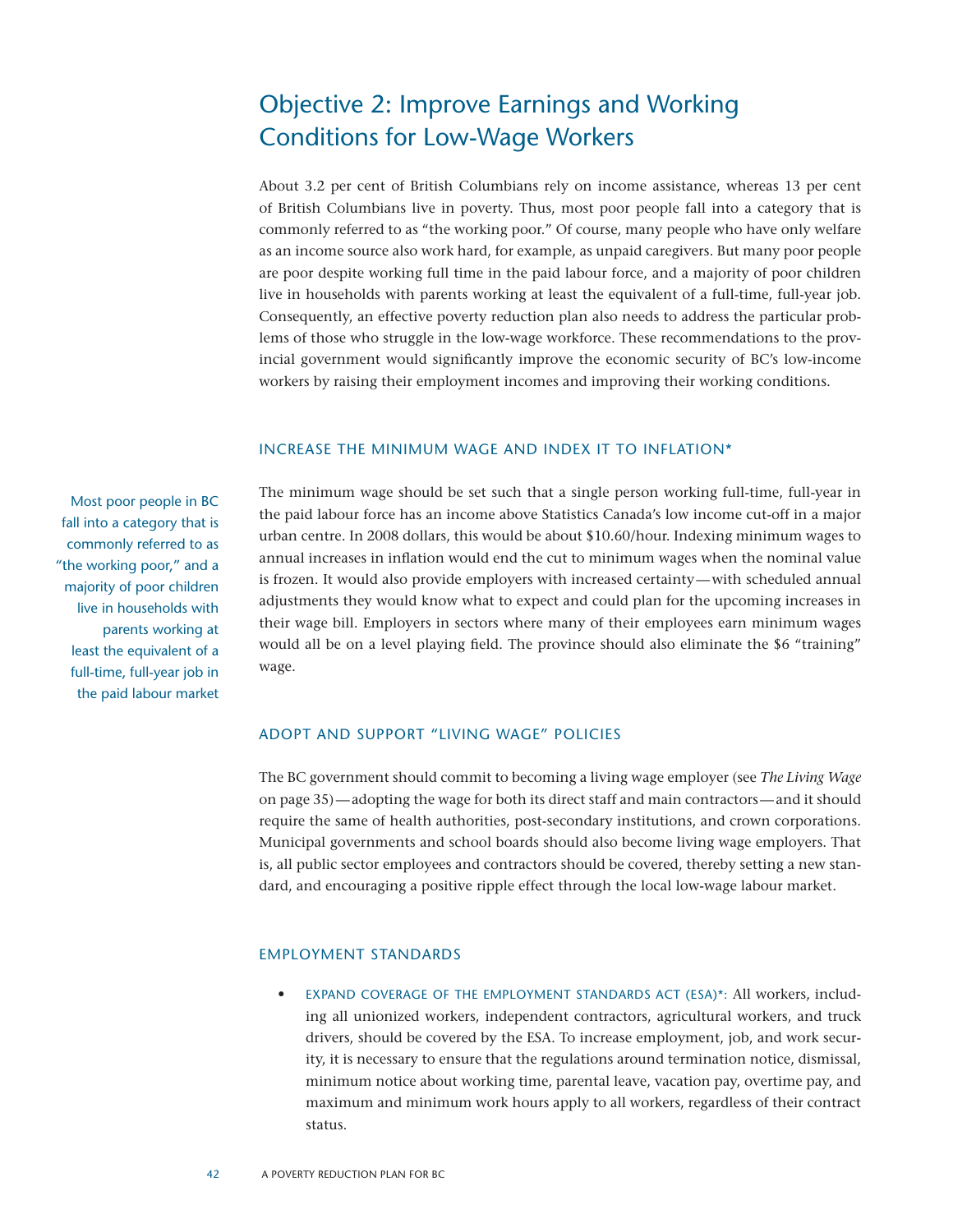## Objective 2: Improve Earnings and Working Conditions for Low-Wage Workers

About 3.2 per cent of British Columbians rely on income assistance, whereas 13 per cent of British Columbians live in poverty. Thus, most poor people fall into a category that is commonly referred to as "the working poor." Of course, many people who have only welfare as an income source also work hard, for example, as unpaid caregivers. But many poor people are poor despite working full time in the paid labour force, and a majority of poor children live in households with parents working at least the equivalent of a full-time, full-year job. Consequently, an effective poverty reduction plan also needs to address the particular problems of those who struggle in the low-wage workforce. These recommendations to the provincial government would significantly improve the economic security of BC's low-income workers by raising their employment incomes and improving their working conditions.

#### Increase the minimum wage and index it to inflation\*

Most poor people in BC fall into a category that is commonly referred to as "the working poor," and a majority of poor children live in households with parents working at least the equivalent of a full-time, full-year job in the paid labour market The minimum wage should be set such that a single person working full-time, full-year in the paid labour force has an income above Statistics Canada's low income cut-off in a major urban centre. In 2008 dollars, this would be about \$10.60/hour. Indexing minimum wages to annual increases in inflation would end the cut to minimum wages when the nominal value is frozen. It would also provide employers with increased certainty—with scheduled annual adjustments they would know what to expect and could plan for the upcoming increases in their wage bill. Employers in sectors where many of their employees earn minimum wages would all be on a level playing field. The province should also eliminate the \$6 "training" wage.

#### Adopt and support "living wage" policies

The BC government should commit to becoming a living wage employer (see *The Living Wage* on page 35)—adopting the wage for both its direct staff and main contractors—and it should require the same of health authorities, post-secondary institutions, and crown corporations. Municipal governments and school boards should also become living wage employers. That is, all public sector employees and contractors should be covered, thereby setting a new standard, and encouraging a positive ripple effect through the local low-wage labour market.

#### Employment Standards

• EXPAND COVERAGE OF THE EMPLOYMENT STANDARDS ACT (ESA)\*: All workers, including all unionized workers, independent contractors, agricultural workers, and truck drivers, should be covered by the ESA. To increase employment, job, and work security, it is necessary to ensure that the regulations around termination notice, dismissal, minimum notice about working time, parental leave, vacation pay, overtime pay, and maximum and minimum work hours apply to all workers, regardless of their contract status.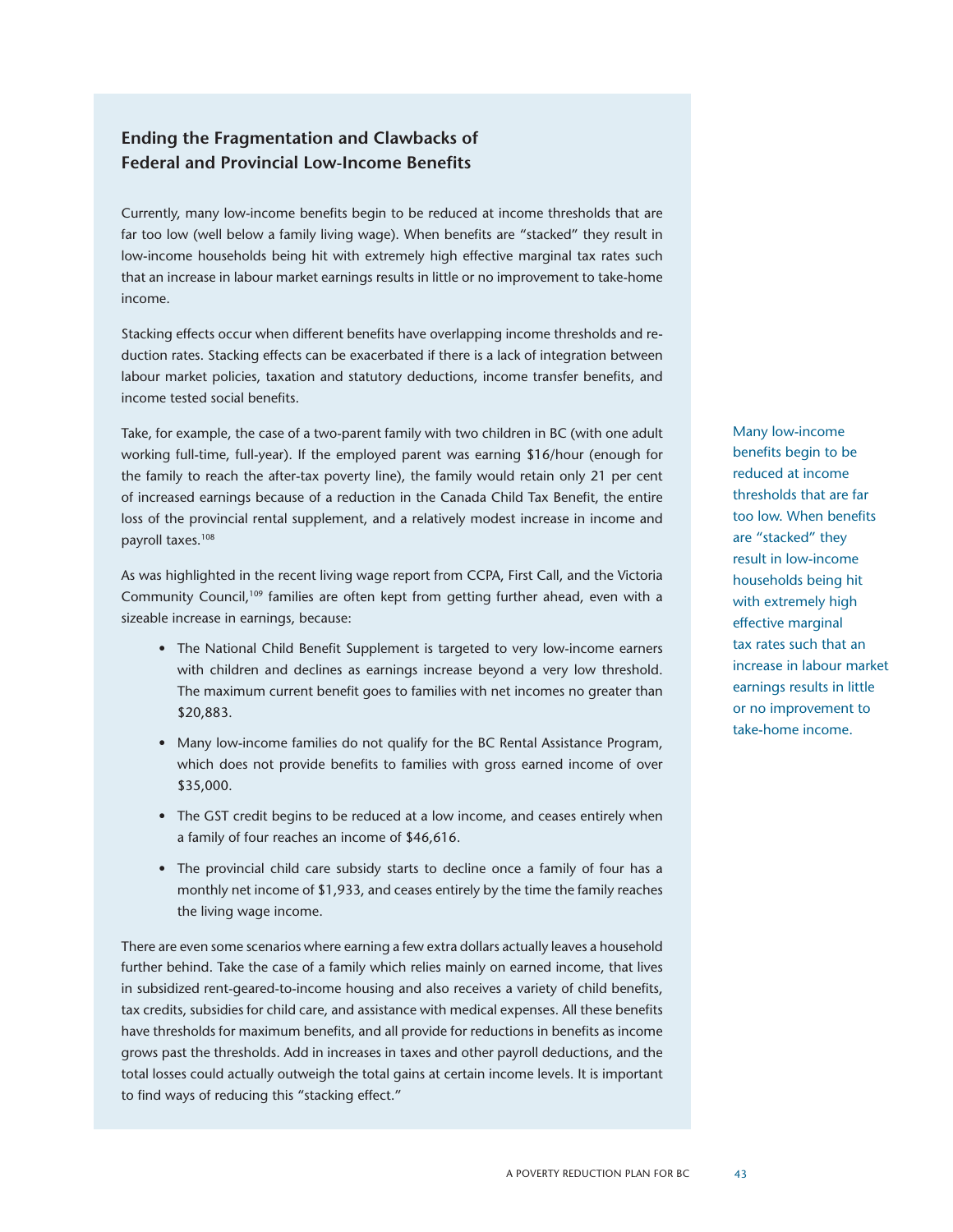#### **Ending the Fragmentation and Clawbacks of Federal and Provincial Low-Income Benefits**

Currently, many low-income benefits begin to be reduced at income thresholds that are far too low (well below a family living wage). When benefits are "stacked" they result in low-income households being hit with extremely high effective marginal tax rates such that an increase in labour market earnings results in little or no improvement to take-home income.

Stacking effects occur when different benefits have overlapping income thresholds and reduction rates. Stacking effects can be exacerbated if there is a lack of integration between labour market policies, taxation and statutory deductions, income transfer benefits, and income tested social benefits.

Take, for example, the case of a two-parent family with two children in BC (with one adult working full-time, full-year). If the employed parent was earning \$16/hour (enough for the family to reach the after-tax poverty line), the family would retain only 21 per cent of increased earnings because of a reduction in the Canada Child Tax Benefit, the entire loss of the provincial rental supplement, and a relatively modest increase in income and payroll taxes.108

As was highlighted in the recent living wage report from CCPA, First Call, and the Victoria Community Council,109 families are often kept from getting further ahead, even with a sizeable increase in earnings, because:

- The National Child Benefit Supplement is targeted to very low-income earners with children and declines as earnings increase beyond a very low threshold. The maximum current benefit goes to families with net incomes no greater than \$20,883.
- Many low-income families do not qualify for the BC Rental Assistance Program, which does not provide benefits to families with gross earned income of over \$35,000.
- The GST credit begins to be reduced at a low income, and ceases entirely when a family of four reaches an income of \$46,616.
- The provincial child care subsidy starts to decline once a family of four has a monthly net income of \$1,933, and ceases entirely by the time the family reaches the living wage income.

There are even some scenarios where earning a few extra dollars actually leaves a household further behind. Take the case of a family which relies mainly on earned income, that lives in subsidized rent-geared-to-income housing and also receives a variety of child benefits, tax credits, subsidies for child care, and assistance with medical expenses. All these benefits have thresholds for maximum benefits, and all provide for reductions in benefits as income grows past the thresholds. Add in increases in taxes and other payroll deductions, and the total losses could actually outweigh the total gains at certain income levels. It is important to find ways of reducing this "stacking effect."

Many low-income benefits begin to be reduced at income thresholds that are far too low. When benefits are "stacked" they result in low-income households being hit with extremely high effective marginal tax rates such that an increase in labour market earnings results in little or no improvement to take-home income.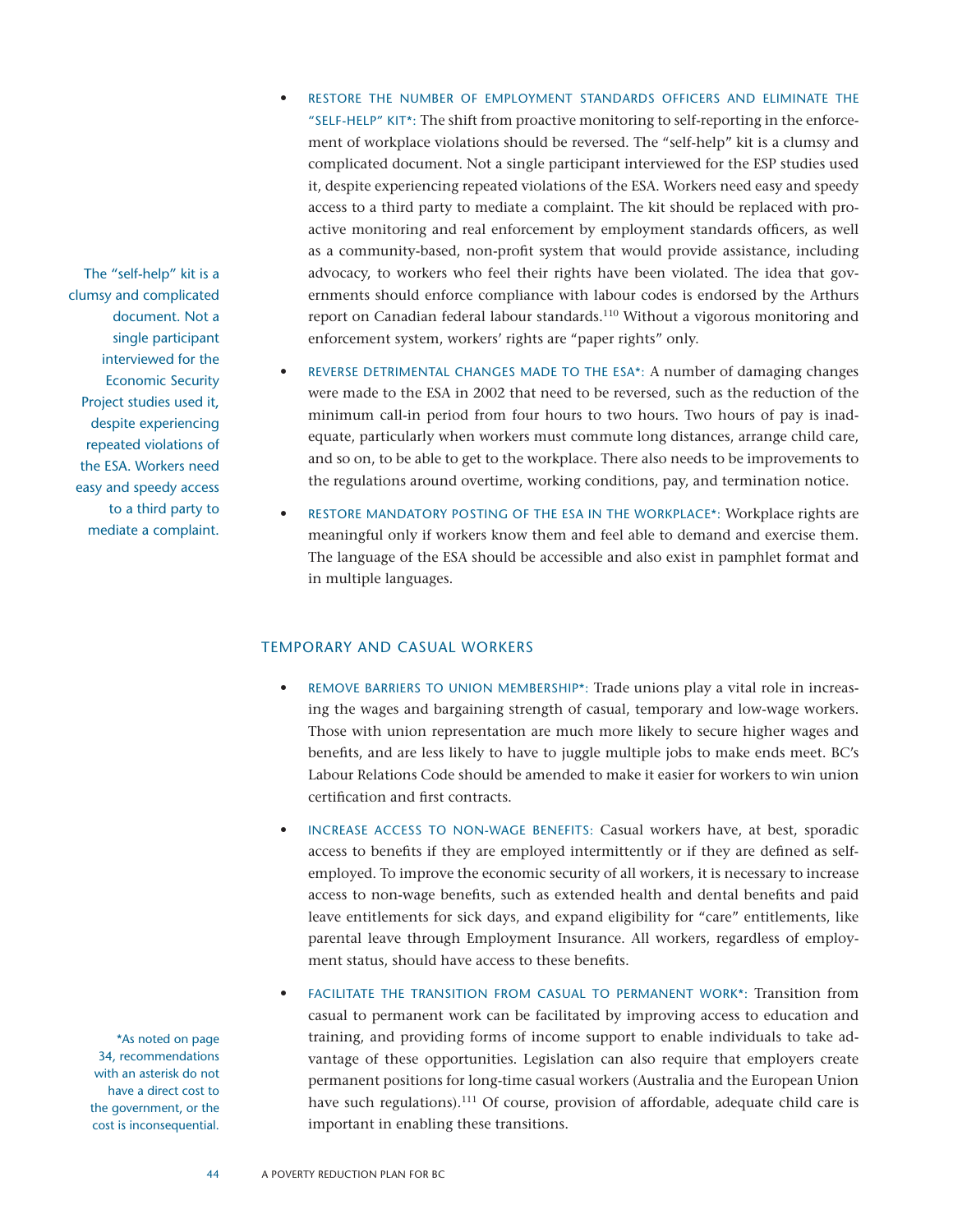The "self-help" kit is a clumsy and complicated document. Not a single participant interviewed for the Economic Security Project studies used it, despite experiencing repeated violations of the ESA. Workers need easy and speedy access to a third party to mediate a complaint.

> \*As noted on page 34, recommendations with an asterisk do not have a direct cost to the government, or the cost is inconsequential.

- RESTORE THE NUMBER OF EMPLOYMENT STANDARDS OFFICERS AND ELIMINATE THE "SELF-HELP" KIT\*: The shift from proactive monitoring to self-reporting in the enforcement of workplace violations should be reversed. The "self-help" kit is a clumsy and complicated document. Not a single participant interviewed for the ESP studies used it, despite experiencing repeated violations of the ESA. Workers need easy and speedy access to a third party to mediate a complaint. The kit should be replaced with proactive monitoring and real enforcement by employment standards officers, as well as a community-based, non-profit system that would provide assistance, including advocacy, to workers who feel their rights have been violated. The idea that governments should enforce compliance with labour codes is endorsed by the Arthurs report on Canadian federal labour standards.<sup>110</sup> Without a vigorous monitoring and enforcement system, workers' rights are "paper rights" only.
- REVERSE DETRIMENTAL CHANGES MADE TO THE ESA\*: A number of damaging changes were made to the ESA in 2002 that need to be reversed, such as the reduction of the minimum call-in period from four hours to two hours. Two hours of pay is inadequate, particularly when workers must commute long distances, arrange child care, and so on, to be able to get to the workplace. There also needs to be improvements to the regulations around overtime, working conditions, pay, and termination notice.
- RESTORE MANDATORY POSTING OF THE ESA IN THE WORKPLACE\*: Workplace rights are meaningful only if workers know them and feel able to demand and exercise them. The language of the ESA should be accessible and also exist in pamphlet format and in multiple languages.

#### Temporary and Casual Workers

- REMOVE BARRIERS TO UNION MEMBERSHIP\*: Trade unions play a vital role in increasing the wages and bargaining strength of casual, temporary and low-wage workers. Those with union representation are much more likely to secure higher wages and benefits, and are less likely to have to juggle multiple jobs to make ends meet. BC's Labour Relations Code should be amended to make it easier for workers to win union certification and first contracts.
- INCREASE ACCESS TO NON-WAGE BENEFITS: Casual workers have, at best, sporadic access to benefits if they are employed intermittently or if they are defined as selfemployed. To improve the economic security of all workers, it is necessary to increase access to non-wage benefits, such as extended health and dental benefits and paid leave entitlements for sick days, and expand eligibility for "care" entitlements, like parental leave through Employment Insurance. All workers, regardless of employment status, should have access to these benefits.
- FACILITATE THE TRANSITION FROM CASUAL TO PERMANENT WORK\*: Transition from casual to permanent work can be facilitated by improving access to education and training, and providing forms of income support to enable individuals to take advantage of these opportunities. Legislation can also require that employers create permanent positions for long-time casual workers (Australia and the European Union have such regulations).<sup>111</sup> Of course, provision of affordable, adequate child care is important in enabling these transitions.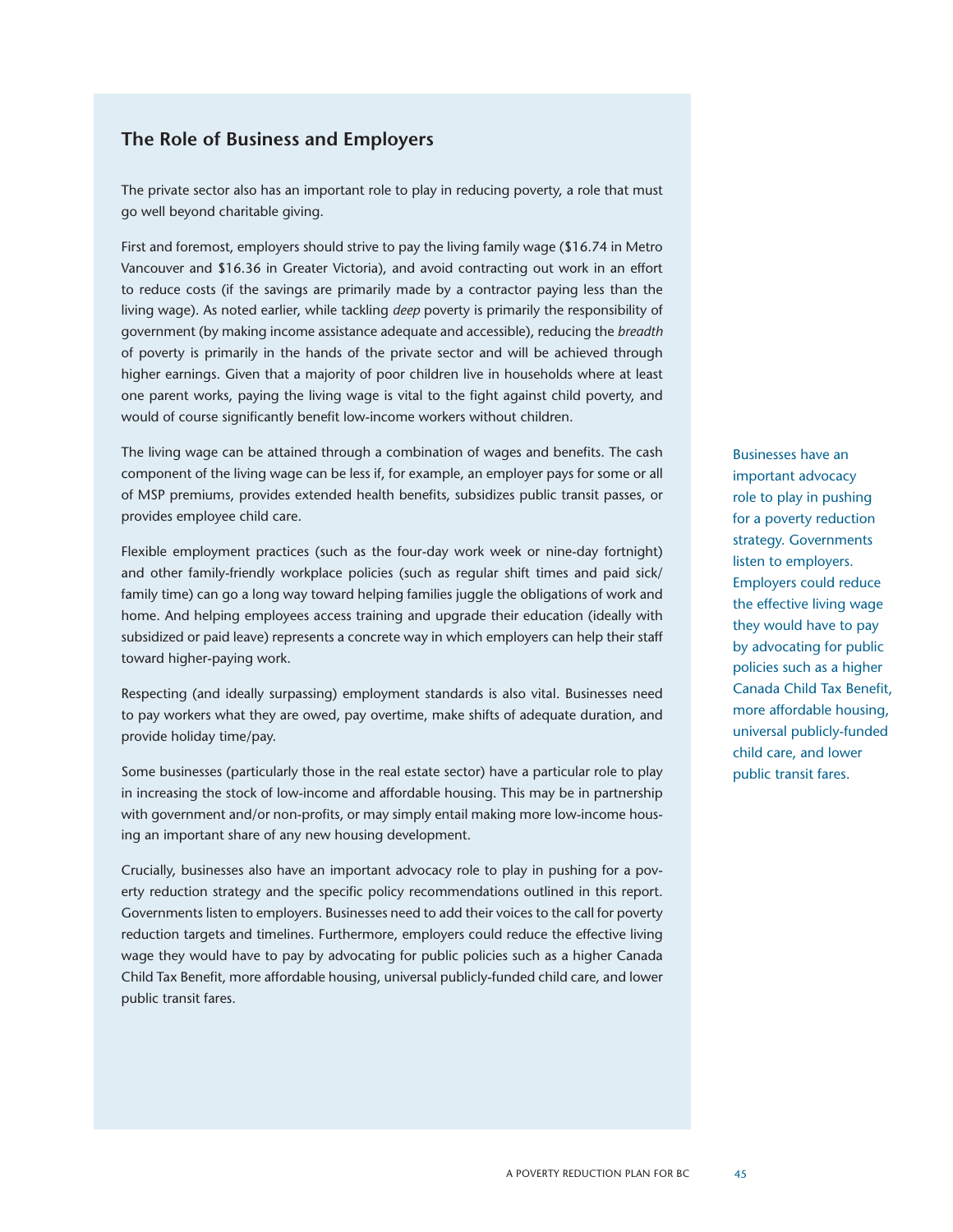#### **The Role of Business and Employers**

The private sector also has an important role to play in reducing poverty, a role that must go well beyond charitable giving.

First and foremost, employers should strive to pay the living family wage (\$16.74 in Metro Vancouver and \$16.36 in Greater Victoria), and avoid contracting out work in an effort to reduce costs (if the savings are primarily made by a contractor paying less than the living wage). As noted earlier, while tackling *deep* poverty is primarily the responsibility of government (by making income assistance adequate and accessible), reducing the *breadth* of poverty is primarily in the hands of the private sector and will be achieved through higher earnings. Given that a majority of poor children live in households where at least one parent works, paying the living wage is vital to the fight against child poverty, and would of course significantly benefit low-income workers without children.

The living wage can be attained through a combination of wages and benefits. The cash component of the living wage can be less if, for example, an employer pays for some or all of MSP premiums, provides extended health benefits, subsidizes public transit passes, or provides employee child care.

Flexible employment practices (such as the four-day work week or nine-day fortnight) and other family-friendly workplace policies (such as regular shift times and paid sick/ family time) can go a long way toward helping families juggle the obligations of work and home. And helping employees access training and upgrade their education (ideally with subsidized or paid leave) represents a concrete way in which employers can help their staff toward higher-paying work.

Respecting (and ideally surpassing) employment standards is also vital. Businesses need to pay workers what they are owed, pay overtime, make shifts of adequate duration, and provide holiday time/pay.

Some businesses (particularly those in the real estate sector) have a particular role to play in increasing the stock of low-income and affordable housing. This may be in partnership with government and/or non-profits, or may simply entail making more low-income housing an important share of any new housing development.

Crucially, businesses also have an important advocacy role to play in pushing for a poverty reduction strategy and the specific policy recommendations outlined in this report. Governments listen to employers. Businesses need to add their voices to the call for poverty reduction targets and timelines. Furthermore, employers could reduce the effective living wage they would have to pay by advocating for public policies such as a higher Canada Child Tax Benefit, more affordable housing, universal publicly-funded child care, and lower public transit fares.

Businesses have an important advocacy role to play in pushing for a poverty reduction strategy. Governments listen to employers. Employers could reduce the effective living wage they would have to pay by advocating for public policies such as a higher Canada Child Tax Benefit, more affordable housing, universal publicly-funded child care, and lower public transit fares.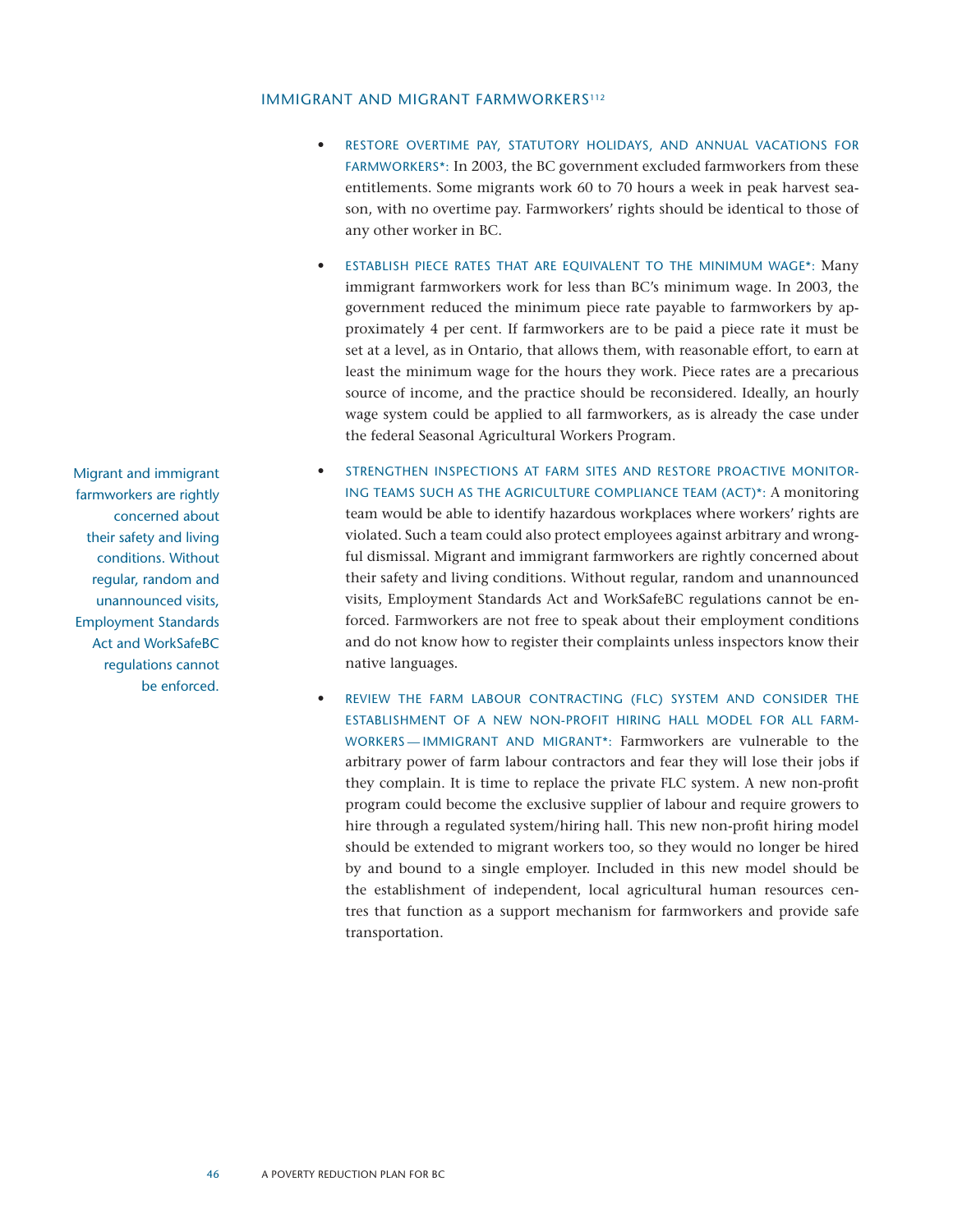#### IMMIGRANT AND MIGRANT FARMWORKERS<sup>112</sup>

- • Restore overtime pay, statutory holidays, and annual vacations for farmworkers\*: In 2003, the BC government excluded farmworkers from these entitlements. Some migrants work 60 to 70 hours a week in peak harvest season, with no overtime pay. Farmworkers' rights should be identical to those of any other worker in BC.
- ESTABLISH PIECE RATES THAT ARE EQUIVALENT TO THE MINIMUM WAGE\*: Many immigrant farmworkers work for less than BC's minimum wage. In 2003, the government reduced the minimum piece rate payable to farmworkers by approximately 4 per cent. If farmworkers are to be paid a piece rate it must be set at a level, as in Ontario, that allows them, with reasonable effort, to earn at least the minimum wage for the hours they work. Piece rates are a precarious source of income, and the practice should be reconsidered. Ideally, an hourly wage system could be applied to all farmworkers, as is already the case under the federal Seasonal Agricultural Workers Program.
- • Strengthen inspections at farm sites and restore proactive monitoring teams such as the Agriculture Compliance Team (ACT)\*: A monitoring team would be able to identify hazardous workplaces where workers' rights are violated. Such a team could also protect employees against arbitrary and wrongful dismissal. Migrant and immigrant farmworkers are rightly concerned about their safety and living conditions. Without regular, random and unannounced visits, Employment Standards Act and WorkSafeBC regulations cannot be enforced. Farmworkers are not free to speak about their employment conditions and do not know how to register their complaints unless inspectors know their native languages.
- REVIEW THE FARM LABOUR CONTRACTING (FLC) SYSTEM AND CONSIDER THE establishment of a new non-profit hiring hall model for all farmworkers — immigrant and migrant\*: Farmworkers are vulnerable to the arbitrary power of farm labour contractors and fear they will lose their jobs if they complain. It is time to replace the private FLC system. A new non-profit program could become the exclusive supplier of labour and require growers to hire through a regulated system/hiring hall. This new non-profit hiring model should be extended to migrant workers too, so they would no longer be hired by and bound to a single employer. Included in this new model should be the establishment of independent, local agricultural human resources centres that function as a support mechanism for farmworkers and provide safe transportation.

Migrant and immigrant farmworkers are rightly concerned about their safety and living conditions. Without regular, random and unannounced visits, Employment Standards Act and WorkSafeBC regulations cannot be enforced.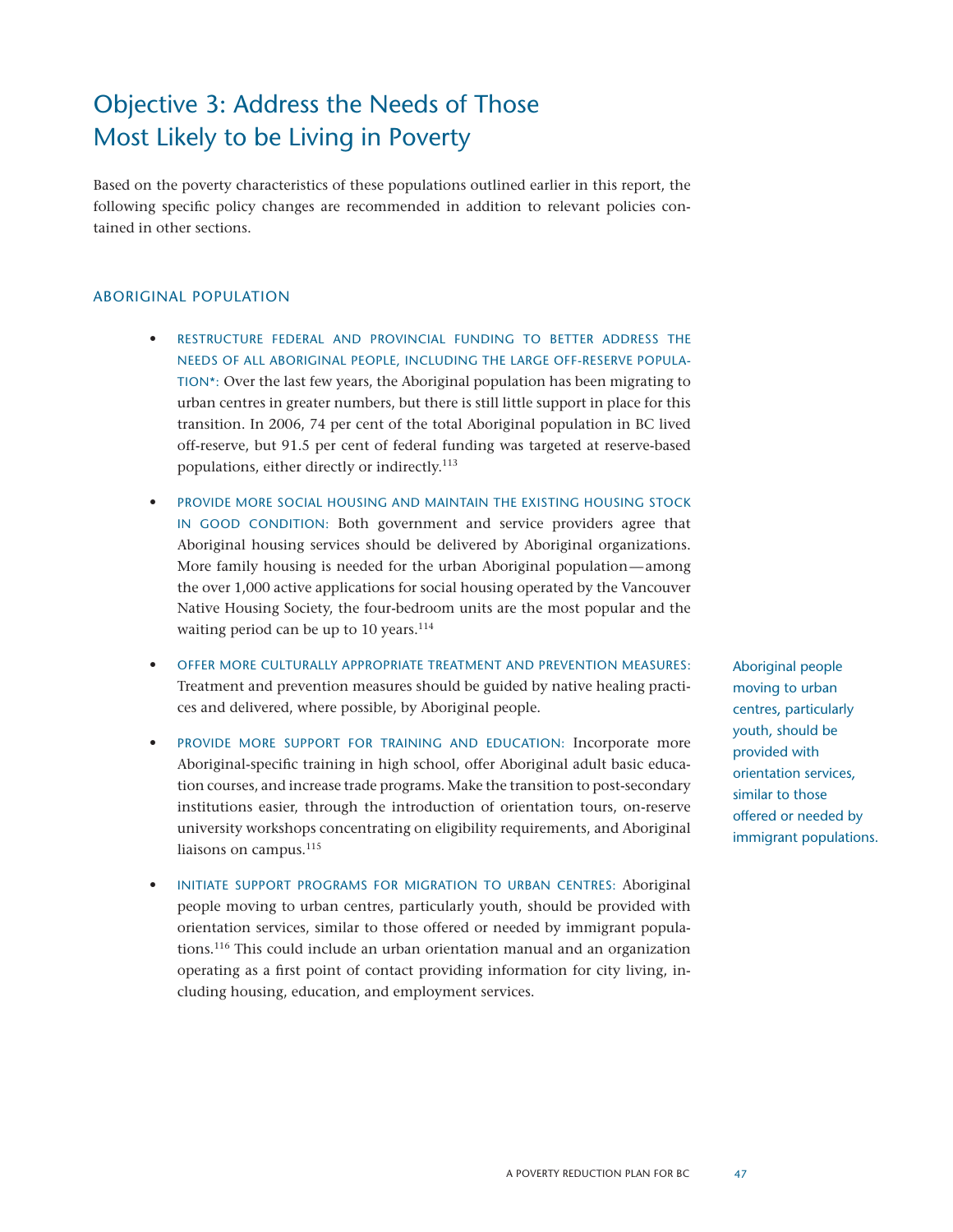## Objective 3: Address the Needs of Those Most Likely to be Living in Poverty

Based on the poverty characteristics of these populations outlined earlier in this report, the following specific policy changes are recommended in addition to relevant policies contained in other sections.

#### Aboriginal Population

- RESTRUCTURE FEDERAL AND PROVINCIAL FUNDING TO BETTER ADDRESS THE needs of all Aboriginal people, including the large off-reserve population\*: Over the last few years, the Aboriginal population has been migrating to urban centres in greater numbers, but there is still little support in place for this transition. In 2006, 74 per cent of the total Aboriginal population in BC lived off-reserve, but 91.5 per cent of federal funding was targeted at reserve-based populations, either directly or indirectly.113
- PROVIDE MORE SOCIAL HOUSING AND MAINTAIN THE EXISTING HOUSING STOCK in good condition: Both government and service providers agree that Aboriginal housing services should be delivered by Aboriginal organizations. More family housing is needed for the urban Aboriginal population—among the over 1,000 active applications for social housing operated by the Vancouver Native Housing Society, the four-bedroom units are the most popular and the waiting period can be up to 10 years. $114$
- OFFER MORE CULTURALLY APPROPRIATE TREATMENT AND PREVENTION MEASURES: Treatment and prevention measures should be guided by native healing practices and delivered, where possible, by Aboriginal people.
- PROVIDE MORE SUPPORT FOR TRAINING AND EDUCATION: Incorporate more Aboriginal-specific training in high school, offer Aboriginal adult basic education courses, and increase trade programs. Make the transition to post-secondary institutions easier, through the introduction of orientation tours, on-reserve university workshops concentrating on eligibility requirements, and Aboriginal liaisons on campus.<sup>115</sup>
- INITIATE SUPPORT PROGRAMS FOR MIGRATION TO URBAN CENTRES: Aboriginal people moving to urban centres, particularly youth, should be provided with orientation services, similar to those offered or needed by immigrant populations.<sup>116</sup> This could include an urban orientation manual and an organization operating as a first point of contact providing information for city living, including housing, education, and employment services.

Aboriginal people moving to urban centres, particularly youth, should be provided with orientation services, similar to those offered or needed by immigrant populations.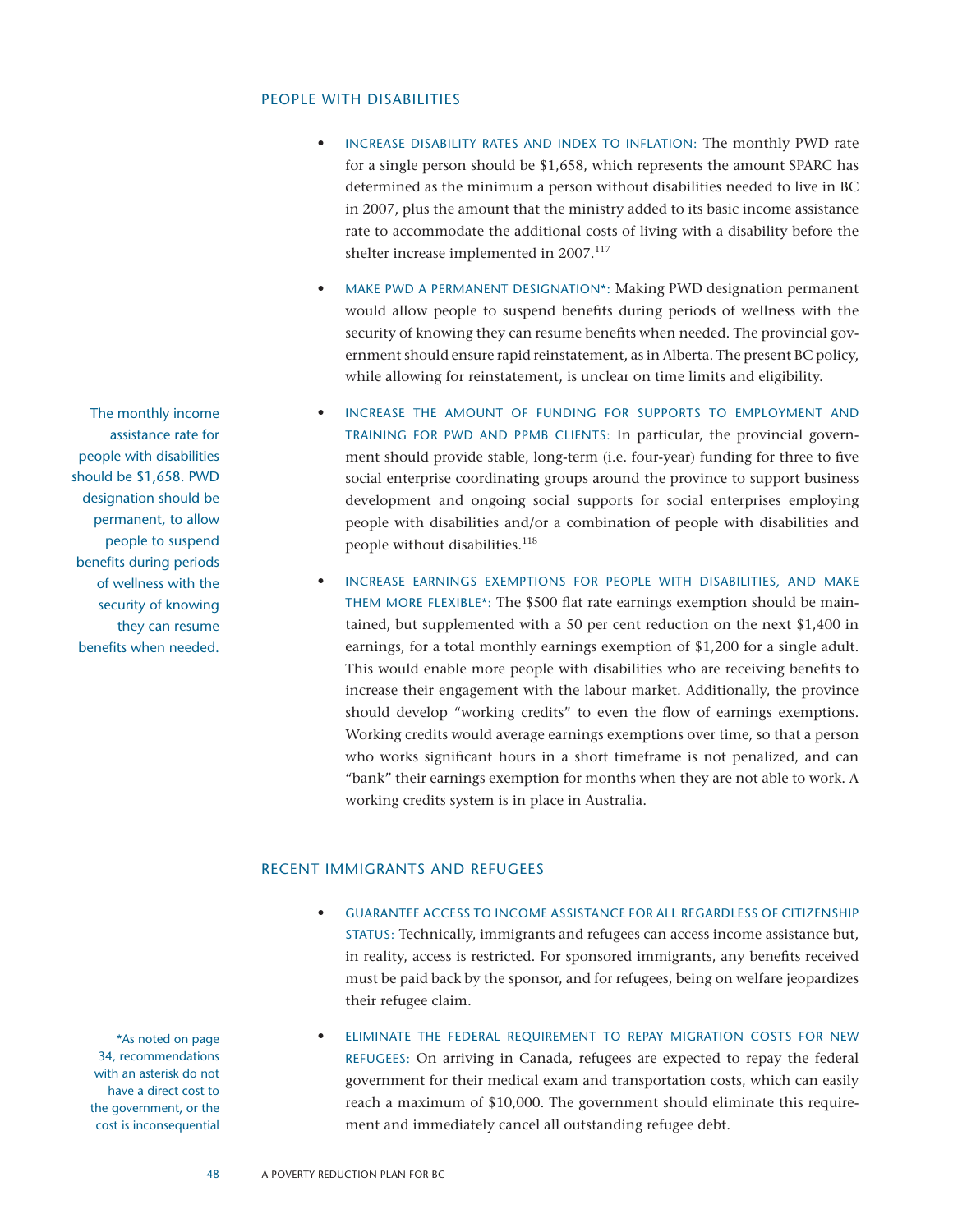#### People with Disabilities

- INCREASE DISABILITY RATES AND INDEX TO INFLATION: The monthly PWD rate for a single person should be \$1,658, which represents the amount SPARC has determined as the minimum a person without disabilities needed to live in BC in 2007, plus the amount that the ministry added to its basic income assistance rate to accommodate the additional costs of living with a disability before the shelter increase implemented in 2007.<sup>117</sup>
- MAKE PWD A PERMANENT DESIGNATION\*: Making PWD designation permanent would allow people to suspend benefits during periods of wellness with the security of knowing they can resume benefits when needed. The provincial government should ensure rapid reinstatement, as in Alberta. The present BC policy, while allowing for reinstatement, is unclear on time limits and eligibility.
- INCREASE THE AMOUNT OF FUNDING FOR SUPPORTS TO EMPLOYMENT AND training for PWD and PPMB clients: In particular, the provincial government should provide stable, long-term (i.e. four-year) funding for three to five social enterprise coordinating groups around the province to support business development and ongoing social supports for social enterprises employing people with disabilities and/or a combination of people with disabilities and people without disabilities.<sup>118</sup>
- INCREASE EARNINGS EXEMPTIONS FOR PEOPLE WITH DISABILITIES, AND MAKE them more flexible\*: The \$500 flat rate earnings exemption should be maintained, but supplemented with a 50 per cent reduction on the next \$1,400 in earnings, for a total monthly earnings exemption of \$1,200 for a single adult. This would enable more people with disabilities who are receiving benefits to increase their engagement with the labour market. Additionally, the province should develop "working credits" to even the flow of earnings exemptions. Working credits would average earnings exemptions over time, so that a person who works significant hours in a short timeframe is not penalized, and can "bank" their earnings exemption for months when they are not able to work. A working credits system is in place in Australia.

#### Recent Immigrants and Refugees

- GUARANTEE ACCESS TO INCOME ASSISTANCE FOR ALL REGARDLESS OF CITIZENSHIP status: Technically, immigrants and refugees can access income assistance but, in reality, access is restricted. For sponsored immigrants, any benefits received must be paid back by the sponsor, and for refugees, being on welfare jeopardizes their refugee claim.
- ELIMINATE THE FEDERAL REQUIREMENT TO REPAY MIGRATION COSTS FOR NEW refugees: On arriving in Canada, refugees are expected to repay the federal government for their medical exam and transportation costs, which can easily reach a maximum of \$10,000. The government should eliminate this requirement and immediately cancel all outstanding refugee debt.

The monthly income assistance rate for people with disabilities should be \$1,658. PWD designation should be permanent, to allow people to suspend benefits during periods of wellness with the security of knowing they can resume benefits when needed.

> \*As noted on page 34, recommendations with an asterisk do not have a direct cost to the government, or the cost is inconsequential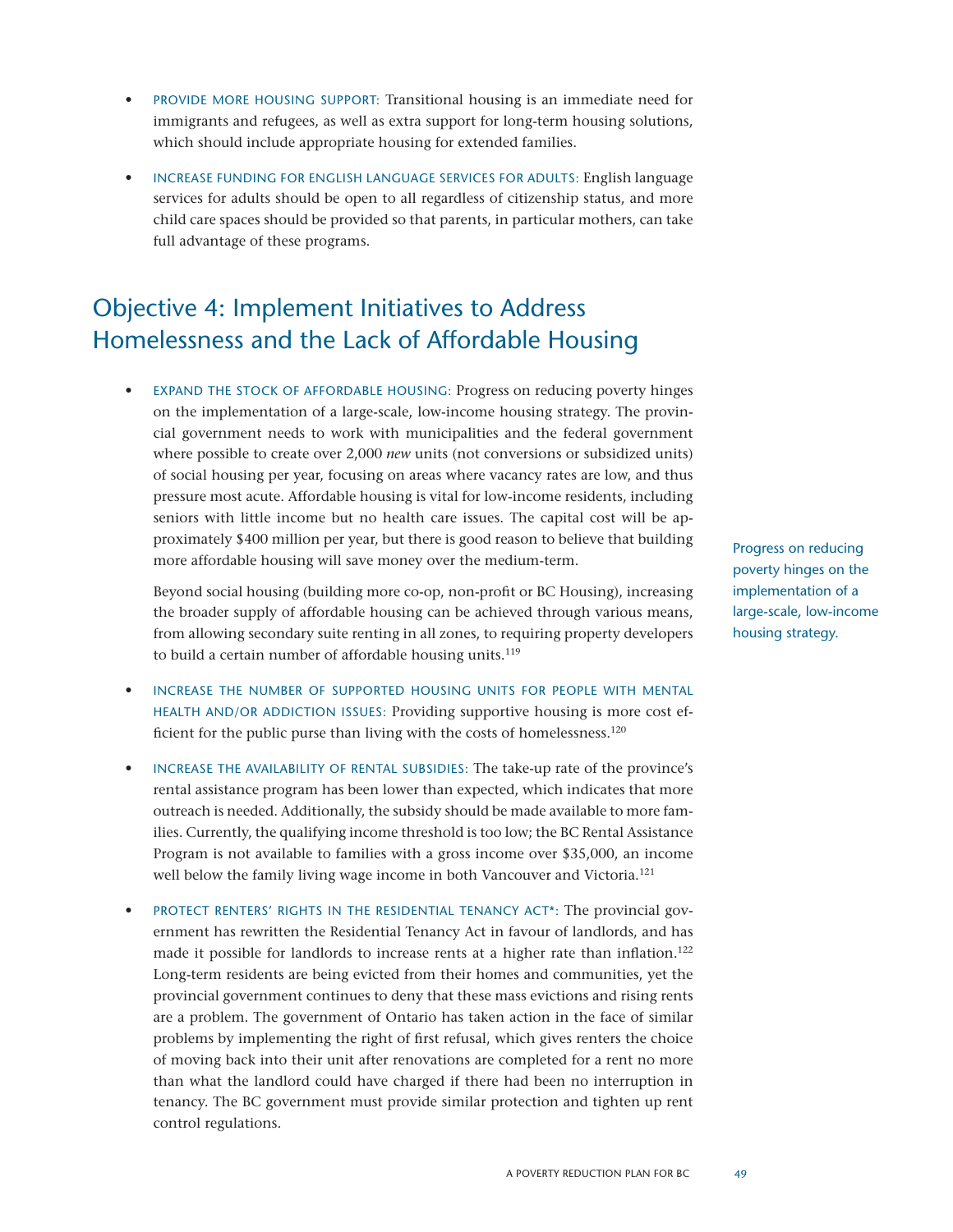- PROVIDE MORE HOUSING SUPPORT: Transitional housing is an immediate need for immigrants and refugees, as well as extra support for long-term housing solutions, which should include appropriate housing for extended families.
- INCREASE FUNDING FOR ENGLISH LANGUAGE SERVICES FOR ADULTS: English language services for adults should be open to all regardless of citizenship status, and more child care spaces should be provided so that parents, in particular mothers, can take full advantage of these programs.

## Objective 4: Implement Initiatives to Address Homelessness and the Lack of Affordable Housing

EXPAND THE STOCK OF AFFORDABLE HOUSING: Progress on reducing poverty hinges on the implementation of a large-scale, low-income housing strategy. The provincial government needs to work with municipalities and the federal government where possible to create over 2,000 *new* units (not conversions or subsidized units) of social housing per year, focusing on areas where vacancy rates are low, and thus pressure most acute. Affordable housing is vital for low-income residents, including seniors with little income but no health care issues. The capital cost will be approximately \$400 million per year, but there is good reason to believe that building more affordable housing will save money over the medium-term.

Beyond social housing (building more co-op, non-profit or BC Housing), increasing the broader supply of affordable housing can be achieved through various means, from allowing secondary suite renting in all zones, to requiring property developers to build a certain number of affordable housing units.<sup>119</sup>

- INCREASE THE NUMBER OF SUPPORTED HOUSING UNITS FOR PEOPLE WITH MENTAL health and/or addiction issues: Providing supportive housing is more cost efficient for the public purse than living with the costs of homelessness.<sup>120</sup>
- INCREASE THE AVAILABILITY OF RENTAL SUBSIDIES: The take-up rate of the province's rental assistance program has been lower than expected, which indicates that more outreach is needed. Additionally, the subsidy should be made available to more families. Currently, the qualifying income threshold is too low; the BC Rental Assistance Program is not available to families with a gross income over \$35,000, an income well below the family living wage income in both Vancouver and Victoria.<sup>121</sup>
- PROTECT RENTERS' RIGHTS IN THE RESIDENTIAL TENANCY ACT\*: The provincial government has rewritten the Residential Tenancy Act in favour of landlords, and has made it possible for landlords to increase rents at a higher rate than inflation.<sup>122</sup> Long-term residents are being evicted from their homes and communities, yet the provincial government continues to deny that these mass evictions and rising rents are a problem. The government of Ontario has taken action in the face of similar problems by implementing the right of first refusal, which gives renters the choice of moving back into their unit after renovations are completed for a rent no more than what the landlord could have charged if there had been no interruption in tenancy. The BC government must provide similar protection and tighten up rent control regulations.

Progress on reducing poverty hinges on the implementation of a large-scale, low-income housing strategy.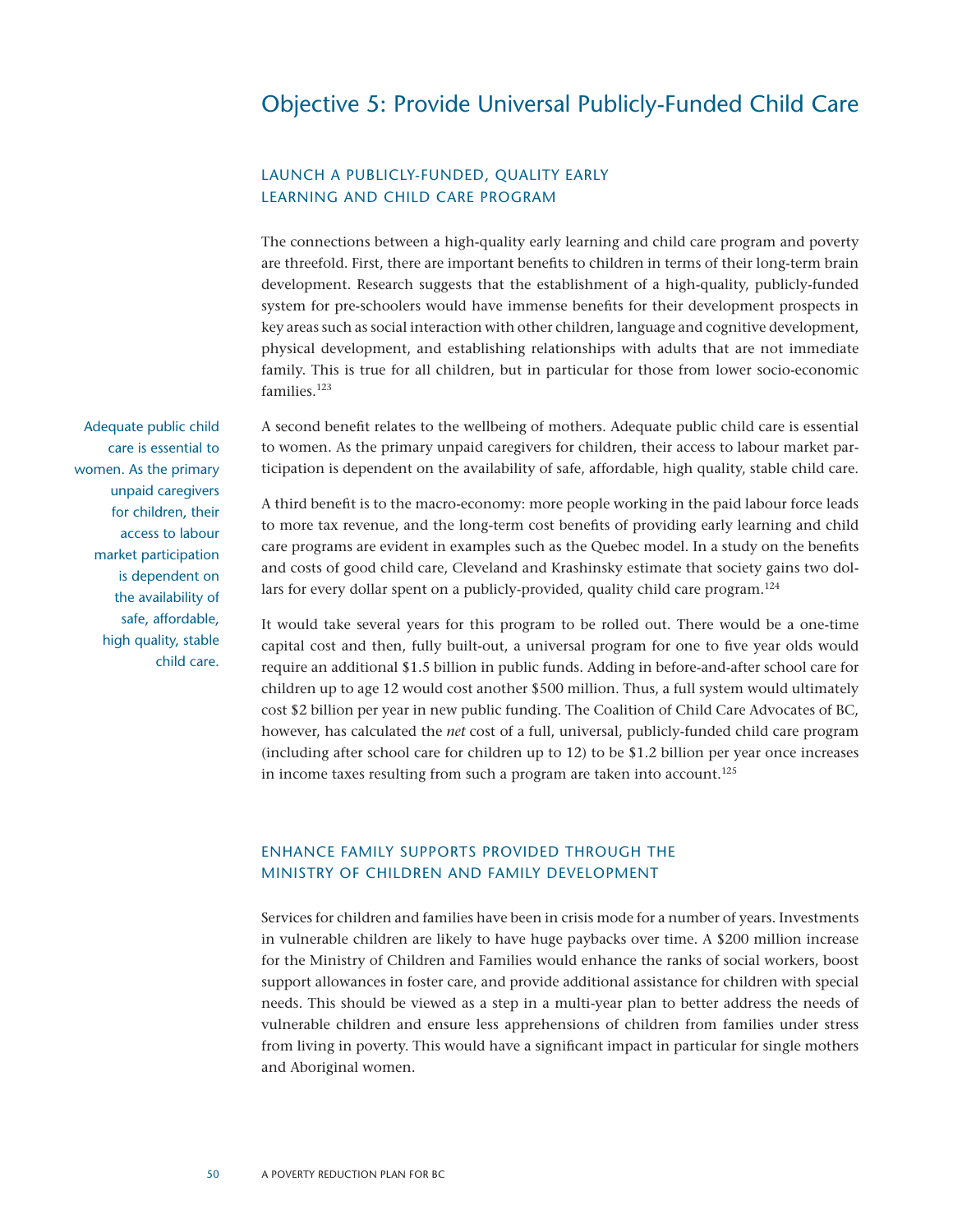### Objective 5: Provide Universal Publicly-Funded Child Care

#### Launch a publicly-funded, quality early learning and child care program

The connections between a high-quality early learning and child care program and poverty are threefold. First, there are important benefits to children in terms of their long-term brain development. Research suggests that the establishment of a high-quality, publicly-funded system for pre-schoolers would have immense benefits for their development prospects in key areas such as social interaction with other children, language and cognitive development, physical development, and establishing relationships with adults that are not immediate family. This is true for all children, but in particular for those from lower socio-economic families<sup>123</sup>

A second benefit relates to the wellbeing of mothers. Adequate public child care is essential to women. As the primary unpaid caregivers for children, their access to labour market participation is dependent on the availability of safe, affordable, high quality, stable child care.

Adequate public child care is essential to women. As the primary unpaid caregivers for children, their access to labour market participation is dependent on the availability of safe, affordable, high quality, stable child care.

A third benefit is to the macro-economy: more people working in the paid labour force leads to more tax revenue, and the long-term cost benefits of providing early learning and child care programs are evident in examples such as the Quebec model. In a study on the benefits and costs of good child care, Cleveland and Krashinsky estimate that society gains two dollars for every dollar spent on a publicly-provided, quality child care program.<sup>124</sup>

It would take several years for this program to be rolled out. There would be a one-time capital cost and then, fully built-out, a universal program for one to five year olds would require an additional \$1.5 billion in public funds. Adding in before-and-after school care for children up to age 12 would cost another \$500 million. Thus, a full system would ultimately cost \$2 billion per year in new public funding. The Coalition of Child Care Advocates of BC, however, has calculated the *net* cost of a full, universal, publicly-funded child care program (including after school care for children up to 12) to be \$1.2 billion per year once increases in income taxes resulting from such a program are taken into account.<sup>125</sup>

#### Enhance family supports provided through the Ministry of Children and Family Development

Services for children and families have been in crisis mode for a number of years. Investments in vulnerable children are likely to have huge paybacks over time. A \$200 million increase for the Ministry of Children and Families would enhance the ranks of social workers, boost support allowances in foster care, and provide additional assistance for children with special needs. This should be viewed as a step in a multi-year plan to better address the needs of vulnerable children and ensure less apprehensions of children from families under stress from living in poverty. This would have a significant impact in particular for single mothers and Aboriginal women.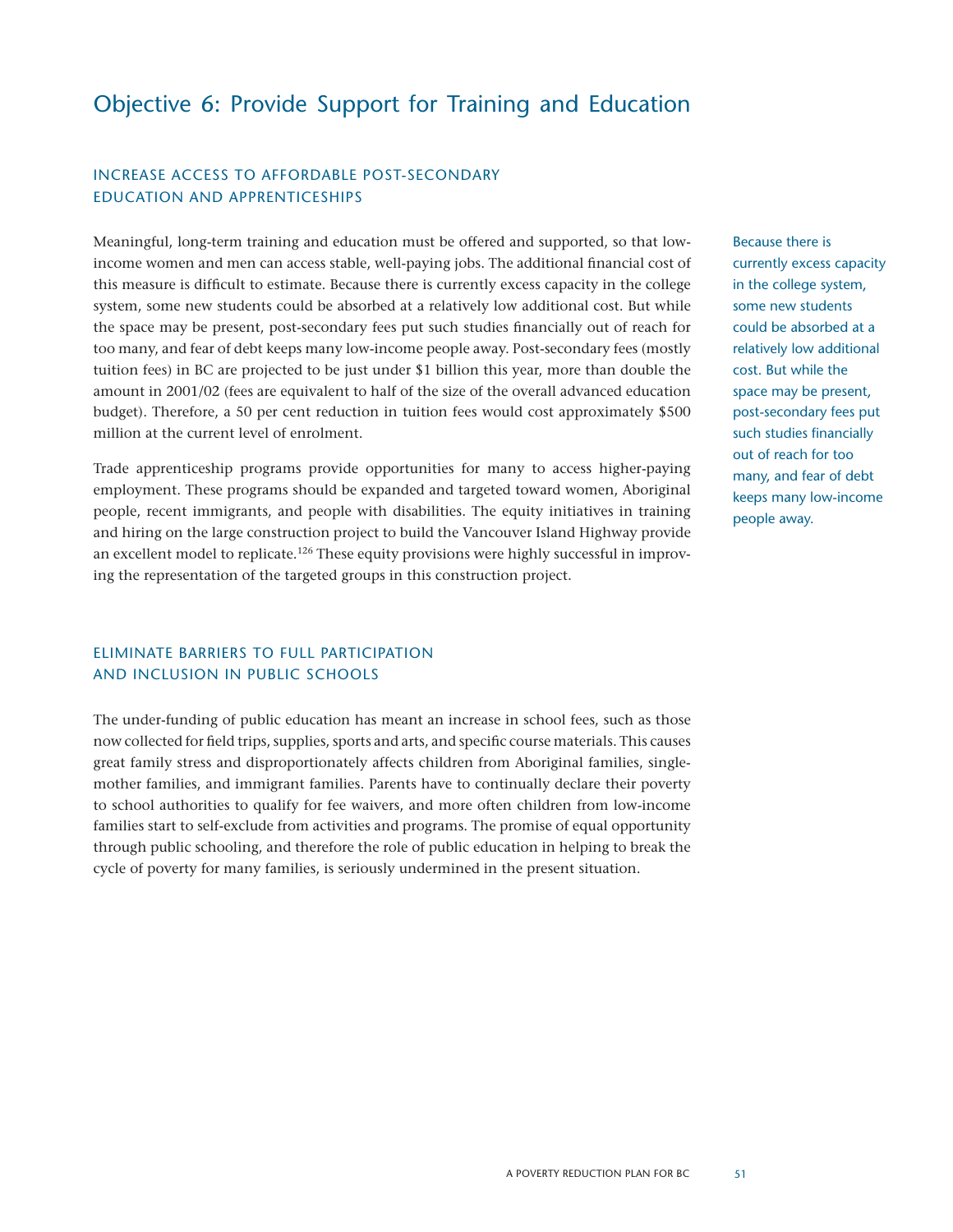## Objective 6: Provide Support for Training and Education

#### Increase access to affordable post-secondary education and apprenticeships

Meaningful, long-term training and education must be offered and supported, so that lowincome women and men can access stable, well-paying jobs. The additional financial cost of this measure is difficult to estimate. Because there is currently excess capacity in the college system, some new students could be absorbed at a relatively low additional cost. But while the space may be present, post-secondary fees put such studies financially out of reach for too many, and fear of debt keeps many low-income people away. Post-secondary fees (mostly tuition fees) in BC are projected to be just under \$1 billion this year, more than double the amount in 2001/02 (fees are equivalent to half of the size of the overall advanced education budget). Therefore, a 50 per cent reduction in tuition fees would cost approximately \$500 million at the current level of enrolment.

Trade apprenticeship programs provide opportunities for many to access higher-paying employment. These programs should be expanded and targeted toward women, Aboriginal people, recent immigrants, and people with disabilities. The equity initiatives in training and hiring on the large construction project to build the Vancouver Island Highway provide an excellent model to replicate.<sup>126</sup> These equity provisions were highly successful in improving the representation of the targeted groups in this construction project.

#### Eliminate barriers to full participation and inclusion in public schools

The under-funding of public education has meant an increase in school fees, such as those now collected for field trips, supplies, sports and arts, and specific course materials. This causes great family stress and disproportionately affects children from Aboriginal families, singlemother families, and immigrant families. Parents have to continually declare their poverty to school authorities to qualify for fee waivers, and more often children from low-income families start to self-exclude from activities and programs. The promise of equal opportunity through public schooling, and therefore the role of public education in helping to break the cycle of poverty for many families, is seriously undermined in the present situation.

Because there is currently excess capacity in the college system, some new students could be absorbed at a relatively low additional cost. But while the space may be present, post-secondary fees put such studies financially out of reach for too many, and fear of debt keeps many low-income people away.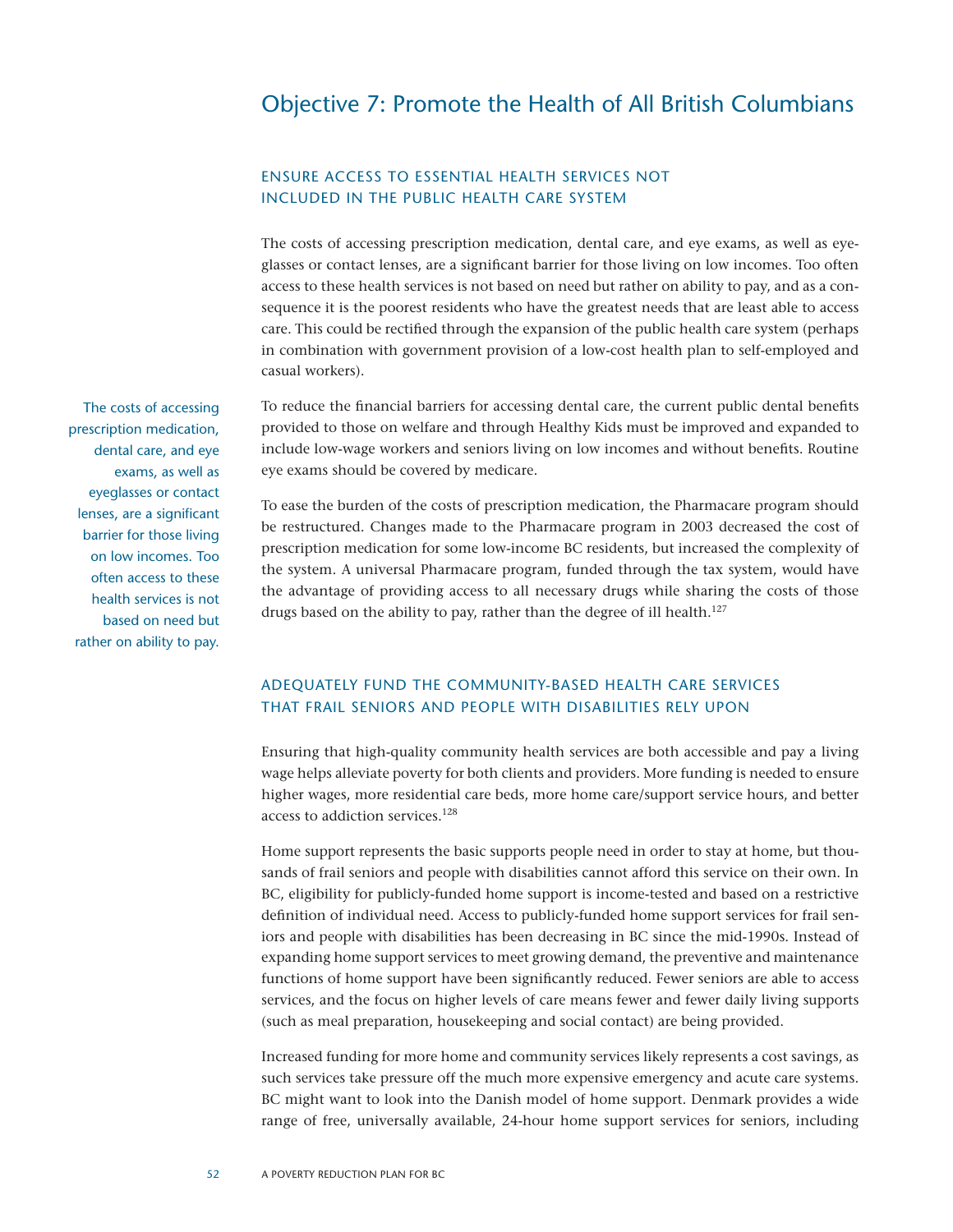### Objective 7: Promote the Health of All British Columbians

#### Ensure access to essential health services not included in the public health care system

The costs of accessing prescription medication, dental care, and eye exams, as well as eyeglasses or contact lenses, are a significant barrier for those living on low incomes. Too often access to these health services is not based on need but rather on ability to pay, and as a consequence it is the poorest residents who have the greatest needs that are least able to access care. This could be rectified through the expansion of the public health care system (perhaps in combination with government provision of a low-cost health plan to self-employed and casual workers).

To reduce the financial barriers for accessing dental care, the current public dental benefits provided to those on welfare and through Healthy Kids must be improved and expanded to include low-wage workers and seniors living on low incomes and without benefits. Routine eye exams should be covered by medicare.

To ease the burden of the costs of prescription medication, the Pharmacare program should be restructured. Changes made to the Pharmacare program in 2003 decreased the cost of prescription medication for some low-income BC residents, but increased the complexity of the system. A universal Pharmacare program, funded through the tax system, would have the advantage of providing access to all necessary drugs while sharing the costs of those drugs based on the ability to pay, rather than the degree of ill health.<sup>127</sup>

#### Adequately fund the community-based health care services that frail seniors and people with disabilities rely upon

Ensuring that high-quality community health services are both accessible and pay a living wage helps alleviate poverty for both clients and providers. More funding is needed to ensure higher wages, more residential care beds, more home care/support service hours, and better access to addiction services.128

Home support represents the basic supports people need in order to stay at home, but thousands of frail seniors and people with disabilities cannot afford this service on their own. In BC, eligibility for publicly-funded home support is income-tested and based on a restrictive definition of individual need. Access to publicly-funded home support services for frail seniors and people with disabilities has been decreasing in BC since the mid-1990s. Instead of expanding home support services to meet growing demand, the preventive and maintenance functions of home support have been significantly reduced. Fewer seniors are able to access services, and the focus on higher levels of care means fewer and fewer daily living supports (such as meal preparation, housekeeping and social contact) are being provided.

Increased funding for more home and community services likely represents a cost savings, as such services take pressure off the much more expensive emergency and acute care systems. BC might want to look into the Danish model of home support. Denmark provides a wide range of free, universally available, 24-hour home support services for seniors, including

The costs of accessing prescription medication, dental care, and eye exams, as well as eyeglasses or contact lenses, are a significant barrier for those living on low incomes. Too often access to these health services is not based on need but rather on ability to pay.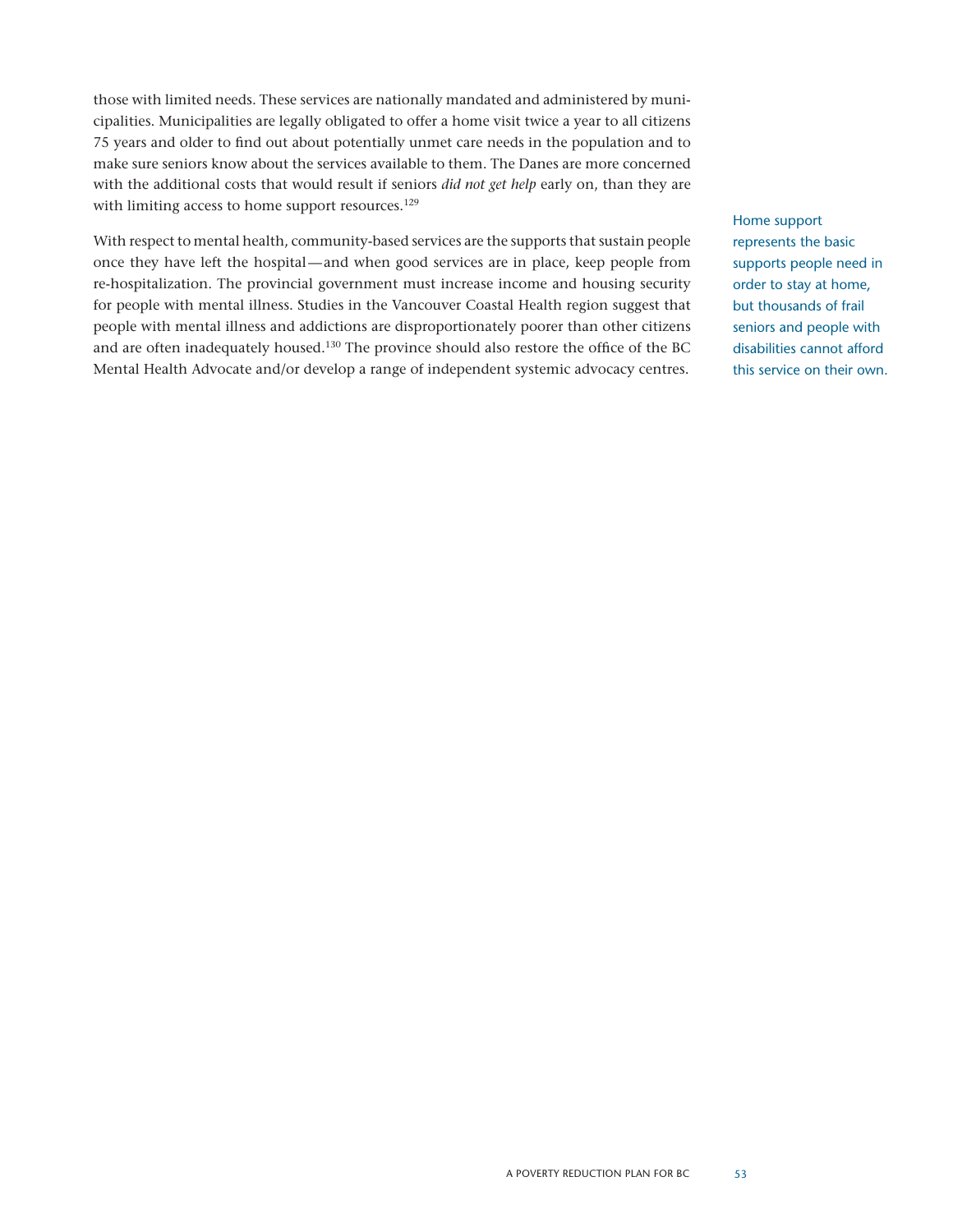those with limited needs. These services are nationally mandated and administered by municipalities. Municipalities are legally obligated to offer a home visit twice a year to all citizens 75 years and older to find out about potentially unmet care needs in the population and to make sure seniors know about the services available to them. The Danes are more concerned with the additional costs that would result if seniors *did not get help* early on, than they are with limiting access to home support resources.<sup>129</sup>

With respect to mental health, community-based services are the supports that sustain people once they have left the hospital—and when good services are in place, keep people from re-hospitalization. The provincial government must increase income and housing security for people with mental illness. Studies in the Vancouver Coastal Health region suggest that people with mental illness and addictions are disproportionately poorer than other citizens and are often inadequately housed.130 The province should also restore the office of the BC Mental Health Advocate and/or develop a range of independent systemic advocacy centres.

Home support represents the basic supports people need in order to stay at home, but thousands of frail seniors and people with disabilities cannot afford this service on their own.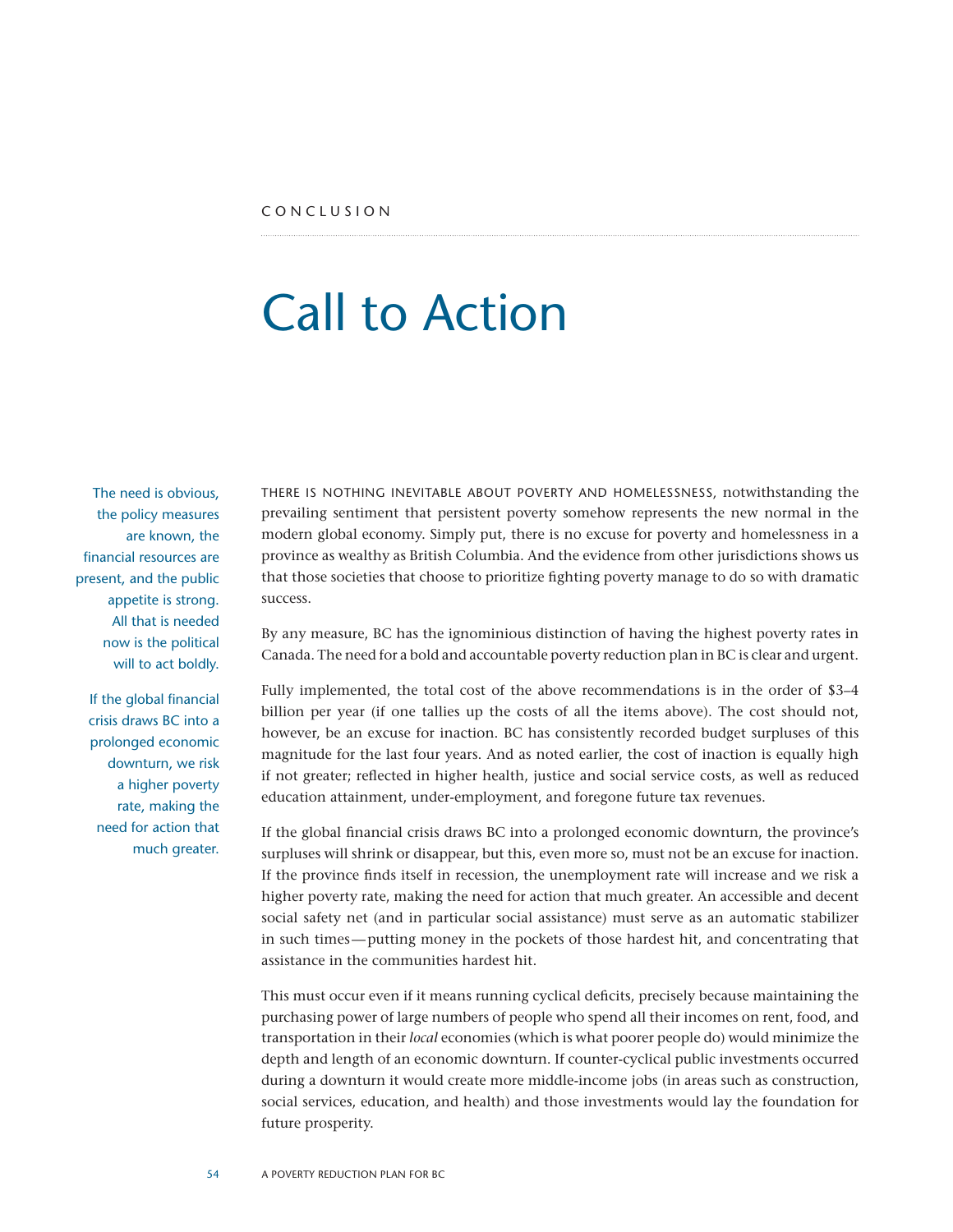## Call to Action

The need is obvious, the policy measures are known, the financial resources are present, and the public appetite is strong. All that is needed now is the political will to act boldly.

If the global financial crisis draws BC into a prolonged economic downturn, we risk a higher poverty rate, making the need for action that much greater.

There is nothing inevitable about poverty and homelessness, notwithstanding the prevailing sentiment that persistent poverty somehow represents the new normal in the modern global economy. Simply put, there is no excuse for poverty and homelessness in a province as wealthy as British Columbia. And the evidence from other jurisdictions shows us that those societies that choose to prioritize fighting poverty manage to do so with dramatic success.

By any measure, BC has the ignominious distinction of having the highest poverty rates in Canada. The need for a bold and accountable poverty reduction plan in BC is clear and urgent.

Fully implemented, the total cost of the above recommendations is in the order of \$3–4 billion per year (if one tallies up the costs of all the items above). The cost should not, however, be an excuse for inaction. BC has consistently recorded budget surpluses of this magnitude for the last four years. And as noted earlier, the cost of inaction is equally high if not greater; reflected in higher health, justice and social service costs, as well as reduced education attainment, under-employment, and foregone future tax revenues.

If the global financial crisis draws BC into a prolonged economic downturn, the province's surpluses will shrink or disappear, but this, even more so, must not be an excuse for inaction. If the province finds itself in recession, the unemployment rate will increase and we risk a higher poverty rate, making the need for action that much greater. An accessible and decent social safety net (and in particular social assistance) must serve as an automatic stabilizer in such times—putting money in the pockets of those hardest hit, and concentrating that assistance in the communities hardest hit.

This must occur even if it means running cyclical deficits, precisely because maintaining the purchasing power of large numbers of people who spend all their incomes on rent, food, and transportation in their *local* economies (which is what poorer people do) would minimize the depth and length of an economic downturn. If counter-cyclical public investments occurred during a downturn it would create more middle-income jobs (in areas such as construction, social services, education, and health) and those investments would lay the foundation for future prosperity.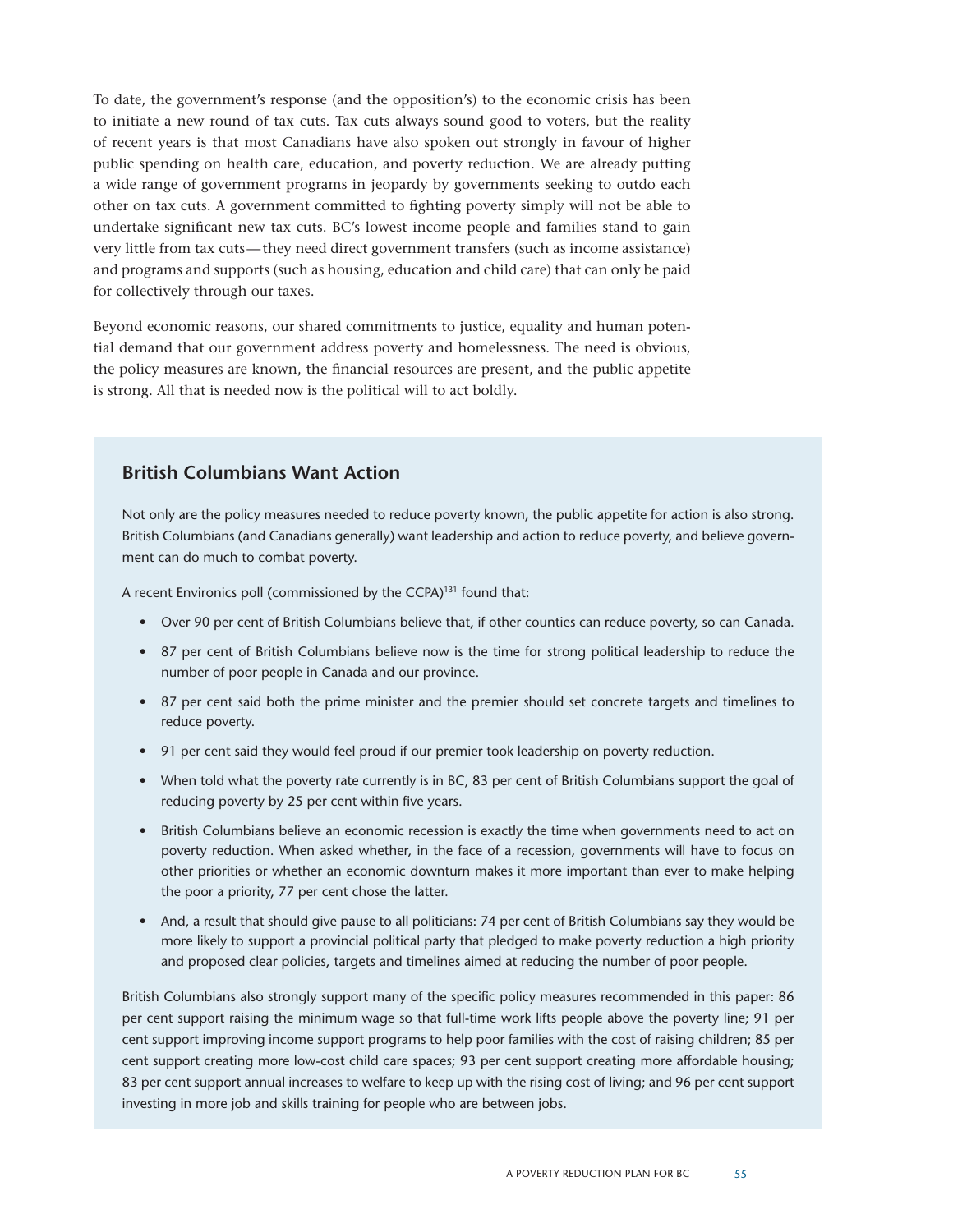To date, the government's response (and the opposition's) to the economic crisis has been to initiate a new round of tax cuts. Tax cuts always sound good to voters, but the reality of recent years is that most Canadians have also spoken out strongly in favour of higher public spending on health care, education, and poverty reduction. We are already putting a wide range of government programs in jeopardy by governments seeking to outdo each other on tax cuts. A government committed to fighting poverty simply will not be able to undertake significant new tax cuts. BC's lowest income people and families stand to gain very little from tax cuts—they need direct government transfers (such as income assistance) and programs and supports (such as housing, education and child care) that can only be paid for collectively through our taxes.

Beyond economic reasons, our shared commitments to justice, equality and human potential demand that our government address poverty and homelessness. The need is obvious, the policy measures are known, the financial resources are present, and the public appetite is strong. All that is needed now is the political will to act boldly.

#### **British Columbians Want Action**

Not only are the policy measures needed to reduce poverty known, the public appetite for action is also strong. British Columbians (and Canadians generally) want leadership and action to reduce poverty, and believe government can do much to combat poverty.

A recent Environics poll (commissioned by the CCPA)<sup>131</sup> found that:

- • Over 90 per cent of British Columbians believe that, if other counties can reduce poverty, so can Canada.
- • 87 per cent of British Columbians believe now is the time for strong political leadership to reduce the number of poor people in Canada and our province.
- • 87 per cent said both the prime minister and the premier should set concrete targets and timelines to reduce poverty.
- • 91 per cent said they would feel proud if our premier took leadership on poverty reduction.
- When told what the poverty rate currently is in BC, 83 per cent of British Columbians support the goal of reducing poverty by 25 per cent within five years.
- • British Columbians believe an economic recession is exactly the time when governments need to act on poverty reduction. When asked whether, in the face of a recession, governments will have to focus on other priorities or whether an economic downturn makes it more important than ever to make helping the poor a priority, 77 per cent chose the latter.
- • And, a result that should give pause to all politicians: 74 per cent of British Columbians say they would be more likely to support a provincial political party that pledged to make poverty reduction a high priority and proposed clear policies, targets and timelines aimed at reducing the number of poor people.

British Columbians also strongly support many of the specific policy measures recommended in this paper: 86 per cent support raising the minimum wage so that full-time work lifts people above the poverty line; 91 per cent support improving income support programs to help poor families with the cost of raising children; 85 per cent support creating more low-cost child care spaces; 93 per cent support creating more affordable housing; 83 per cent support annual increases to welfare to keep up with the rising cost of living; and 96 per cent support investing in more job and skills training for people who are between jobs.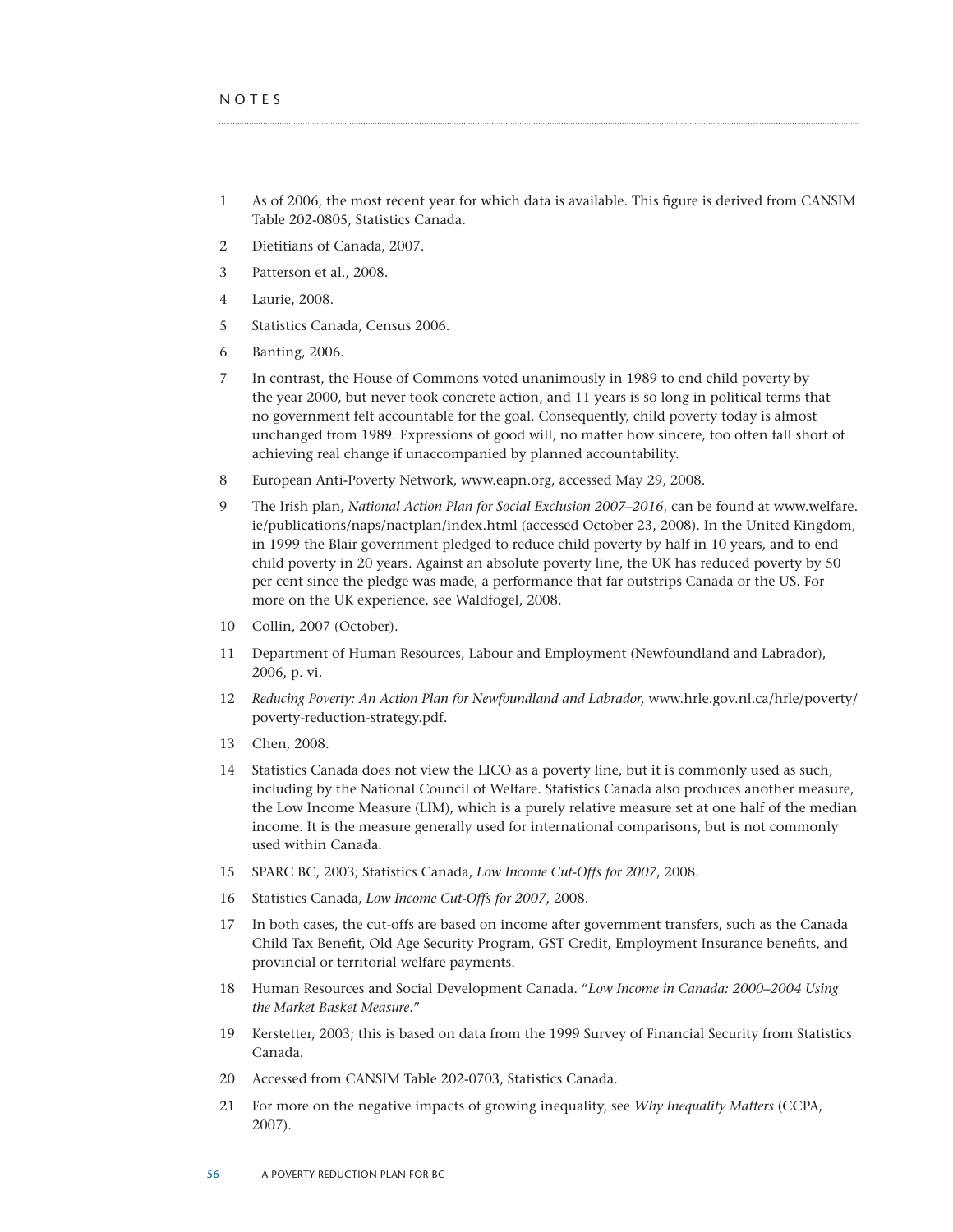- 1 As of 2006, the most recent year for which data is available. This figure is derived from CANSIM Table 202-0805, Statistics Canada.
- 2 Dietitians of Canada, 2007.
- 3 Patterson et al., 2008.
- 4 Laurie, 2008.
- 5 Statistics Canada, Census 2006.
- 6 Banting, 2006.
- 7 In contrast, the House of Commons voted unanimously in 1989 to end child poverty by the year 2000, but never took concrete action, and 11 years is so long in political terms that no government felt accountable for the goal. Consequently, child poverty today is almost unchanged from 1989. Expressions of good will, no matter how sincere, too often fall short of achieving real change if unaccompanied by planned accountability.
- 8 European Anti-Poverty Network, www.eapn.org, accessed May 29, 2008.
- 9 The Irish plan, *National Action Plan for Social Exclusion 2007–2016*, can be found at www.welfare. ie/publications/naps/nactplan/index.html (accessed October 23, 2008). In the United Kingdom, in 1999 the Blair government pledged to reduce child poverty by half in 10 years, and to end child poverty in 20 years. Against an absolute poverty line, the UK has reduced poverty by 50 per cent since the pledge was made, a performance that far outstrips Canada or the US. For more on the UK experience, see Waldfogel, 2008.
- 10 Collin, 2007 (October).
- 11 Department of Human Resources, Labour and Employment (Newfoundland and Labrador), 2006, p. vi.
- 12 *Reducing Poverty: An Action Plan for Newfoundland and Labrador,* www.hrle.gov.nl.ca/hrle/poverty/ poverty-reduction-strategy.pdf.
- 13 Chen, 2008.
- 14 Statistics Canada does not view the LICO as a poverty line, but it is commonly used as such, including by the National Council of Welfare. Statistics Canada also produces another measure, the Low Income Measure (LIM), which is a purely relative measure set at one half of the median income. It is the measure generally used for international comparisons, but is not commonly used within Canada.
- 15 SPARC BC, 2003; Statistics Canada, *Low Income Cut-Offs for 2007*, 2008.
- 16 Statistics Canada, *Low Income Cut-Offs for 2007*, 2008.
- 17 In both cases, the cut-offs are based on income after government transfers, such as the Canada Child Tax Benefit, Old Age Security Program, GST Credit, Employment Insurance benefits, and provincial or territorial welfare payments.
- 18 Human Resources and Social Development Canada. "*Low Income in Canada: 2000–2004 Using the Market Basket Measure*."
- 19 Kerstetter, 2003; this is based on data from the 1999 Survey of Financial Security from Statistics Canada.
- 20 Accessed from CANSIM Table 202-0703, Statistics Canada.
- 21 For more on the negative impacts of growing inequality, see *Why Inequality Matters* (CCPA, 2007).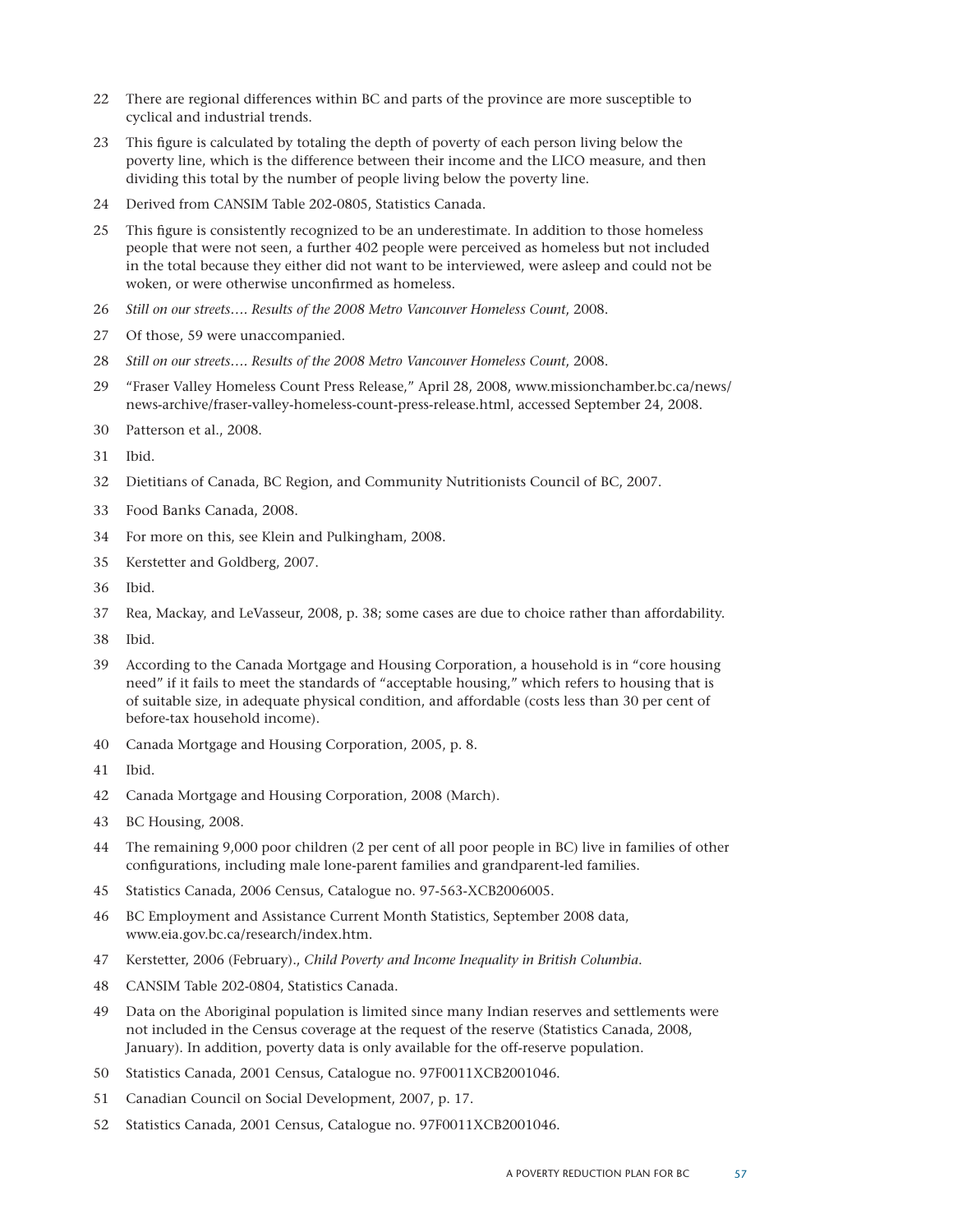- There are regional differences within BC and parts of the province are more susceptible to cyclical and industrial trends.
- This figure is calculated by totaling the depth of poverty of each person living below the poverty line, which is the difference between their income and the LICO measure, and then dividing this total by the number of people living below the poverty line.
- Derived from CANSIM Table 202-0805, Statistics Canada.
- This figure is consistently recognized to be an underestimate. In addition to those homeless people that were not seen, a further 402 people were perceived as homeless but not included in the total because they either did not want to be interviewed, were asleep and could not be woken, or were otherwise unconfirmed as homeless.
- *Still on our streets…. Results of the 2008 Metro Vancouver Homeless Count*, 2008.
- Of those, 59 were unaccompanied.
- *Still on our streets…. Results of the 2008 Metro Vancouver Homeless Count*, 2008.
- "Fraser Valley Homeless Count Press Release," April 28, 2008, www.missionchamber.bc.ca/news/ news-archive/fraser-valley-homeless-count-press-release.html, accessed September 24, 2008.
- Patterson et al., 2008.
- Ibid.
- Dietitians of Canada, BC Region, and Community Nutritionists Council of BC, 2007.
- Food Banks Canada, 2008.
- For more on this, see Klein and Pulkingham, 2008.
- Kerstetter and Goldberg, 2007.
- Ibid.
- Rea, Mackay, and LeVasseur, 2008, p. 38; some cases are due to choice rather than affordability.
- Ibid.
- According to the Canada Mortgage and Housing Corporation, a household is in "core housing need" if it fails to meet the standards of "acceptable housing," which refers to housing that is of suitable size, in adequate physical condition, and affordable (costs less than 30 per cent of before-tax household income).
- Canada Mortgage and Housing Corporation, 2005, p. 8.
- Ibid.
- Canada Mortgage and Housing Corporation, 2008 (March).
- BC Housing, 2008.
- The remaining 9,000 poor children (2 per cent of all poor people in BC) live in families of other configurations, including male lone-parent families and grandparent-led families.
- Statistics Canada, 2006 Census, Catalogue no. 97-563-XCB2006005.
- BC Employment and Assistance Current Month Statistics, September 2008 data, www.eia.gov.bc.ca/research/index.htm.
- Kerstetter, 2006 (February)., *Child Poverty and Income Inequality in British Columbia*.
- CANSIM Table 202-0804, Statistics Canada.
- Data on the Aboriginal population is limited since many Indian reserves and settlements were not included in the Census coverage at the request of the reserve (Statistics Canada, 2008, January). In addition, poverty data is only available for the off-reserve population.
- Statistics Canada, 2001 Census, Catalogue no. 97F0011XCB2001046.
- Canadian Council on Social Development, 2007, p. 17.
- Statistics Canada, 2001 Census, Catalogue no. 97F0011XCB2001046.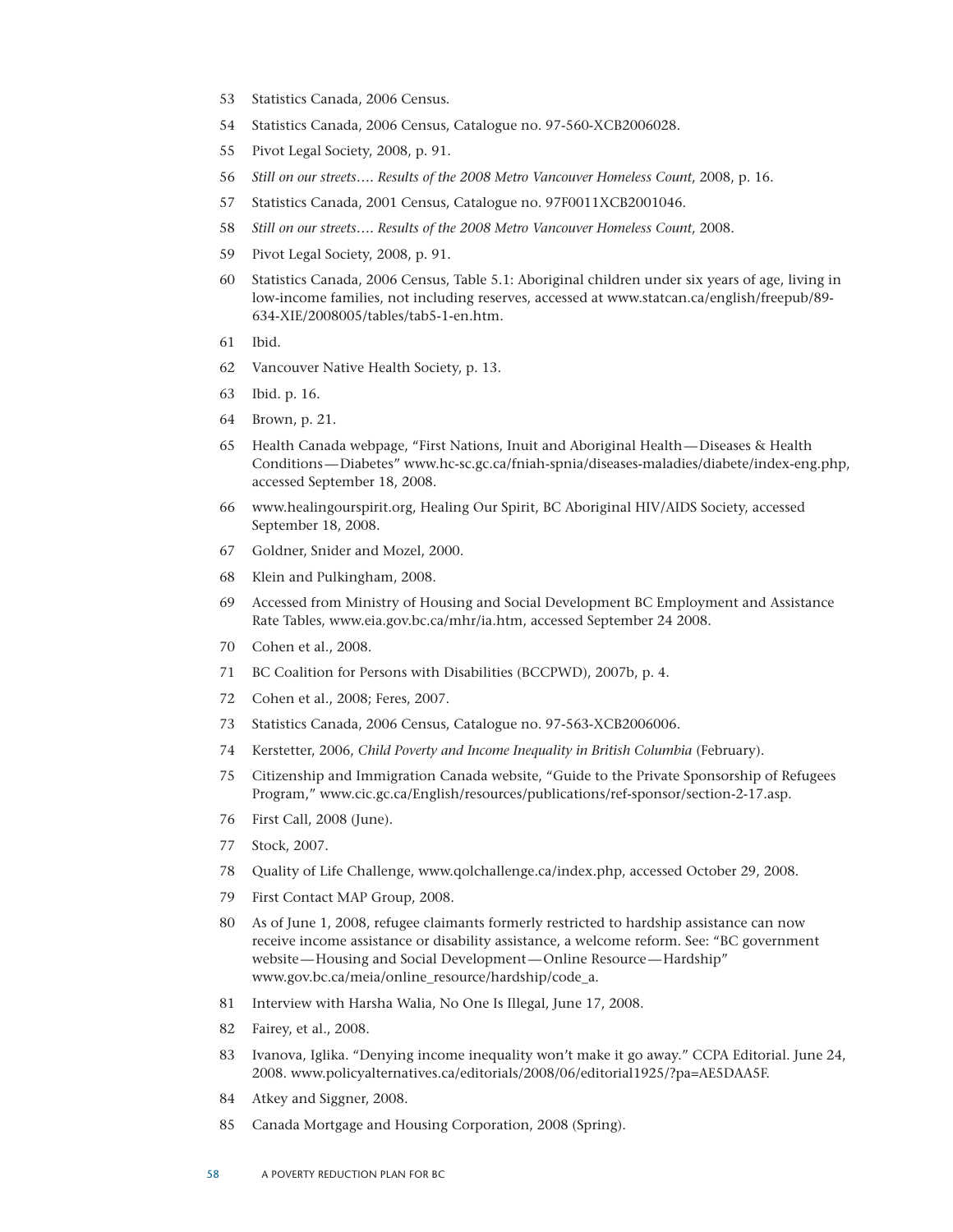- Statistics Canada, 2006 Census.
- Statistics Canada, 2006 Census, Catalogue no. 97-560-XCB2006028.
- Pivot Legal Society, 2008, p. 91.
- *Still on our streets…. Results of the 2008 Metro Vancouver Homeless Count*, 2008, p. 16.
- Statistics Canada, 2001 Census, Catalogue no. 97F0011XCB2001046.
- *Still on our streets…. Results of the 2008 Metro Vancouver Homeless Count*, 2008.
- Pivot Legal Society, 2008, p. 91.
- Statistics Canada, 2006 Census, Table 5.1: Aboriginal children under six years of age, living in low-income families, not including reserves, accessed at www.statcan.ca/english/freepub/89- 634-XIE/2008005/tables/tab5-1-en.htm.
- Ibid.
- Vancouver Native Health Society, p. 13.
- Ibid. p. 16.
- Brown, p. 21.
- Health Canada webpage, "First Nations, Inuit and Aboriginal Health—Diseases & Health Conditions—Diabetes" www.hc-sc.gc.ca/fniah-spnia/diseases-maladies/diabete/index-eng.php, accessed September 18, 2008.
- www.healingourspirit.org, Healing Our Spirit, BC Aboriginal HIV/AIDS Society, accessed September 18, 2008.
- Goldner, Snider and Mozel, 2000.
- Klein and Pulkingham, 2008.
- Accessed from Ministry of Housing and Social Development BC Employment and Assistance Rate Tables, www.eia.gov.bc.ca/mhr/ia.htm, accessed September 24 2008.
- Cohen et al., 2008.
- BC Coalition for Persons with Disabilities (BCCPWD), 2007b, p. 4.
- Cohen et al., 2008; Feres, 2007.
- Statistics Canada, 2006 Census, Catalogue no. 97-563-XCB2006006.
- Kerstetter, 2006, *Child Poverty and Income Inequality in British Columbia* (February).
- Citizenship and Immigration Canada website, "Guide to the Private Sponsorship of Refugees Program," www.cic.gc.ca/English/resources/publications/ref-sponsor/section-2-17.asp.
- First Call, 2008 (June).
- Stock, 2007.
- Quality of Life Challenge, www.qolchallenge.ca/index.php, accessed October 29, 2008.
- First Contact MAP Group, 2008.
- As of June 1, 2008, refugee claimants formerly restricted to hardship assistance can now receive income assistance or disability assistance, a welcome reform. See: "BC government website—Housing and Social Development—Online Resource—Hardship" www.gov.bc.ca/meia/online\_resource/hardship/code\_a.
- Interview with Harsha Walia, No One Is Illegal, June 17, 2008.
- Fairey, et al., 2008.
- Ivanova, Iglika. "Denying income inequality won't make it go away." CCPA Editorial. June 24, 2008. www.policyalternatives.ca/editorials/2008/06/editorial1925/?pa=AE5DAA5F.
- Atkey and Siggner, 2008.
- Canada Mortgage and Housing Corporation, 2008 (Spring).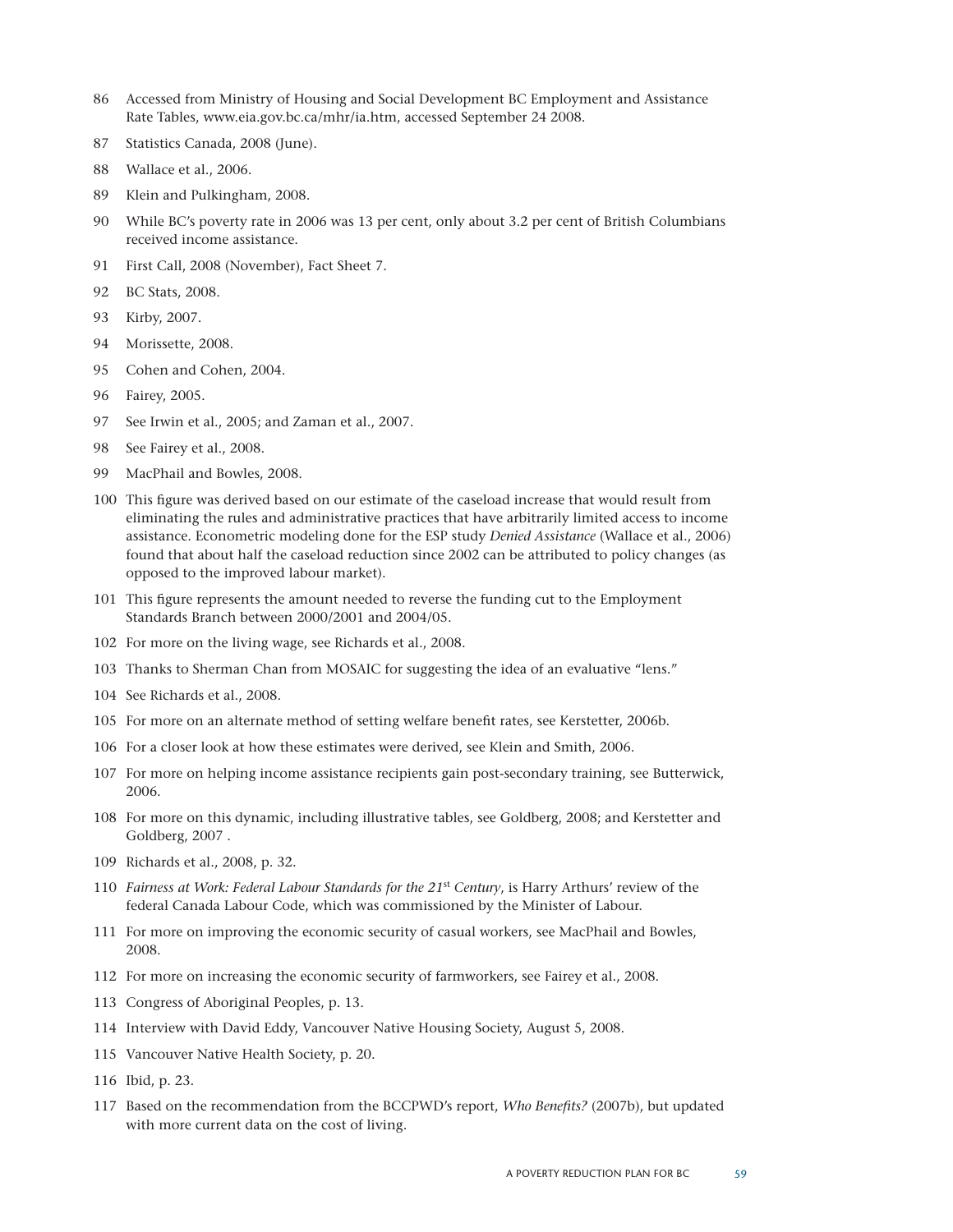- Accessed from Ministry of Housing and Social Development BC Employment and Assistance Rate Tables, www.eia.gov.bc.ca/mhr/ia.htm, accessed September 24 2008.
- Statistics Canada, 2008 (June).
- Wallace et al., 2006.
- Klein and Pulkingham, 2008.
- While BC's poverty rate in 2006 was 13 per cent, only about 3.2 per cent of British Columbians received income assistance.
- First Call, 2008 (November), Fact Sheet 7.
- BC Stats, 2008.
- Kirby, 2007.
- Morissette, 2008.
- Cohen and Cohen, 2004.
- Fairey, 2005.
- See Irwin et al., 2005; and Zaman et al., 2007.
- See Fairey et al., 2008.
- MacPhail and Bowles, 2008.
- This figure was derived based on our estimate of the caseload increase that would result from eliminating the rules and administrative practices that have arbitrarily limited access to income assistance. Econometric modeling done for the ESP study *Denied Assistance* (Wallace et al., 2006) found that about half the caseload reduction since 2002 can be attributed to policy changes (as opposed to the improved labour market).
- This figure represents the amount needed to reverse the funding cut to the Employment Standards Branch between 2000/2001 and 2004/05.
- For more on the living wage, see Richards et al., 2008.
- Thanks to Sherman Chan from MOSAIC for suggesting the idea of an evaluative "lens."
- See Richards et al., 2008.
- For more on an alternate method of setting welfare benefit rates, see Kerstetter, 2006b.
- For a closer look at how these estimates were derived, see Klein and Smith, 2006.
- For more on helping income assistance recipients gain post-secondary training, see Butterwick, 2006.
- For more on this dynamic, including illustrative tables, see Goldberg, 2008; and Kerstetter and Goldberg, 2007 .
- Richards et al., 2008, p. 32.
- *Fairness at Work: Federal Labour Standards for the 21*st *Century*, is Harry Arthurs' review of the federal Canada Labour Code, which was commissioned by the Minister of Labour.
- For more on improving the economic security of casual workers, see MacPhail and Bowles, 2008.
- For more on increasing the economic security of farmworkers, see Fairey et al., 2008.
- Congress of Aboriginal Peoples, p. 13.
- Interview with David Eddy, Vancouver Native Housing Society, August 5, 2008.
- Vancouver Native Health Society, p. 20.
- Ibid, p. 23.
- Based on the recommendation from the BCCPWD's report, *Who Benefits?* (2007b), but updated with more current data on the cost of living.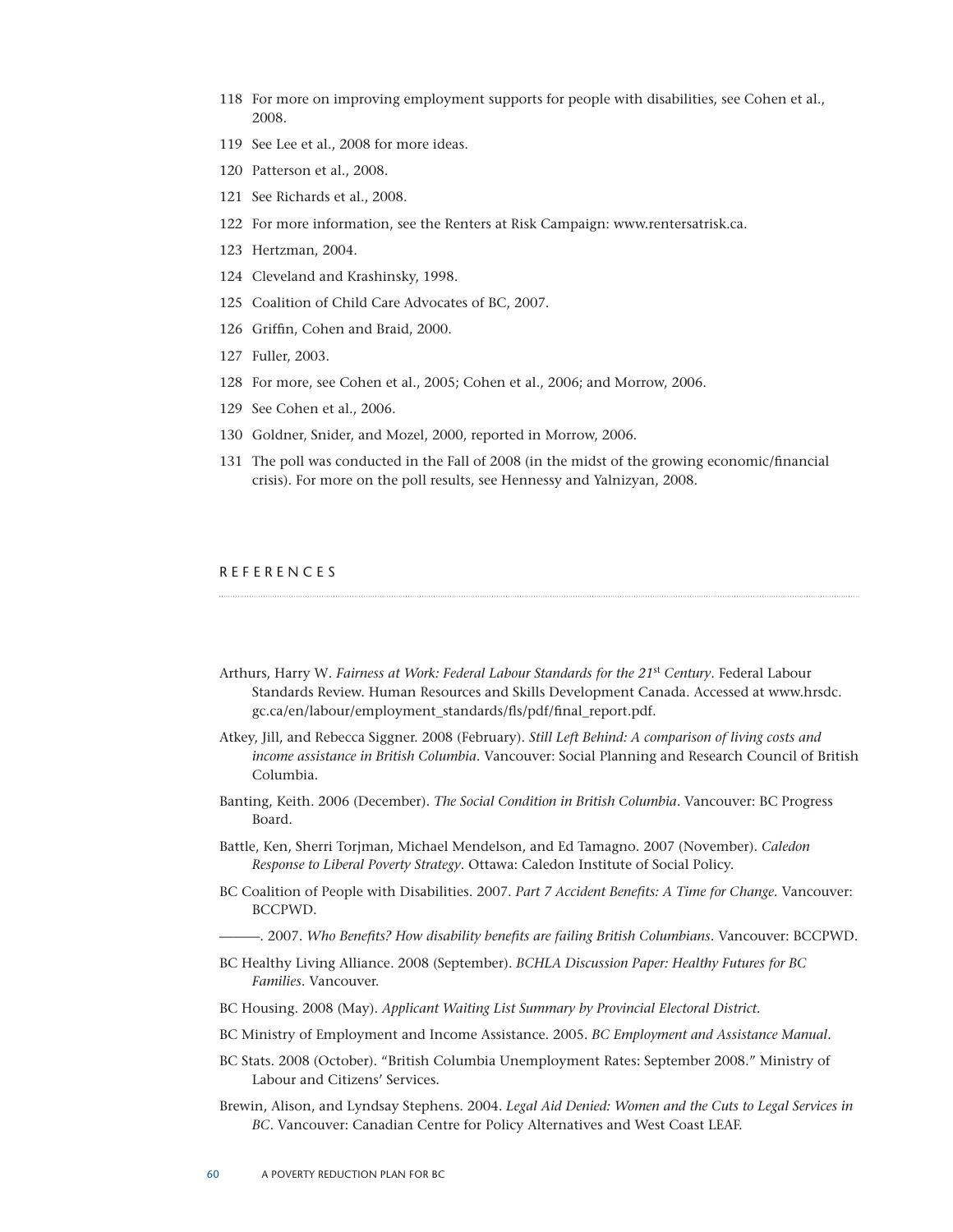- 118 For more on improving employment supports for people with disabilities, see Cohen et al., 2008.
- 119 See Lee et al., 2008 for more ideas.
- 120 Patterson et al., 2008.
- 121 See Richards et al., 2008.
- 122 For more information, see the Renters at Risk Campaign: www.rentersatrisk.ca.
- 123 Hertzman, 2004.
- 124 Cleveland and Krashinsky, 1998.
- 125 Coalition of Child Care Advocates of BC, 2007.
- 126 Griffin, Cohen and Braid, 2000.
- 127 Fuller, 2003.
- 128 For more, see Cohen et al., 2005; Cohen et al., 2006; and Morrow, 2006.
- 129 See Cohen et al., 2006.
- 130 Goldner, Snider, and Mozel, 2000, reported in Morrow, 2006.
- 131 The poll was conducted in the Fall of 2008 (in the midst of the growing economic/financial crisis). For more on the poll results, see Hennessy and Yalnizyan, 2008.

#### **REFERENCES**

- Arthurs, Harry W*. Fairness at Work: Federal Labour Standards for the 21*st *Century*. Federal Labour Standards Review. Human Resources and Skills Development Canada. Accessed at www.hrsdc. gc.ca/en/labour/employment\_standards/fls/pdf/final\_report.pdf.
- Atkey, Jill, and Rebecca Siggner. 2008 (February). *Still Left Behind: A comparison of living costs and income assistance in British Columbia*. Vancouver: Social Planning and Research Council of British Columbia.
- Banting, Keith. 2006 (December). *The Social Condition in British Columbia*. Vancouver: BC Progress Board.
- Battle, Ken, Sherri Torjman, Michael Mendelson, and Ed Tamagno. 2007 (November). *Caledon Response to Liberal Poverty Strategy*. Ottawa: Caledon Institute of Social Policy.
- BC Coalition of People with Disabilities. 2007. *Part 7 Accident Benefits: A Time for Change.* Vancouver: BCCPWD.
	- ———. 2007. *Who Benefits? How disability benefits are failing British Columbians*. Vancouver: BCCPWD.
- BC Healthy Living Alliance. 2008 (September). *BCHLA Discussion Paper: Healthy Futures for BC Families*. Vancouver.
- BC Housing. 2008 (May). *Applicant Waiting List Summary by Provincial Electoral District.*
- BC Ministry of Employment and Income Assistance. 2005. *BC Employment and Assistance Manual.*
- BC Stats. 2008 (October). "British Columbia Unemployment Rates: September 2008." Ministry of Labour and Citizens' Services.
- Brewin, Alison, and Lyndsay Stephens. 2004. *Legal Aid Denied: Women and the Cuts to Legal Services in BC*. Vancouver: Canadian Centre for Policy Alternatives and West Coast LEAF.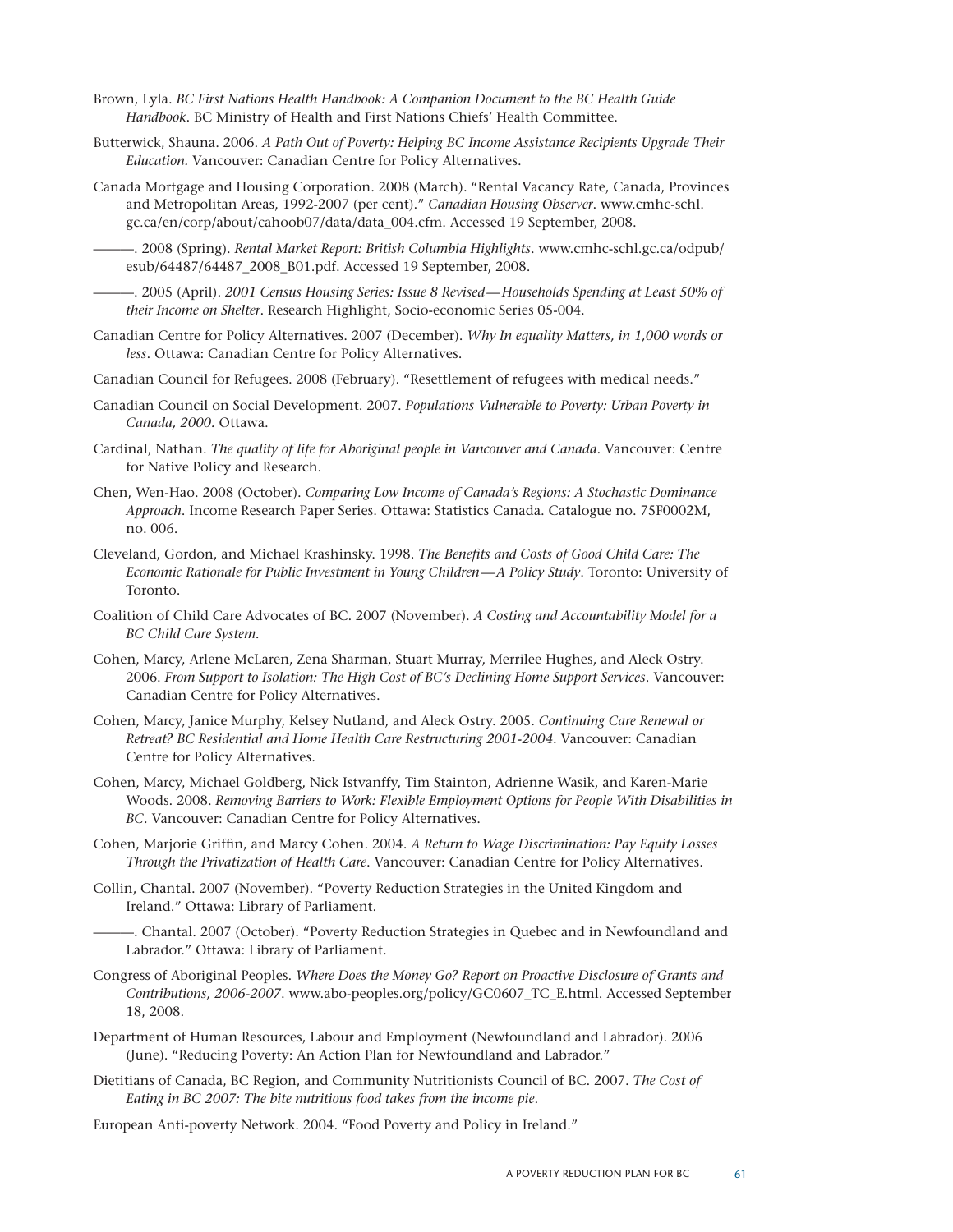- Brown, Lyla. *BC First Nations Health Handbook: A Companion Document to the BC Health Guide Handbook*. BC Ministry of Health and First Nations Chiefs' Health Committee.
- Butterwick, Shauna. 2006. *A Path Out of Poverty: Helping BC Income Assistance Recipients Upgrade Their Education.* Vancouver: Canadian Centre for Policy Alternatives.
- Canada Mortgage and Housing Corporation. 2008 (March). "Rental Vacancy Rate, Canada, Provinces and Metropolitan Areas, 1992-2007 (per cent)." *Canadian Housing Observer*. www.cmhc-schl. gc.ca/en/corp/about/cahoob07/data/data\_004.cfm. Accessed 19 September, 2008.
- ———. 2008 (Spring). *Rental Market Report: British Columbia Highlights*. www.cmhc-schl.gc.ca/odpub/ esub/64487/64487\_2008\_B01.pdf. Accessed 19 September, 2008.

———. 2005 (April). *2001 Census Housing Series: Issue 8 Revised—Households Spending at Least 50% of their Income on Shelter*. Research Highlight, Socio-economic Series 05-004.

- Canadian Centre for Policy Alternatives. 2007 (December). *Why In equality Matters, in 1,000 words or less*. Ottawa: Canadian Centre for Policy Alternatives.
- Canadian Council for Refugees. 2008 (February). "Resettlement of refugees with medical needs."
- Canadian Council on Social Development. 2007. *Populations Vulnerable to Poverty: Urban Poverty in Canada, 2000.* Ottawa.
- Cardinal, Nathan. *The quality of life for Aboriginal people in Vancouver and Canada*. Vancouver: Centre for Native Policy and Research.
- Chen, Wen-Hao. 2008 (October). *Comparing Low Income of Canada's Regions: A Stochastic Dominance Approach*. Income Research Paper Series. Ottawa: Statistics Canada. Catalogue no. 75F0002M, no. 006.
- Cleveland, Gordon, and Michael Krashinsky. 1998. *The Benefits and Costs of Good Child Care: The Economic Rationale for Public Investment in Young Children—A Policy Study*. Toronto: University of Toronto.
- Coalition of Child Care Advocates of BC. 2007 (November). *A Costing and Accountability Model for a BC Child Care System.*
- Cohen, Marcy, Arlene McLaren, Zena Sharman, Stuart Murray, Merrilee Hughes, and Aleck Ostry. 2006. *From Support to Isolation: The High Cost of BC's Declining Home Support Services*. Vancouver: Canadian Centre for Policy Alternatives.
- Cohen, Marcy, Janice Murphy, Kelsey Nutland, and Aleck Ostry. 2005. *Continuing Care Renewal or Retreat? BC Residential and Home Health Care Restructuring 2001-2004*. Vancouver: Canadian Centre for Policy Alternatives.
- Cohen, Marcy, Michael Goldberg, Nick Istvanffy, Tim Stainton, Adrienne Wasik, and Karen-Marie Woods. 2008. *Removing Barriers to Work: Flexible Employment Options for People With Disabilities in BC.* Vancouver: Canadian Centre for Policy Alternatives.
- Cohen, Marjorie Griffin, and Marcy Cohen. 2004. *A Return to Wage Discrimination: Pay Equity Losses Through the Privatization of Health Care*. Vancouver: Canadian Centre for Policy Alternatives.
- Collin, Chantal. 2007 (November). "Poverty Reduction Strategies in the United Kingdom and Ireland." Ottawa: Library of Parliament.
- ———. Chantal. 2007 (October). "Poverty Reduction Strategies in Quebec and in Newfoundland and Labrador." Ottawa: Library of Parliament.
- Congress of Aboriginal Peoples. *Where Does the Money Go? Report on Proactive Disclosure of Grants and Contributions, 2006-2007*. www.abo-peoples.org/policy/GC0607\_TC\_E.html. Accessed September 18, 2008.
- Department of Human Resources, Labour and Employment (Newfoundland and Labrador). 2006 (June). "Reducing Poverty: An Action Plan for Newfoundland and Labrador."
- Dietitians of Canada, BC Region, and Community Nutritionists Council of BC. 2007. *The Cost of Eating in BC 2007: The bite nutritious food takes from the income pie*.
- European Anti-poverty Network. 2004. "Food Poverty and Policy in Ireland."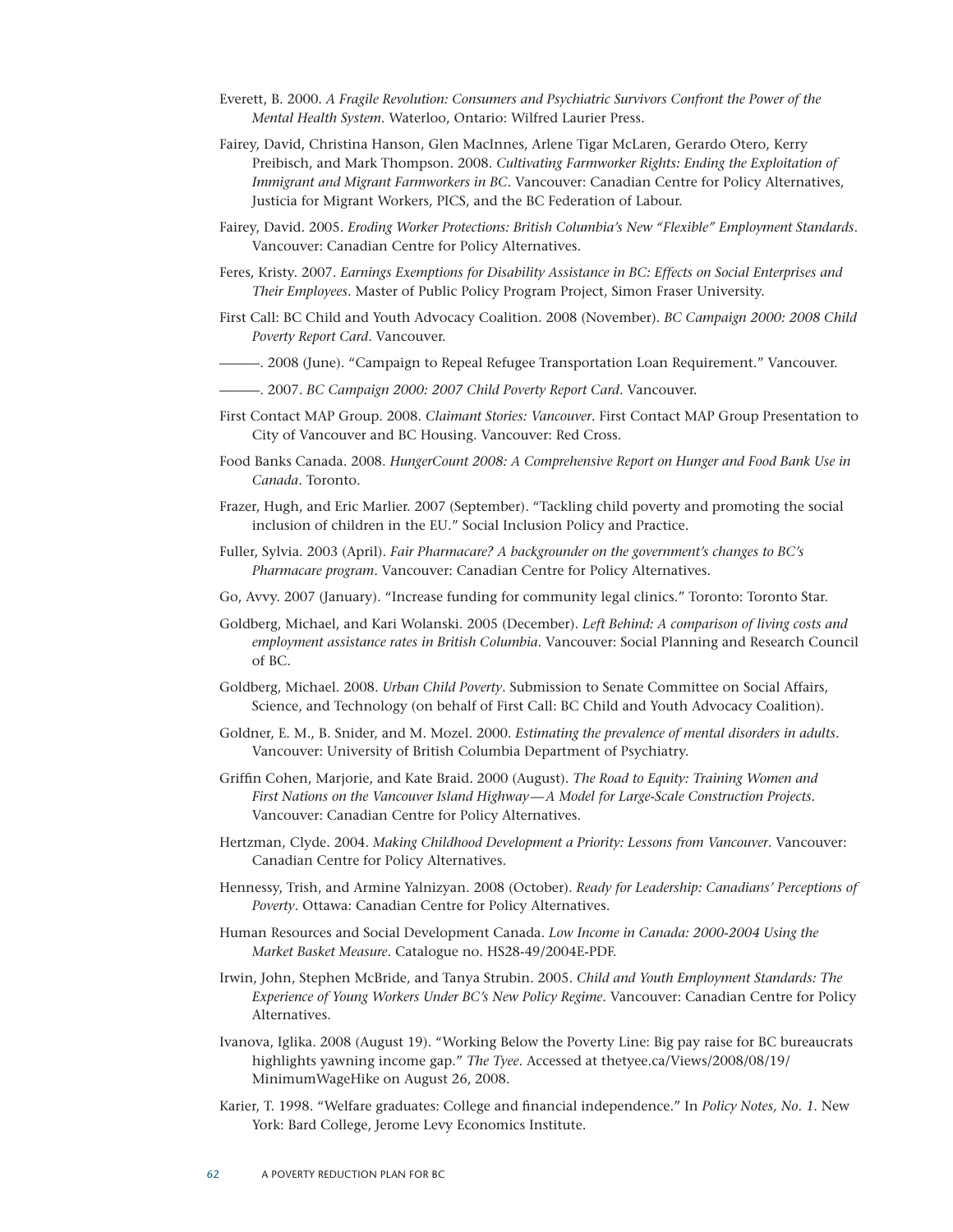- Everett, B. 2000. *A Fragile Revolution: Consumers and Psychiatric Survivors Confront the Power of the Mental Health System*. Waterloo, Ontario: Wilfred Laurier Press.
- Fairey, David, Christina Hanson, Glen MacInnes, Arlene Tigar McLaren, Gerardo Otero, Kerry Preibisch, and Mark Thompson. 2008. *Cultivating Farmworker Rights: Ending the Exploitation of Immigrant and Migrant Farmworkers in BC*. Vancouver: Canadian Centre for Policy Alternatives, Justicia for Migrant Workers, PICS, and the BC Federation of Labour.
- Fairey, David. 2005. *Eroding Worker Protections: British Columbia's New "Flexible" Employment Standards*. Vancouver: Canadian Centre for Policy Alternatives.
- Feres, Kristy. 2007. *Earnings Exemptions for Disability Assistance in BC: Effects on Social Enterprises and Their Employees*. Master of Public Policy Program Project, Simon Fraser University.
- First Call: BC Child and Youth Advocacy Coalition. 2008 (November). *BC Campaign 2000: 2008 Child Poverty Report Card*. Vancouver.
- ———. 2008 (June). "Campaign to Repeal Refugee Transportation Loan Requirement." Vancouver.
- ———. 2007. *BC Campaign 2000: 2007 Child Poverty Report Card.* Vancouver.
- First Contact MAP Group. 2008. *Claimant Stories: Vancouver*. First Contact MAP Group Presentation to City of Vancouver and BC Housing. Vancouver: Red Cross.
- Food Banks Canada. 2008. *HungerCount 2008: A Comprehensive Report on Hunger and Food Bank Use in Canada*. Toronto.
- Frazer, Hugh, and Eric Marlier. 2007 (September). "Tackling child poverty and promoting the social inclusion of children in the EU." Social Inclusion Policy and Practice.
- Fuller, Sylvia. 2003 (April). *Fair Pharmacare? A backgrounder on the government's changes to BC's Pharmacare program*. Vancouver: Canadian Centre for Policy Alternatives.
- Go, Avvy. 2007 (January). "Increase funding for community legal clinics." Toronto: Toronto Star.
- Goldberg, Michael, and Kari Wolanski. 2005 (December). *Left Behind: A comparison of living costs and employment assistance rates in British Columbia*. Vancouver: Social Planning and Research Council of BC.
- Goldberg, Michael. 2008. *Urban Child Poverty*. Submission to Senate Committee on Social Affairs, Science, and Technology (on behalf of First Call: BC Child and Youth Advocacy Coalition).
- Goldner, E. M., B. Snider, and M. Mozel. 2000. *Estimating the prevalence of mental disorders in adults.* Vancouver: University of British Columbia Department of Psychiatry.
- Griffin Cohen, Marjorie, and Kate Braid. 2000 (August). *The Road to Equity: Training Women and First Nations on the Vancouver Island Highway—A Model for Large-Scale Construction Projects.* Vancouver: Canadian Centre for Policy Alternatives.
- Hertzman, Clyde. 2004. *Making Childhood Development a Priority: Lessons from Vancouver*. Vancouver: Canadian Centre for Policy Alternatives.
- Hennessy, Trish, and Armine Yalnizyan. 2008 (October). *Ready for Leadership: Canadians' Perceptions of Poverty*. Ottawa: Canadian Centre for Policy Alternatives.
- Human Resources and Social Development Canada. *Low Income in Canada: 2000-2004 Using the Market Basket Measure*. Catalogue no. HS28-49/2004E-PDF.
- Irwin, John, Stephen McBride, and Tanya Strubin. 2005. *Child and Youth Employment Standards: The Experience of Young Workers Under BC's New Policy Regime*. Vancouver: Canadian Centre for Policy Alternatives.
- Ivanova, Iglika. 2008 (August 19). "Working Below the Poverty Line: Big pay raise for BC bureaucrats highlights yawning income gap." *The Tyee*. Accessed at thetyee.ca/Views/2008/08/19/ MinimumWageHike on August 26, 2008.
- Karier, T. 1998. "Welfare graduates: College and financial independence." In *Policy Notes, No. 1*. New York: Bard College, Jerome Levy Economics Institute.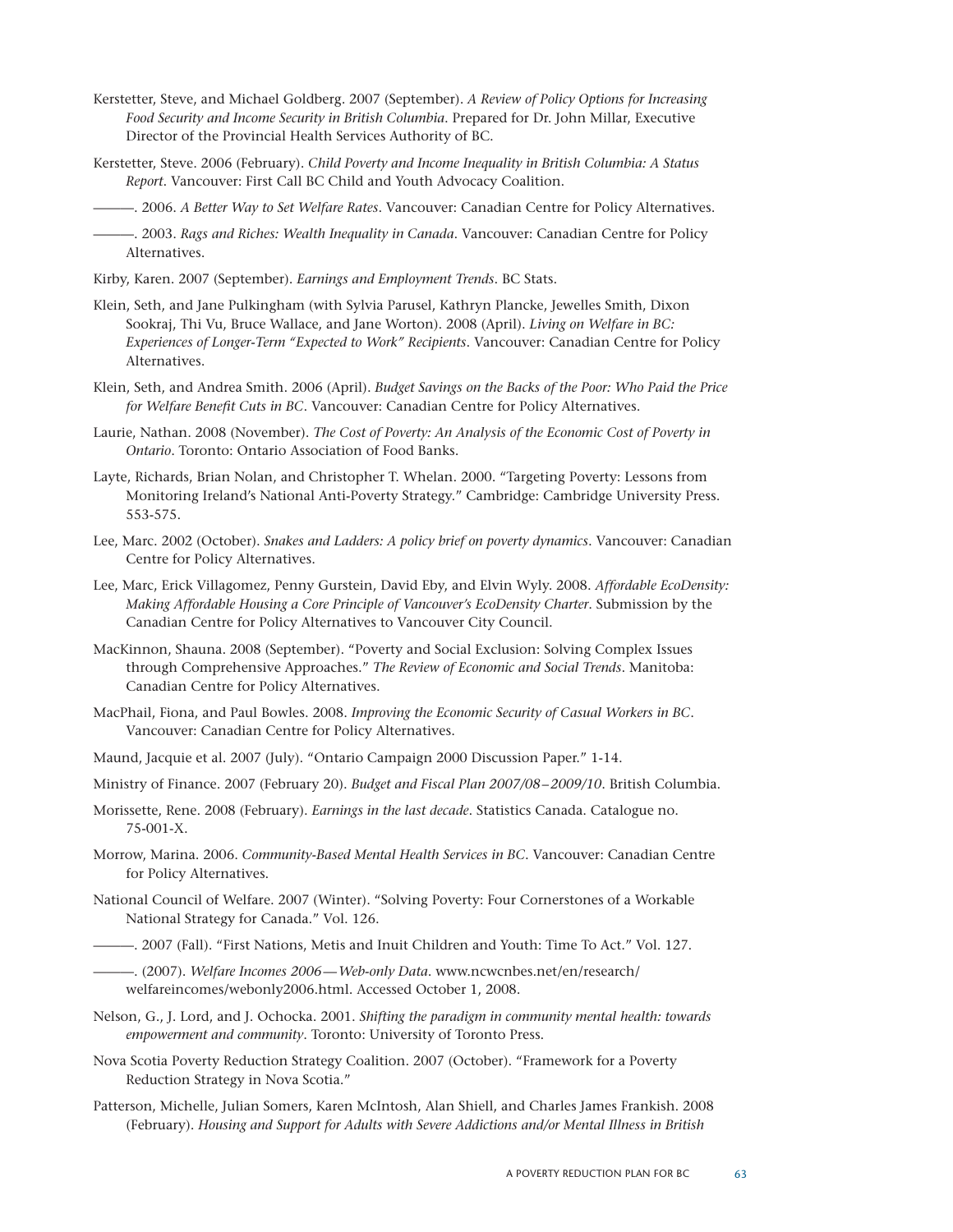- Kerstetter, Steve, and Michael Goldberg. 2007 (September). *A Review of Policy Options for Increasing Food Security and Income Security in British Columbia*. Prepared for Dr. John Millar, Executive Director of the Provincial Health Services Authority of BC.
- Kerstetter, Steve. 2006 (February). *Child Poverty and Income Inequality in British Columbia: A Status Report*. Vancouver: First Call BC Child and Youth Advocacy Coalition.

———. 2006. *A Better Way to Set Welfare Rates*. Vancouver: Canadian Centre for Policy Alternatives.

- ———. 2003. *Rags and Riches: Wealth Inequality in Canada*. Vancouver: Canadian Centre for Policy Alternatives.
- Kirby, Karen. 2007 (September). *Earnings and Employment Trends*. BC Stats.
- Klein, Seth, and Jane Pulkingham (with Sylvia Parusel, Kathryn Plancke, Jewelles Smith, Dixon Sookraj, Thi Vu, Bruce Wallace, and Jane Worton). 2008 (April). *Living on Welfare in BC: Experiences of Longer-Term "Expected to Work" Recipients*. Vancouver: Canadian Centre for Policy Alternatives.
- Klein, Seth, and Andrea Smith. 2006 (April). *Budget Savings on the Backs of the Poor: Who Paid the Price for Welfare Benefit Cuts in BC*. Vancouver: Canadian Centre for Policy Alternatives.
- Laurie, Nathan. 2008 (November). *The Cost of Poverty: An Analysis of the Economic Cost of Poverty in Ontario*. Toronto: Ontario Association of Food Banks.
- Layte, Richards, Brian Nolan, and Christopher T. Whelan. 2000. "Targeting Poverty: Lessons from Monitoring Ireland's National Anti-Poverty Strategy." Cambridge: Cambridge University Press. 553-575.
- Lee, Marc. 2002 (October). *Snakes and Ladders: A policy brief on poverty dynamics*. Vancouver: Canadian Centre for Policy Alternatives.
- Lee, Marc, Erick Villagomez, Penny Gurstein, David Eby, and Elvin Wyly. 2008. *Affordable EcoDensity: Making Affordable Housing a Core Principle of Vancouver's EcoDensity Charter*. Submission by the Canadian Centre for Policy Alternatives to Vancouver City Council.
- MacKinnon, Shauna. 2008 (September). "Poverty and Social Exclusion: Solving Complex Issues through Comprehensive Approaches." *The Review of Economic and Social Trends*. Manitoba: Canadian Centre for Policy Alternatives.
- MacPhail, Fiona, and Paul Bowles. 2008. *Improving the Economic Security of Casual Workers in BC*. Vancouver: Canadian Centre for Policy Alternatives.
- Maund, Jacquie et al. 2007 (July). "Ontario Campaign 2000 Discussion Paper." 1-14.
- Ministry of Finance. 2007 (February 20). *Budget and Fiscal Plan 2007/08–2009/10*. British Columbia.
- Morissette, Rene. 2008 (February). *Earnings in the last decade*. Statistics Canada. Catalogue no. 75-001-X.
- Morrow, Marina. 2006. *Community-Based Mental Health Services in BC*. Vancouver: Canadian Centre for Policy Alternatives.
- National Council of Welfare. 2007 (Winter). "Solving Poverty: Four Cornerstones of a Workable National Strategy for Canada." Vol. 126.
- ———. 2007 (Fall). "First Nations, Metis and Inuit Children and Youth: Time To Act." Vol. 127.
- ———. (2007). *Welfare Incomes 2006—Web-only Data*. www.ncwcnbes.net/en/research/ welfareincomes/webonly2006.html. Accessed October 1, 2008.
- Nelson, G., J. Lord, and J. Ochocka. 2001. *Shifting the paradigm in community mental health: towards empowerment and community*. Toronto: University of Toronto Press.
- Nova Scotia Poverty Reduction Strategy Coalition. 2007 (October). "Framework for a Poverty Reduction Strategy in Nova Scotia."
- Patterson, Michelle, Julian Somers, Karen McIntosh, Alan Shiell, and Charles James Frankish. 2008 (February). *Housing and Support for Adults with Severe Addictions and/or Mental Illness in British*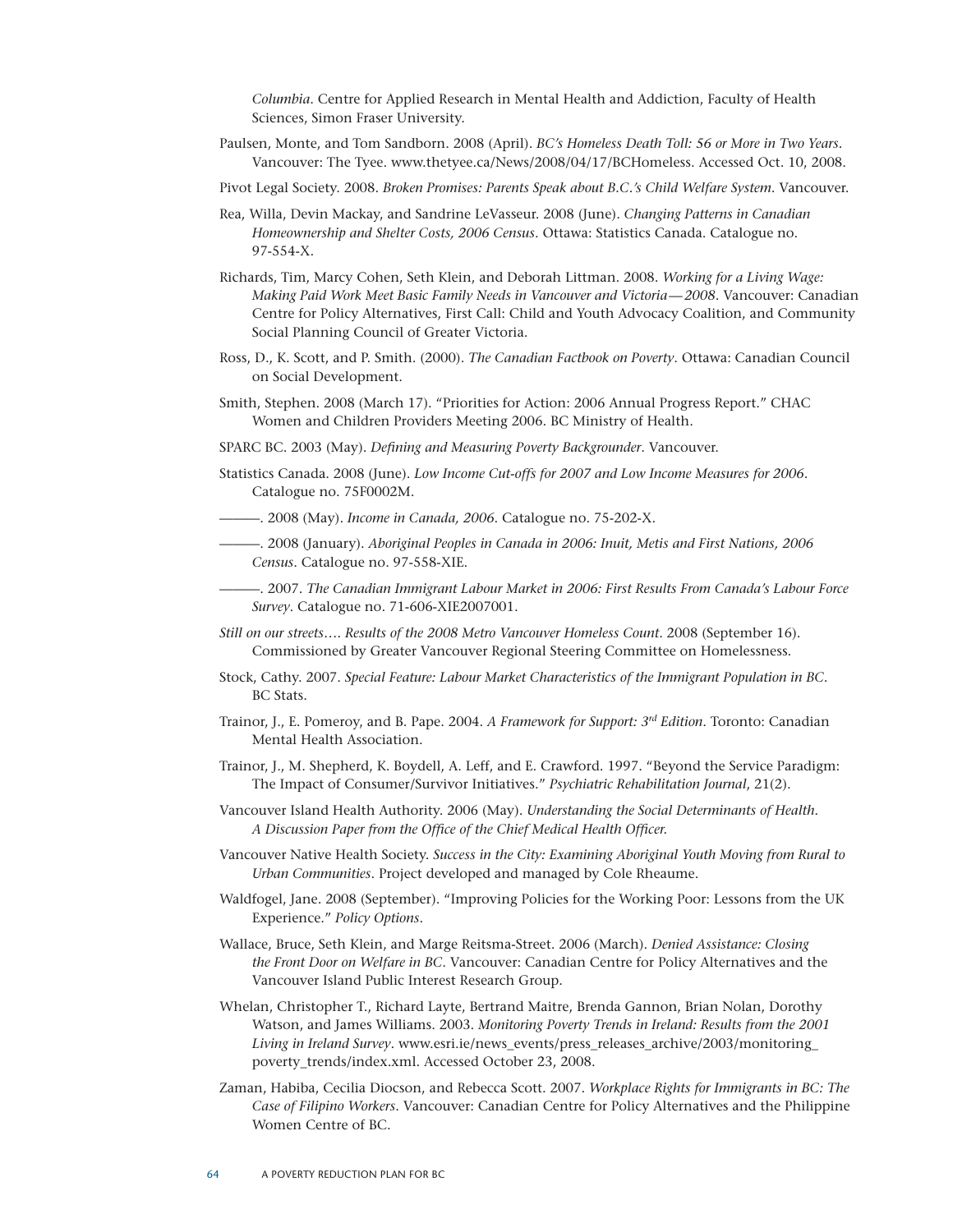*Columbia*. Centre for Applied Research in Mental Health and Addiction, Faculty of Health Sciences, Simon Fraser University.

- Paulsen, Monte, and Tom Sandborn. 2008 (April). *BC's Homeless Death Toll: 56 or More in Two Years.* Vancouver: The Tyee. www.thetyee.ca/News/2008/04/17/BCHomeless. Accessed Oct. 10, 2008.
- Pivot Legal Society. 2008. *Broken Promises: Parents Speak about B.C.'s Child Welfare System*. Vancouver.
- Rea, Willa, Devin Mackay, and Sandrine LeVasseur. 2008 (June). *Changing Patterns in Canadian Homeownership and Shelter Costs, 2006 Census*. Ottawa: Statistics Canada. Catalogue no. 97-554-X.
- Richards, Tim, Marcy Cohen, Seth Klein, and Deborah Littman. 2008. *Working for a Living Wage: Making Paid Work Meet Basic Family Needs in Vancouver and Victoria—2008*. Vancouver: Canadian Centre for Policy Alternatives, First Call: Child and Youth Advocacy Coalition, and Community Social Planning Council of Greater Victoria.
- Ross, D., K. Scott, and P. Smith. (2000). *The Canadian Factbook on Poverty*. Ottawa: Canadian Council on Social Development.
- Smith, Stephen. 2008 (March 17). "Priorities for Action: 2006 Annual Progress Report." CHAC Women and Children Providers Meeting 2006. BC Ministry of Health.
- SPARC BC. 2003 (May). *Defining and Measuring Poverty Backgrounder*. Vancouver.
- Statistics Canada. 2008 (June). *Low Income Cut-offs for 2007 and Low Income Measures for 2006*. Catalogue no. 75F0002M.
- ———. 2008 (May). *Income in Canada, 2006*. Catalogue no. 75-202-X.
- ———. 2008 (January). *Aboriginal Peoples in Canada in 2006: Inuit, Metis and First Nations, 2006 Census*. Catalogue no. 97-558-XIE.
	- ———. 2007. *The Canadian Immigrant Labour Market in 2006: First Results From Canada's Labour Force Survey*. Catalogue no. 71-606-XIE2007001.
- *Still on our streets…. Results of the 2008 Metro Vancouver Homeless Count*. 2008 (September 16). Commissioned by Greater Vancouver Regional Steering Committee on Homelessness.
- Stock, Cathy. 2007. *Special Feature: Labour Market Characteristics of the Immigrant Population in BC*. BC Stats.
- Trainor, J., E. Pomeroy, and B. Pape. 2004. *A Framework for Support: 3rd Edition*. Toronto: Canadian Mental Health Association.
- Trainor, J., M. Shepherd, K. Boydell, A. Leff, and E. Crawford. 1997. "Beyond the Service Paradigm: The Impact of Consumer/Survivor Initiatives." *Psychiatric Rehabilitation Journal*, 21(2).
- Vancouver Island Health Authority. 2006 (May). *Understanding the Social Determinants of Health. A Discussion Paper from the Office of the Chief Medical Health Officer.*
- Vancouver Native Health Society. *Success in the City: Examining Aboriginal Youth Moving from Rural to Urban Communities*. Project developed and managed by Cole Rheaume.
- Waldfogel, Jane. 2008 (September). "Improving Policies for the Working Poor: Lessons from the UK Experience." *Policy Options*.
- Wallace, Bruce, Seth Klein, and Marge Reitsma-Street. 2006 (March). *Denied Assistance: Closing the Front Door on Welfare in BC*. Vancouver: Canadian Centre for Policy Alternatives and the Vancouver Island Public Interest Research Group.
- Whelan, Christopher T., Richard Layte, Bertrand Maitre, Brenda Gannon, Brian Nolan, Dorothy Watson, and James Williams. 2003. *Monitoring Poverty Trends in Ireland: Results from the 2001 Living in Ireland Survey*. www.esri.ie/news\_events/press\_releases\_archive/2003/monitoring\_ poverty\_trends/index.xml. Accessed October 23, 2008.
- Zaman, Habiba, Cecilia Diocson, and Rebecca Scott. 2007. *Workplace Rights for Immigrants in BC: The Case of Filipino Workers*. Vancouver: Canadian Centre for Policy Alternatives and the Philippine Women Centre of BC.